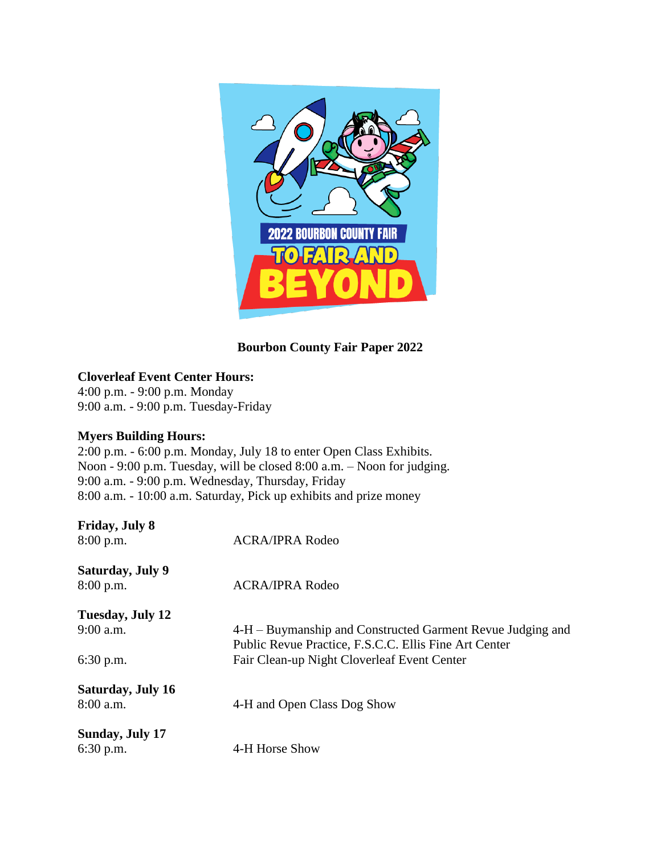

# **Bourbon County Fair Paper 2022**

# **Cloverleaf Event Center Hours:**

4:00 p.m. - 9:00 p.m. Monday 9:00 a.m. - 9:00 p.m. Tuesday-Friday

# **Myers Building Hours:**

2:00 p.m. - 6:00 p.m. Monday, July 18 to enter Open Class Exhibits. Noon - 9:00 p.m. Tuesday, will be closed 8:00 a.m. – Noon for judging. 9:00 a.m. - 9:00 p.m. Wednesday, Thursday, Friday 8:00 a.m. - 10:00 a.m. Saturday, Pick up exhibits and prize money

| <b>Friday, July 8</b><br>$8:00$ p.m. | <b>ACRA/IPRA Rodeo</b>                                                                                              |
|--------------------------------------|---------------------------------------------------------------------------------------------------------------------|
| Saturday, July 9<br>8:00 p.m.        | <b>ACRA/IPRA Rodeo</b>                                                                                              |
| Tuesday, July 12                     |                                                                                                                     |
| $9:00$ a.m.                          | 4-H – Buymanship and Constructed Garment Revue Judging and<br>Public Revue Practice, F.S.C.C. Ellis Fine Art Center |
| $6:30$ p.m.                          | Fair Clean-up Night Cloverleaf Event Center                                                                         |
| <b>Saturday, July 16</b>             |                                                                                                                     |
| 8:00 a.m.                            | 4-H and Open Class Dog Show                                                                                         |
| Sunday, July 17                      |                                                                                                                     |
| $6:30$ p.m.                          | 4-H Horse Show                                                                                                      |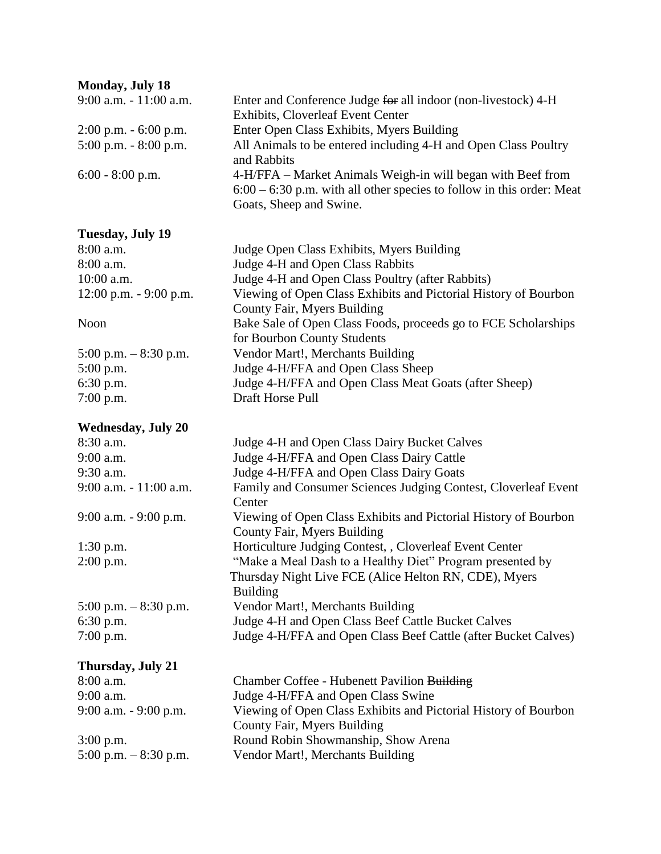# **Monday, July 18**

| Monday, July 18           |                                                                                                                                                                   |
|---------------------------|-------------------------------------------------------------------------------------------------------------------------------------------------------------------|
| 9:00 a.m. - 11:00 a.m.    | Enter and Conference Judge for all indoor (non-livestock) 4-H<br>Exhibits, Cloverleaf Event Center                                                                |
| $2:00$ p.m. $-6:00$ p.m.  | Enter Open Class Exhibits, Myers Building                                                                                                                         |
| $5:00$ p.m. $-8:00$ p.m.  | All Animals to be entered including 4-H and Open Class Poultry<br>and Rabbits                                                                                     |
| $6:00 - 8:00$ p.m.        | 4-H/FFA – Market Animals Weigh-in will began with Beef from<br>$6:00 - 6:30$ p.m. with all other species to follow in this order: Meat<br>Goats, Sheep and Swine. |
| Tuesday, July 19          |                                                                                                                                                                   |
| 8:00 a.m.                 | Judge Open Class Exhibits, Myers Building                                                                                                                         |
| 8:00 a.m.                 | Judge 4-H and Open Class Rabbits                                                                                                                                  |
| 10:00 a.m.                | Judge 4-H and Open Class Poultry (after Rabbits)                                                                                                                  |
| $12:00$ p.m. $-9:00$ p.m. | Viewing of Open Class Exhibits and Pictorial History of Bourbon<br>County Fair, Myers Building                                                                    |
| Noon                      | Bake Sale of Open Class Foods, proceeds go to FCE Scholarships<br>for Bourbon County Students                                                                     |
| $5:00$ p.m. $-8:30$ p.m.  | Vendor Mart!, Merchants Building                                                                                                                                  |
| 5:00 p.m.                 | Judge 4-H/FFA and Open Class Sheep                                                                                                                                |
| 6:30 p.m.                 | Judge 4-H/FFA and Open Class Meat Goats (after Sheep)                                                                                                             |
| 7:00 p.m.                 | Draft Horse Pull                                                                                                                                                  |
| <b>Wednesday, July 20</b> |                                                                                                                                                                   |
| 8:30 a.m.                 | Judge 4-H and Open Class Dairy Bucket Calves                                                                                                                      |
| 9:00 a.m.                 | Judge 4-H/FFA and Open Class Dairy Cattle                                                                                                                         |
| 9:30 a.m.                 | Judge 4-H/FFA and Open Class Dairy Goats                                                                                                                          |
| 9:00 a.m. - 11:00 a.m.    | Family and Consumer Sciences Judging Contest, Cloverleaf Event<br>Center                                                                                          |
| 9:00 a.m. - 9:00 p.m.     | Viewing of Open Class Exhibits and Pictorial History of Bourbon<br>County Fair, Myers Building                                                                    |
| $1:30$ p.m.               | Horticulture Judging Contest, , Cloverleaf Event Center                                                                                                           |
| $2:00$ p.m.               | "Make a Meal Dash to a Healthy Diet" Program presented by                                                                                                         |
|                           | Thursday Night Live FCE (Alice Helton RN, CDE), Myers<br><b>Building</b>                                                                                          |
| 5:00 p.m. $-8:30$ p.m.    | Vendor Mart!, Merchants Building                                                                                                                                  |
| $6:30$ p.m.               | Judge 4-H and Open Class Beef Cattle Bucket Calves                                                                                                                |
| $7:00$ p.m.               | Judge 4-H/FFA and Open Class Beef Cattle (after Bucket Calves)                                                                                                    |
| Thursday, July 21         |                                                                                                                                                                   |
| 8:00 a.m.                 | Chamber Coffee - Hubenett Pavilion Building                                                                                                                       |
| 9:00 a.m.                 | Judge 4-H/FFA and Open Class Swine                                                                                                                                |
| 9:00 a.m. - 9:00 p.m.     | Viewing of Open Class Exhibits and Pictorial History of Bourbon<br>County Fair, Myers Building                                                                    |
| $3:00$ p.m.               | Round Robin Showmanship, Show Arena                                                                                                                               |
| 5:00 p.m. $-8:30$ p.m.    | Vendor Mart!, Merchants Building                                                                                                                                  |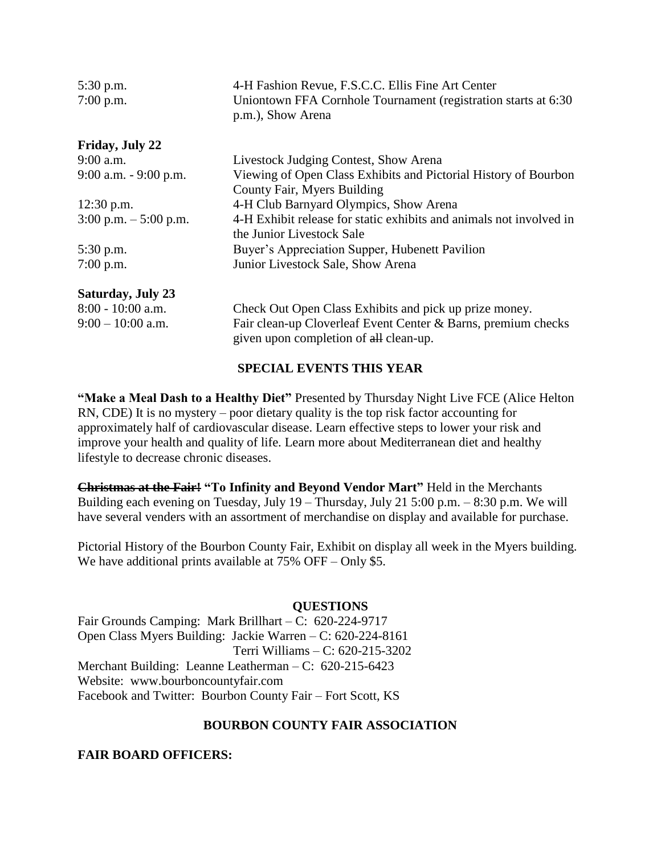| 5:30 p.m.<br>$7:00$ p.m. | 4-H Fashion Revue, F.S.C.C. Ellis Fine Art Center<br>Uniontown FFA Cornhole Tournament (registration starts at 6:30<br>p.m.), Show Arena |
|--------------------------|------------------------------------------------------------------------------------------------------------------------------------------|
| Friday, July 22          |                                                                                                                                          |
| $9:00$ a.m.              | Livestock Judging Contest, Show Arena                                                                                                    |
| $9:00$ a.m. $-9:00$ p.m. | Viewing of Open Class Exhibits and Pictorial History of Bourbon<br>County Fair, Myers Building                                           |
| $12:30$ p.m.             | 4-H Club Barnyard Olympics, Show Arena                                                                                                   |
| $3:00$ p.m. $-5:00$ p.m. | 4-H Exhibit release for static exhibits and animals not involved in<br>the Junior Livestock Sale                                         |
| $5:30$ p.m.              | Buyer's Appreciation Supper, Hubenett Pavilion                                                                                           |
| $7:00$ p.m.              | Junior Livestock Sale, Show Arena                                                                                                        |
| <b>Saturday, July 23</b> |                                                                                                                                          |
| $8:00 - 10:00$ a.m.      | Check Out Open Class Exhibits and pick up prize money.                                                                                   |
| $9:00 - 10:00$ a.m.      | Fair clean-up Cloverleaf Event Center & Barns, premium checks<br>given upon completion of all clean-up.                                  |

#### **SPECIAL EVENTS THIS YEAR**

**"Make a Meal Dash to a Healthy Diet"** Presented by Thursday Night Live FCE (Alice Helton RN, CDE) It is no mystery – poor dietary quality is the top risk factor accounting for approximately half of cardiovascular disease. Learn effective steps to lower your risk and improve your health and quality of life. Learn more about Mediterranean diet and healthy lifestyle to decrease chronic diseases.

**Christmas at the Fair! "To Infinity and Beyond Vendor Mart"** Held in the Merchants Building each evening on Tuesday, July 19 – Thursday, July 21 5:00 p.m. – 8:30 p.m. We will have several venders with an assortment of merchandise on display and available for purchase.

Pictorial History of the Bourbon County Fair, Exhibit on display all week in the Myers building. We have additional prints available at  $75\%$  OFF – Only \$5.

#### **QUESTIONS**

Fair Grounds Camping: Mark Brillhart – C: 620-224-9717 Open Class Myers Building: Jackie Warren – C: 620-224-8161 Terri Williams – C: 620-215-3202 Merchant Building: Leanne Leatherman – C: 620-215-6423 Website: [www.bourboncountyfair.com](http://www.bourboncountyfair.com/) Facebook and Twitter: Bourbon County Fair – Fort Scott, KS

#### **BOURBON COUNTY FAIR ASSOCIATION**

#### **FAIR BOARD OFFICERS:**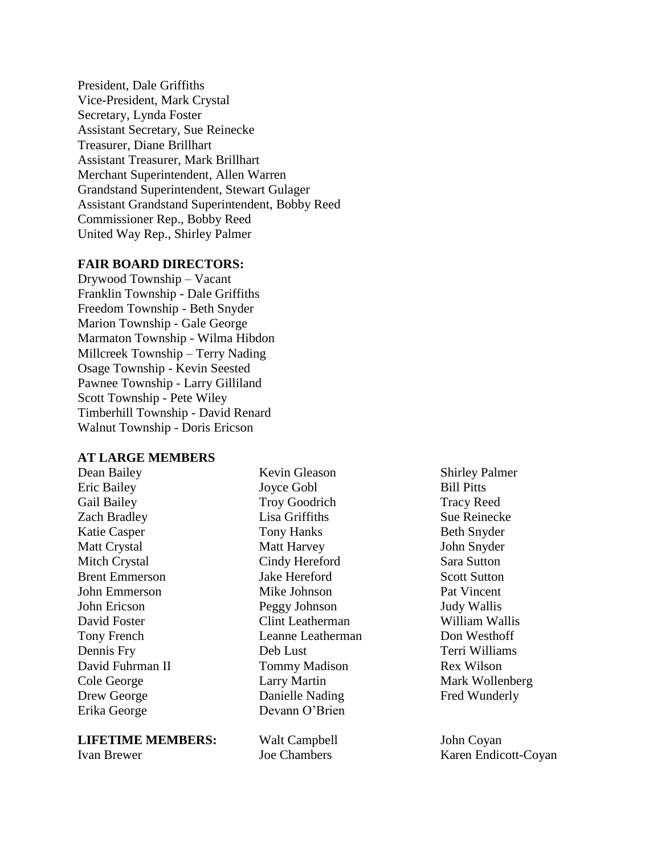President, Dale Griffiths Vice-President, Mark Crystal Secretary, Lynda Foster Assistant Secretary, Sue Reinecke Treasurer, Diane Brillhart Assistant Treasurer, Mark Brillhart Merchant Superintendent, Allen Warren Grandstand Superintendent, Stewart Gulager Assistant Grandstand Superintendent, Bobby Reed Commissioner Rep., Bobby Reed United Way Rep., Shirley Palmer

#### **FAIR BOARD DIRECTORS:**

Drywood Township – Vacant Franklin Township - Dale Griffiths Freedom Township - Beth Snyder Marion Township - Gale George Marmaton Township - Wilma Hibdon Millcreek Township – Terry Nading Osage Township - Kevin Seested Pawnee Township - Larry Gilliland Scott Township - Pete Wiley Timberhill Township - David Renard Walnut Township - Doris Ericson

#### **AT LARGE MEMBERS**

Dean Bailey Eric Bailey Gail Bailey Zach Bradley Katie Casper Matt Crystal Mitch Crystal Brent Emmerson John Emmerson John Ericson David Foster Tony French Dennis Fry David Fuhrman II Cole George Drew George Erika George

**LIFETIME MEMBERS:**

Ivan Brewer

Kevin Gleason Joyce Gobl Troy Goodrich Lisa Griffiths Tony Hanks Matt Harvey Cindy Hereford Jake Hereford Mike Johnson Peggy Johnson Clint Leatherman Leanne Leatherman Deb Lust Tommy Madison Larry Martin Danielle Nading Devann O'Brien

Walt Campbell Joe Chambers

Shirley Palmer Bill Pitts Tracy Reed Sue Reinecke Beth Snyder John Snyder Sara Sutton Scott Sutton Pat Vincent Judy Wallis William Wallis Don Westhoff Terri Williams Rex Wilson Mark Wollenberg Fred Wunderly

John Coyan Karen Endicott-Coyan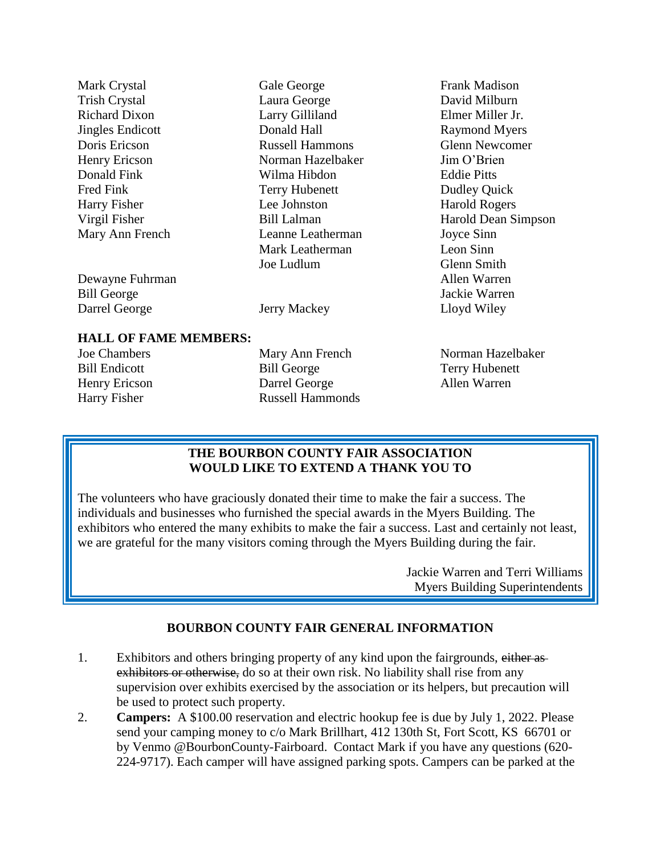| Mark Crystal                 | Gale George            | Frank Madison         |
|------------------------------|------------------------|-----------------------|
| <b>Trish Crystal</b>         | Laura George           | David Milburn         |
| <b>Richard Dixon</b>         | Larry Gilliland        | Elmer Miller Jr.      |
| <b>Jingles Endicott</b>      | Donald Hall            | <b>Raymond Myers</b>  |
| Doris Ericson                | <b>Russell Hammons</b> | <b>Glenn Newcomer</b> |
| Henry Ericson                | Norman Hazelbaker      | Jim O'Brien           |
| Donald Fink                  | Wilma Hibdon           | <b>Eddie Pitts</b>    |
| Fred Fink                    | <b>Terry Hubenett</b>  | <b>Dudley Quick</b>   |
| Harry Fisher                 | Lee Johnston           | <b>Harold Rogers</b>  |
| Virgil Fisher                | <b>Bill Lalman</b>     | Harold Dean Simpson   |
| Mary Ann French              | Leanne Leatherman      | Joyce Sinn            |
|                              | Mark Leatherman        | Leon Sinn             |
|                              | Joe Ludlum             | Glenn Smith           |
| Dewayne Fuhrman              |                        | Allen Warren          |
| <b>Bill George</b>           |                        | Jackie Warren         |
| Darrel George                | Jerry Mackey           | Lloyd Wiley           |
|                              |                        |                       |
| <b>HALL OF FAME MEMBERS:</b> |                        |                       |
| <b>Joe Chambers</b>          | Mary Ann French        | Norman Hazelbaker     |
| <b>Bill Endicott</b>         | <b>Bill George</b>     | Terry Hubenett        |

Bill Endicott Henry Ericson Harry Fisher

Bill George Darrel George Russell Hammonds

Terry Hubenett Allen Warren

# **THE BOURBON COUNTY FAIR ASSOCIATION WOULD LIKE TO EXTEND A THANK YOU TO**

The volunteers who have graciously donated their time to make the fair a success. The individuals and businesses who furnished the special awards in the Myers Building. The exhibitors who entered the many exhibits to make the fair a success. Last and certainly not least, we are grateful for the many visitors coming through the Myers Building during the fair.

> Jackie Warren and Terri Williams Myers Building Superintendents

# **BOURBON COUNTY FAIR GENERAL INFORMATION**

- 1. Exhibitors and others bringing property of any kind upon the fairgrounds, either asexhibitors or otherwise, do so at their own risk. No liability shall rise from any supervision over exhibits exercised by the association or its helpers, but precaution will be used to protect such property.
- 2. **Campers:** A \$100.00 reservation and electric hookup fee is due by July 1, 2022. Please send your camping money to c/o Mark Brillhart, 412 130th St, Fort Scott, KS 66701 or by Venmo @BourbonCounty-Fairboard. Contact Mark if you have any questions (620- 224-9717). Each camper will have assigned parking spots. Campers can be parked at the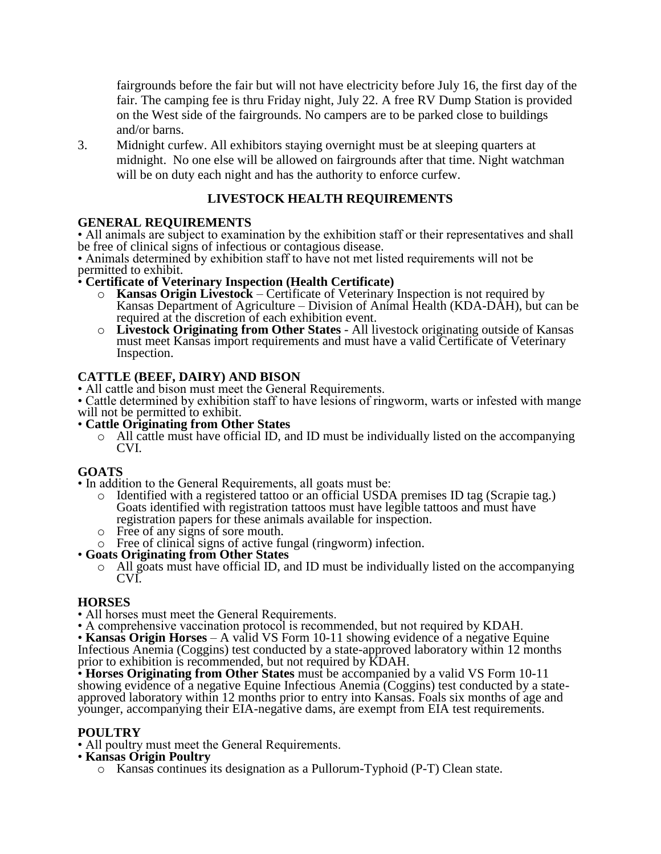fairgrounds before the fair but will not have electricity before July 16, the first day of the fair. The camping fee is thru Friday night, July 22. A free RV Dump Station is provided on the West side of the fairgrounds. No campers are to be parked close to buildings and/or barns.

3. Midnight curfew. All exhibitors staying overnight must be at sleeping quarters at midnight. No one else will be allowed on fairgrounds after that time. Night watchman will be on duty each night and has the authority to enforce curfew.

# **LIVESTOCK HEALTH REQUIREMENTS**

# **GENERAL REQUIREMENTS**

• All animals are subject to examination by the exhibition staff or their representatives and shall be free of clinical signs of infectious or contagious disease.

• Animals determined by exhibition staff to have not met listed requirements will not be permitted to exhibit.

#### • **Certificate of Veterinary Inspection (Health Certificate)**

- o **Kansas Origin Livestock** Certificate of Veterinary Inspection is not required by Kansas Department of Agriculture – Division of Animal Health (KDA-DAH), but can be required at the discretion of each exhibition event.
- o **Livestock Originating from Other States** All livestock originating outside of Kansas must meet Kansas import requirements and must have a valid Certificate of Veterinary Inspection.

# **CATTLE (BEEF, DAIRY) AND BISON**

- All cattle and bison must meet the General Requirements.
- Cattle determined by exhibition staff to have lesions of ringworm, warts or infested with mange will not be permitted to exhibit.
- **Cattle Originating from Other States**
	- $\circ$  All cattle must have official ID, and ID must be individually listed on the accompanying CVI.

# **GOATS**

- In addition to the General Requirements, all goats must be:
	- o Identified with a registered tattoo or an official USDA premises ID tag (Scrapie tag.) Goats identified with registration tattoos must have legible tattoos and must have registration papers for these animals available for inspection.
	- o Free of any signs of sore mouth.
	- o Free of clinical signs of active fungal (ringworm) infection.

#### • **Goats Originating from Other States**

 $\circ$  All goats must have official ID, and ID must be individually listed on the accompanying CVI.

#### **HORSES**

- All horses must meet the General Requirements.
- A comprehensive vaccination protocol is recommended, but not required by KDAH.

• **Kansas Origin Horses** – A valid VS Form 10-11 showing evidence of a negative Equine Infectious Anemia (Coggins) test conducted by a state-approved laboratory within 12 months prior to exhibition is recommended, but not required by KDAH.

• **Horses Originating from Other States** must be accompanied by a valid VS Form 10-11 showing evidence of a negative Equine Infectious Anemia (Coggins) test conducted by a stateapproved laboratory within 12 months prior to entry into Kansas. Foals six months of age and younger, accompanying their EIA-negative dams, are exempt from EIA test requirements.

#### **POULTRY**

- All poultry must meet the General Requirements.
- **Kansas Origin Poultry**
	- o Kansas continues its designation as a Pullorum-Typhoid (P-T) Clean state.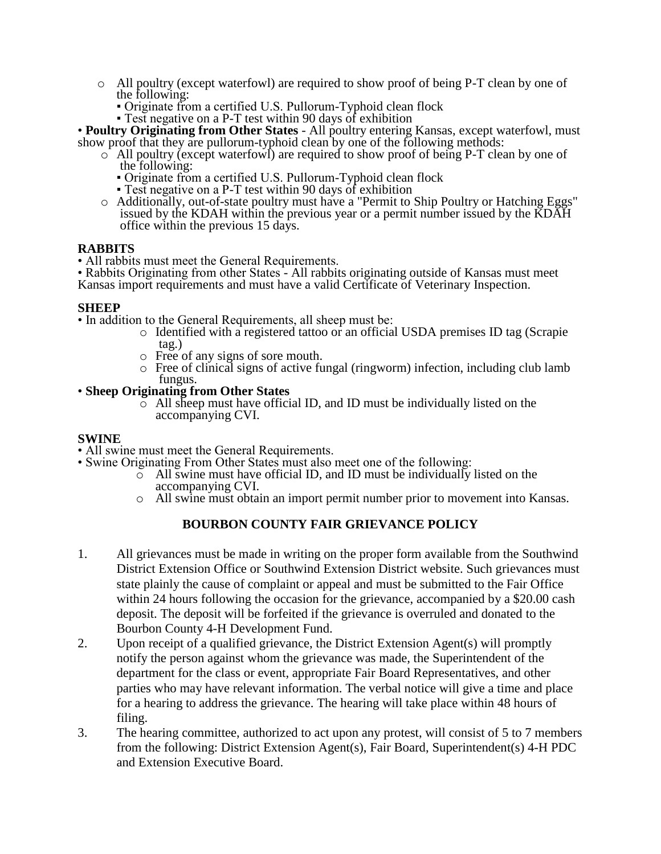- o All poultry (except waterfowl) are required to show proof of being P-T clean by one of the following:
	- Originate from a certified U.S. Pullorum-Typhoid clean flock
	- Test negative on a P-T test within 90 days of exhibition

• **Poultry Originating from Other States** - All poultry entering Kansas, except waterfowl, must show proof that they are pullorum-typhoid clean by one of the following methods:

- $\circ$  All poultry (except waterfowl) are required to show proof of being P-T clean by one of the following:
	- Originate from a certified U.S. Pullorum-Typhoid clean flock
	- Test negative on a P-T test within 90 days of exhibition
- o Additionally, out-of-state poultry must have a "Permit to Ship Poultry or Hatching Eggs" issued by the KDAH within the previous year or a permit number issued by the KDAH office within the previous 15 days.

#### **RABBITS**

• All rabbits must meet the General Requirements.

• Rabbits Originating from other States - All rabbits originating outside of Kansas must meet Kansas import requirements and must have a valid Certificate of Veterinary Inspection.

#### **SHEEP**

• In addition to the General Requirements, all sheep must be:

- o Identified with a registered tattoo or an official USDA premises ID tag (Scrapie tag.)
- o Free of any signs of sore mouth.
- o Free of clinical signs of active fungal (ringworm) infection, including club lamb fungus.

#### • **Sheep Originating from Other States**

 $\circ$  All sheep must have official ID, and ID must be individually listed on the accompanying CVI.

#### **SWINE**

- All swine must meet the General Requirements.
- Swine Originating From Other States must also meet one of the following:
	- $\overline{\circ}$  All swine must have official ID, and ID must be individually listed on the accompanying CVI.
	- o All swine must obtain an import permit number prior to movement into Kansas.

# **BOURBON COUNTY FAIR GRIEVANCE POLICY**

- 1. All grievances must be made in writing on the proper form available from the Southwind District Extension Office or Southwind Extension District website. Such grievances must state plainly the cause of complaint or appeal and must be submitted to the Fair Office within 24 hours following the occasion for the grievance, accompanied by a \$20.00 cash deposit. The deposit will be forfeited if the grievance is overruled and donated to the Bourbon County 4-H Development Fund.
- 2. Upon receipt of a qualified grievance, the District Extension Agent(s) will promptly notify the person against whom the grievance was made, the Superintendent of the department for the class or event, appropriate Fair Board Representatives, and other parties who may have relevant information. The verbal notice will give a time and place for a hearing to address the grievance. The hearing will take place within 48 hours of filing.
- 3. The hearing committee, authorized to act upon any protest, will consist of 5 to 7 members from the following: District Extension Agent(s), Fair Board, Superintendent(s) 4-H PDC and Extension Executive Board.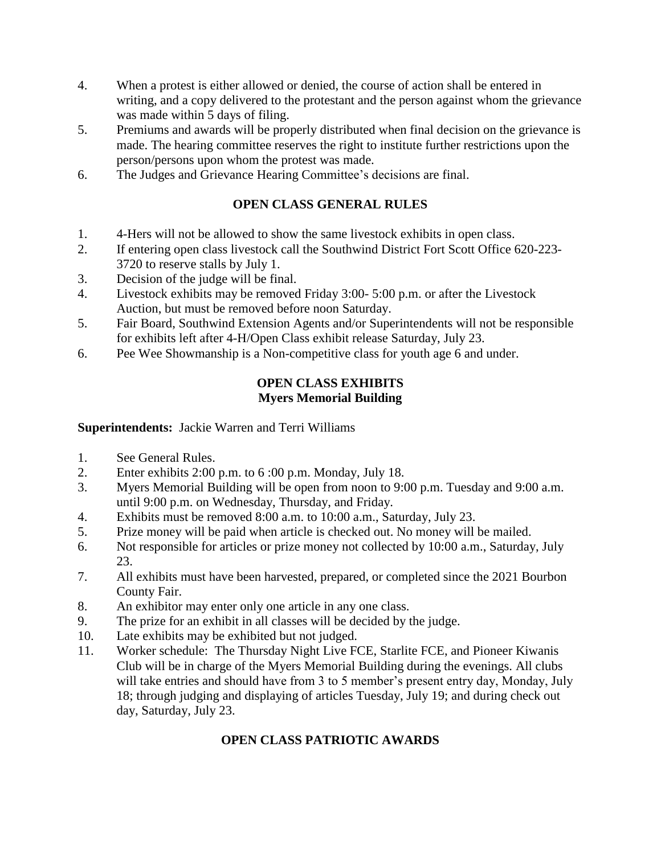- 4. When a protest is either allowed or denied, the course of action shall be entered in writing, and a copy delivered to the protestant and the person against whom the grievance was made within 5 days of filing.
- 5. Premiums and awards will be properly distributed when final decision on the grievance is made. The hearing committee reserves the right to institute further restrictions upon the person/persons upon whom the protest was made.
- 6. The Judges and Grievance Hearing Committee's decisions are final.

# **OPEN CLASS GENERAL RULES**

- 1. 4-Hers will not be allowed to show the same livestock exhibits in open class.
- 2. If entering open class livestock call the Southwind District Fort Scott Office 620-223- 3720 to reserve stalls by July 1.
- 3. Decision of the judge will be final.
- 4. Livestock exhibits may be removed Friday 3:00- 5:00 p.m. or after the Livestock Auction, but must be removed before noon Saturday.
- 5. Fair Board, Southwind Extension Agents and/or Superintendents will not be responsible for exhibits left after 4-H/Open Class exhibit release Saturday, July 23.
- 6. Pee Wee Showmanship is a Non-competitive class for youth age 6 and under.

### **OPEN CLASS EXHIBITS Myers Memorial Building**

# **Superintendents:** Jackie Warren and Terri Williams

- 1. See General Rules.
- 2. Enter exhibits 2:00 p.m. to 6 :00 p.m. Monday, July 18.
- 3. Myers Memorial Building will be open from noon to 9:00 p.m. Tuesday and 9:00 a.m. until 9:00 p.m. on Wednesday, Thursday, and Friday.
- 4. Exhibits must be removed 8:00 a.m. to 10:00 a.m., Saturday, July 23.
- 5. Prize money will be paid when article is checked out. No money will be mailed.
- 6. Not responsible for articles or prize money not collected by 10:00 a.m., Saturday, July 23.
- 7. All exhibits must have been harvested, prepared, or completed since the 2021 Bourbon County Fair.
- 8. An exhibitor may enter only one article in any one class.
- 9. The prize for an exhibit in all classes will be decided by the judge.
- 10. Late exhibits may be exhibited but not judged.
- 11. Worker schedule: The Thursday Night Live FCE, Starlite FCE, and Pioneer Kiwanis Club will be in charge of the Myers Memorial Building during the evenings. All clubs will take entries and should have from 3 to 5 member's present entry day, Monday, July 18; through judging and displaying of articles Tuesday, July 19; and during check out day, Saturday, July 23.

# **OPEN CLASS PATRIOTIC AWARDS**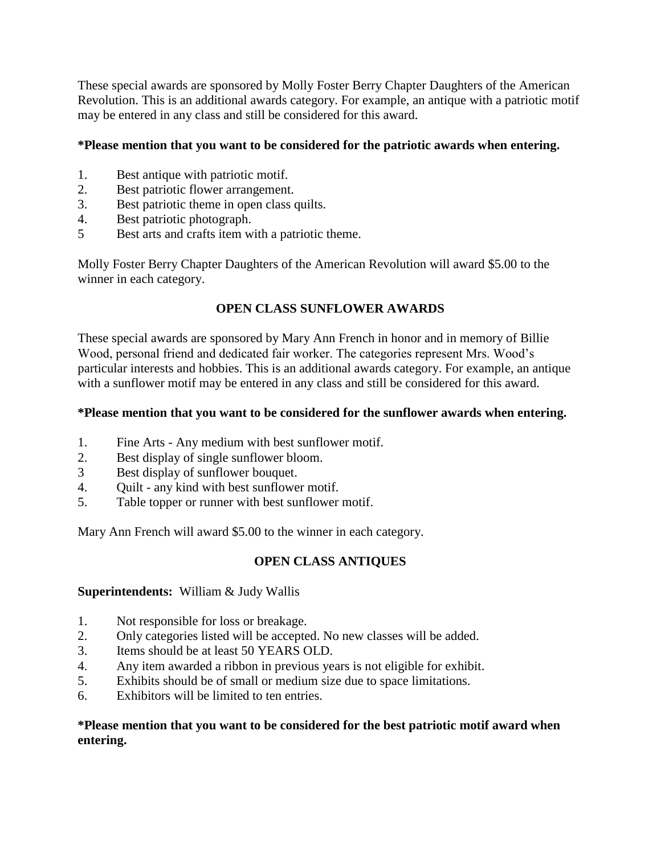These special awards are sponsored by Molly Foster Berry Chapter Daughters of the American Revolution. This is an additional awards category. For example, an antique with a patriotic motif may be entered in any class and still be considered for this award.

# **\*Please mention that you want to be considered for the patriotic awards when entering.**

- 1. Best antique with patriotic motif.
- 2. Best patriotic flower arrangement.
- 3. Best patriotic theme in open class quilts.
- 4. Best patriotic photograph.
- 5 Best arts and crafts item with a patriotic theme.

Molly Foster Berry Chapter Daughters of the American Revolution will award \$5.00 to the winner in each category.

# **OPEN CLASS SUNFLOWER AWARDS**

These special awards are sponsored by Mary Ann French in honor and in memory of Billie Wood, personal friend and dedicated fair worker. The categories represent Mrs. Wood's particular interests and hobbies. This is an additional awards category. For example, an antique with a sunflower motif may be entered in any class and still be considered for this award.

# **\*Please mention that you want to be considered for the sunflower awards when entering.**

- 1. Fine Arts Any medium with best sunflower motif.
- 2. Best display of single sunflower bloom.
- 3 Best display of sunflower bouquet.
- 4. Quilt any kind with best sunflower motif.
- 5. Table topper or runner with best sunflower motif.

Mary Ann French will award \$5.00 to the winner in each category.

# **OPEN CLASS ANTIQUES**

# **Superintendents:** William & Judy Wallis

- 1. Not responsible for loss or breakage.
- 2. Only categories listed will be accepted. No new classes will be added.
- 3. Items should be at least 50 YEARS OLD.
- 4. Any item awarded a ribbon in previous years is not eligible for exhibit.
- 5. Exhibits should be of small or medium size due to space limitations.
- 6. Exhibitors will be limited to ten entries.

# **\*Please mention that you want to be considered for the best patriotic motif award when entering.**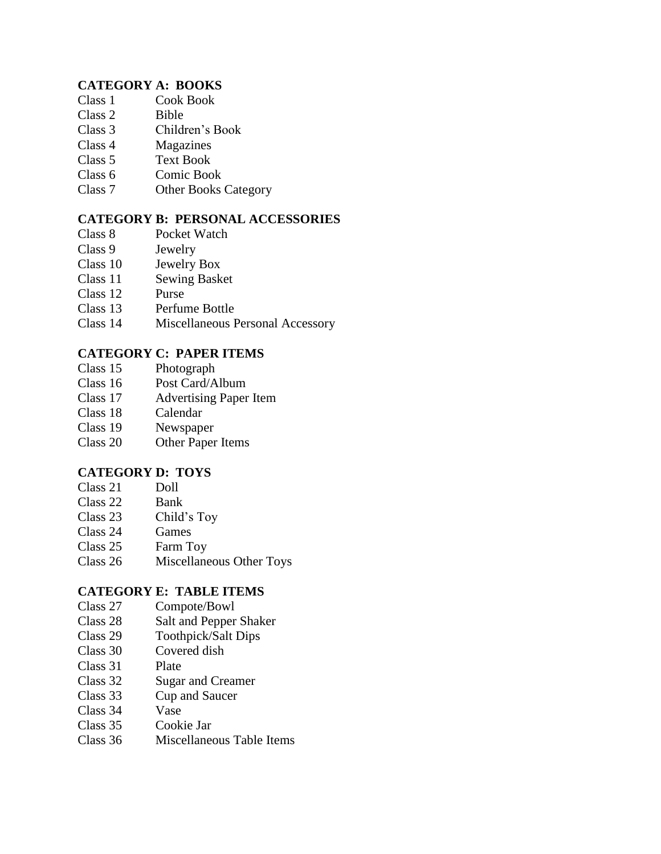# **CATEGORY A: BOOKS**

- Class 1 Cook Book
- Class 2 Bible
- Class 3 Children's Book
- Class 4 Magazines
- Class 5 Text Book
- Class 6 Comic Book
- Class 7 Other Books Category

# **CATEGORY B: PERSONAL ACCESSORIES**

- Class 8 Pocket Watch
- Class 9 Jewelry
- Class 10 Jewelry Box
- Class 11 Sewing Basket
- Class 12 Purse
- Class 13 Perfume Bottle
- Class 14 Miscellaneous Personal Accessory

# **CATEGORY C: PAPER ITEMS**

- Class 15 Photograph
- Class 16 Post Card/Album
- Class 17 Advertising Paper Item
- Class 18 Calendar
- Class 19 Newspaper
- Class 20 Other Paper Items

# **CATEGORY D: TOYS**

- Class 21 Doll
- Class 22 Bank
- Class 23 Child's Toy
- Class 24 Games
- Class 25 Farm Toy
- Class 26 Miscellaneous Other Toys

# **CATEGORY E: TABLE ITEMS**

- Class 27 Compote/Bowl
- Class 28 Salt and Pepper Shaker
- Class 29 Toothpick/Salt Dips
- Class 30 Covered dish
- Class 31 Plate
- Class 32 Sugar and Creamer
- Class 33 Cup and Saucer
- Class 34 Vase
- Class 35 Cookie Jar
- Class 36 Miscellaneous Table Items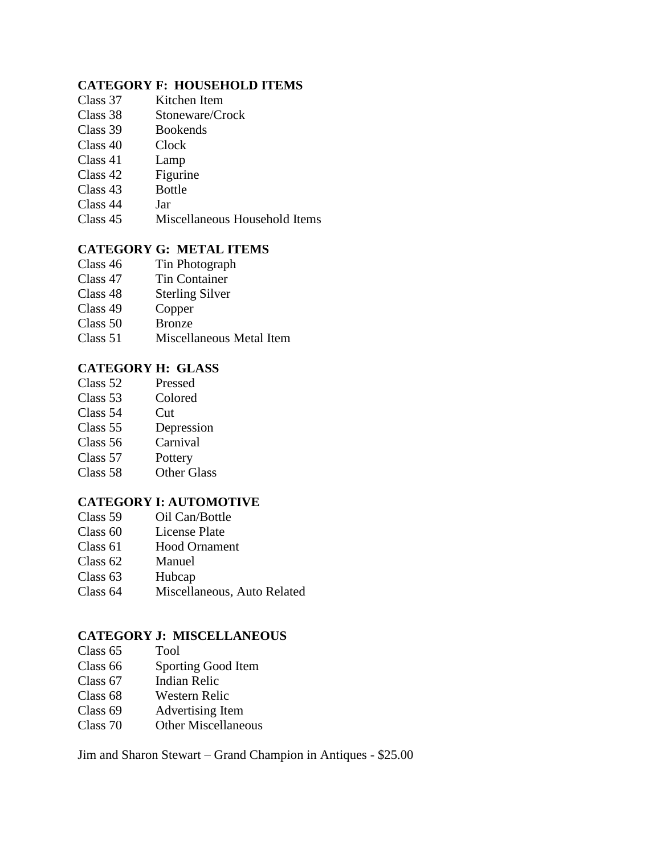# **CATEGORY F: HOUSEHOLD ITEMS**

- Class 37 Kitchen Item
- Class 38 Stoneware/Crock
- Class 39 Bookends
- Class 40 Clock
- Class 41 Lamp
- Class 42 Figurine
- Class 43 Bottle
- Class 44 Jar
- Class 45 Miscellaneous Household Items

# **CATEGORY G: METAL ITEMS**

- Class 46 Tin Photograph
- Class 47 Tin Container
- Class 48 Sterling Silver
- Class 49 Copper
- Class 50 Bronze
- Class 51 Miscellaneous Metal Item

# **CATEGORY H: GLASS**

- Class 52 Pressed
- Class 53 Colored
- Class 54 Cut
- Class 55 Depression
- Class 56 Carnival
- Class 57 Pottery
- Class 58 Other Glass

#### **CATEGORY I: AUTOMOTIVE**

- Class 59 Oil Can/Bottle
- Class 60 License Plate<br>Class 61 Hood Orname
- Hood Ornament
- Class 62 Manuel
- Class 63 Hubcap
- Class 64 Miscellaneous, Auto Related

#### **CATEGORY J: MISCELLANEOUS**

- Class 65 Tool
- Class 66 Sporting Good Item
- Class 67 Indian Relic
- Class 68 Western Relic
- Class 69 Advertising Item
- Class 70 Other Miscellaneous

Jim and Sharon Stewart – Grand Champion in Antiques - \$25.00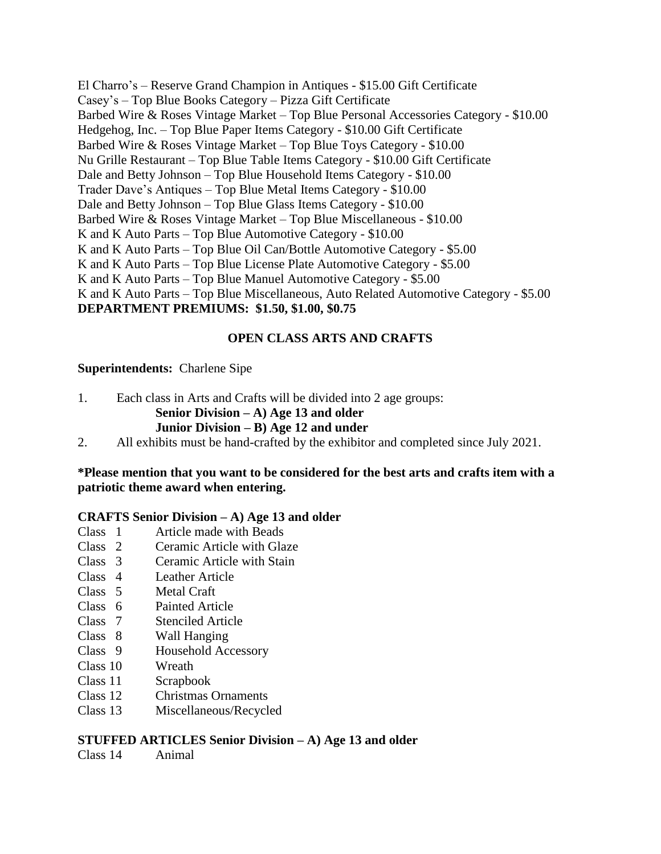El Charro's – Reserve Grand Champion in Antiques - \$15.00 Gift Certificate Casey's – Top Blue Books Category – Pizza Gift Certificate Barbed Wire & Roses Vintage Market – Top Blue Personal Accessories Category - \$10.00 Hedgehog, Inc. – Top Blue Paper Items Category - \$10.00 Gift Certificate Barbed Wire & Roses Vintage Market – Top Blue Toys Category - \$10.00 Nu Grille Restaurant – Top Blue Table Items Category - \$10.00 Gift Certificate Dale and Betty Johnson – Top Blue Household Items Category - \$10.00 Trader Dave's Antiques – Top Blue Metal Items Category - \$10.00 Dale and Betty Johnson – Top Blue Glass Items Category - \$10.00 Barbed Wire & Roses Vintage Market – Top Blue Miscellaneous - \$10.00 K and K Auto Parts – Top Blue Automotive Category - \$10.00 K and K Auto Parts – Top Blue Oil Can/Bottle Automotive Category - \$5.00 K and K Auto Parts – Top Blue License Plate Automotive Category - \$5.00 K and K Auto Parts – Top Blue Manuel Automotive Category - \$5.00 K and K Auto Parts – Top Blue Miscellaneous, Auto Related Automotive Category - \$5.00 **DEPARTMENT PREMIUMS: \$1.50, \$1.00, \$0.75**

# **OPEN CLASS ARTS AND CRAFTS**

#### **Superintendents:** Charlene Sipe

1. Each class in Arts and Crafts will be divided into 2 age groups: **Senior Division – A) Age 13 and older Junior Division – B) Age 12 and under** 

2. All exhibits must be hand-crafted by the exhibitor and completed since July 2021.

# **\*Please mention that you want to be considered for the best arts and crafts item with a patriotic theme award when entering.**

#### **CRAFTS Senior Division – A) Age 13 and older**

- Class 1 Article made with Beads<br>Class 2 Ceramic Article with Gla
- Ceramic Article with Glaze
- Class 3 Ceramic Article with Stain
- Class 4 Leather Article
- Class 5 Metal Craft
- Class 6 Painted Article
- Class 7 Stenciled Article
- Class 8 Wall Hanging
- Class 9 Household Accessory
- Class 10 Wreath
- Class 11 Scrapbook
- Class 12 Christmas Ornaments
- Class 13 Miscellaneous/Recycled

#### **STUFFED ARTICLES Senior Division – A) Age 13 and older**

Class 14 Animal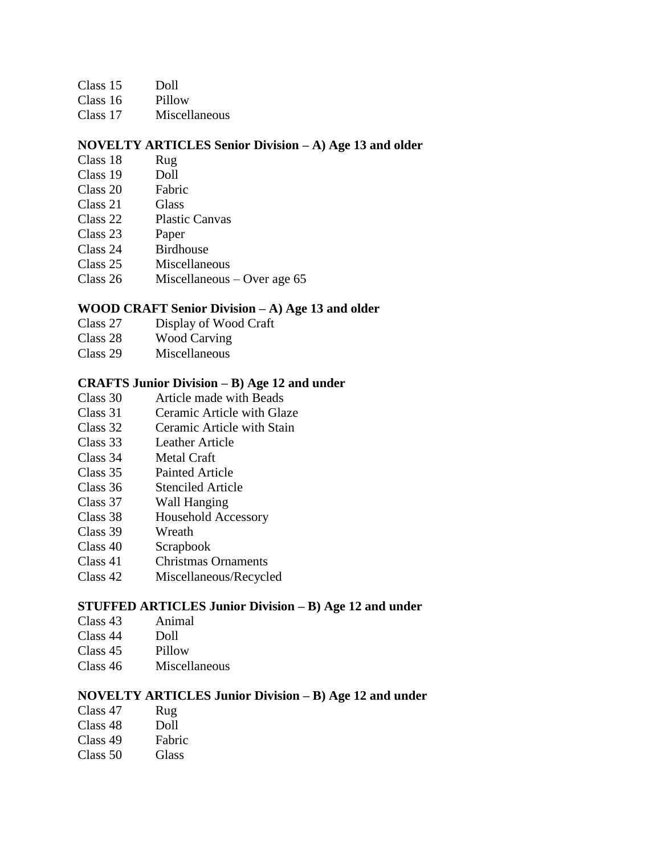- Class 15 Doll
- Class 16 Pillow
- Class 17 Miscellaneous

#### **NOVELTY ARTICLES Senior Division – A) Age 13 and older**

- Class 18 Rug
- Class 19 Doll
- Class 20 Fabric
- Class 21 Glass
- Class 22 Plastic Canvas
- Class 23 Paper
- Class 24 Birdhouse
- Class 25 Miscellaneous
- Class 26 Miscellaneous Over age 65

# **WOOD CRAFT Senior Division – A) Age 13 and older**

- Class 27 Display of Wood Craft
- Class 28 Wood Carving
- Class 29 Miscellaneous

#### **CRAFTS Junior Division – B) Age 12 and under**

- Class 30 Article made with Beads
- Class 31 Ceramic Article with Glaze
- Class 32 Ceramic Article with Stain
- Class 33 Leather Article
- Class 34 Metal Craft
- Class 35 Painted Article
- Class 36 Stenciled Article
- Class 37 Wall Hanging
- Class 38 Household Accessory
- Class 39 Wreath<br>Class 40 Scrapho
- Scrapbook
- Class 41 Christmas Ornaments
- Class 42 Miscellaneous/Recycled

#### **STUFFED ARTICLES Junior Division – B) Age 12 and under**

- Class 43 Animal
- Class 44 Doll
- Class 45 Pillow
- Class 46 Miscellaneous

#### **NOVELTY ARTICLES Junior Division – B) Age 12 and under**

- Class 47 Rug
- Class 48 Doll
- Class 49 Fabric
- Class 50 Glass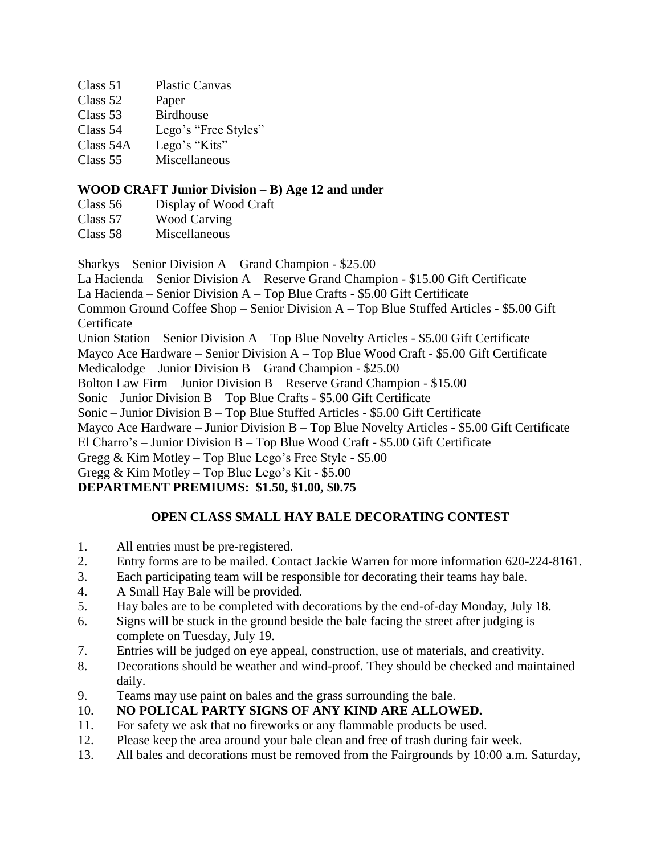|        | Class 51 | <b>Plastic Canvas</b> |
|--------|----------|-----------------------|
| $\sim$ |          |                       |

| Class 52  | Paper                |
|-----------|----------------------|
| Class 53  | <b>Birdhouse</b>     |
| Class 54  | Lego's "Free Styles" |
| Class 54A | Lego's "Kits"        |
| Class 55  | Miscellaneous        |

# **WOOD CRAFT Junior Division – B) Age 12 and under**

Class 56 Display of Wood Craft

Class 57 Wood Carving

Class 58 Miscellaneous

Sharkys – Senior Division A – Grand Champion - \$25.00

La Hacienda – Senior Division A – Reserve Grand Champion - \$15.00 Gift Certificate

La Hacienda – Senior Division A – Top Blue Crafts - \$5.00 Gift Certificate

Common Ground Coffee Shop – Senior Division A – Top Blue Stuffed Articles - \$5.00 Gift **Certificate** 

Union Station – Senior Division A – Top Blue Novelty Articles - \$5.00 Gift Certificate

Mayco Ace Hardware – Senior Division A – Top Blue Wood Craft - \$5.00 Gift Certificate

Medicalodge – Junior Division B – Grand Champion - \$25.00

Bolton Law Firm – Junior Division B – Reserve Grand Champion - \$15.00

Sonic – Junior Division B – Top Blue Crafts - \$5.00 Gift Certificate

Sonic – Junior Division B – Top Blue Stuffed Articles - \$5.00 Gift Certificate

Mayco Ace Hardware – Junior Division B – Top Blue Novelty Articles - \$5.00 Gift Certificate

El Charro's – Junior Division B – Top Blue Wood Craft - \$5.00 Gift Certificate

Gregg & Kim Motley – Top Blue Lego's Free Style - \$5.00

Gregg & Kim Motley – Top Blue Lego's Kit - \$5.00

# **DEPARTMENT PREMIUMS: \$1.50, \$1.00, \$0.75**

# **OPEN CLASS SMALL HAY BALE DECORATING CONTEST**

- 1. All entries must be pre-registered.
- 2. Entry forms are to be mailed. Contact Jackie Warren for more information 620-224-8161.
- 3. Each participating team will be responsible for decorating their teams hay bale.
- 4. A Small Hay Bale will be provided.
- 5. Hay bales are to be completed with decorations by the end-of-day Monday, July 18.
- 6. Signs will be stuck in the ground beside the bale facing the street after judging is complete on Tuesday, July 19.
- 7. Entries will be judged on eye appeal, construction, use of materials, and creativity.
- 8. Decorations should be weather and wind-proof. They should be checked and maintained daily.
- 9. Teams may use paint on bales and the grass surrounding the bale.

# 10. **NO POLICAL PARTY SIGNS OF ANY KIND ARE ALLOWED.**

- 11. For safety we ask that no fireworks or any flammable products be used.
- 12. Please keep the area around your bale clean and free of trash during fair week.
- 13. All bales and decorations must be removed from the Fairgrounds by 10:00 a.m. Saturday,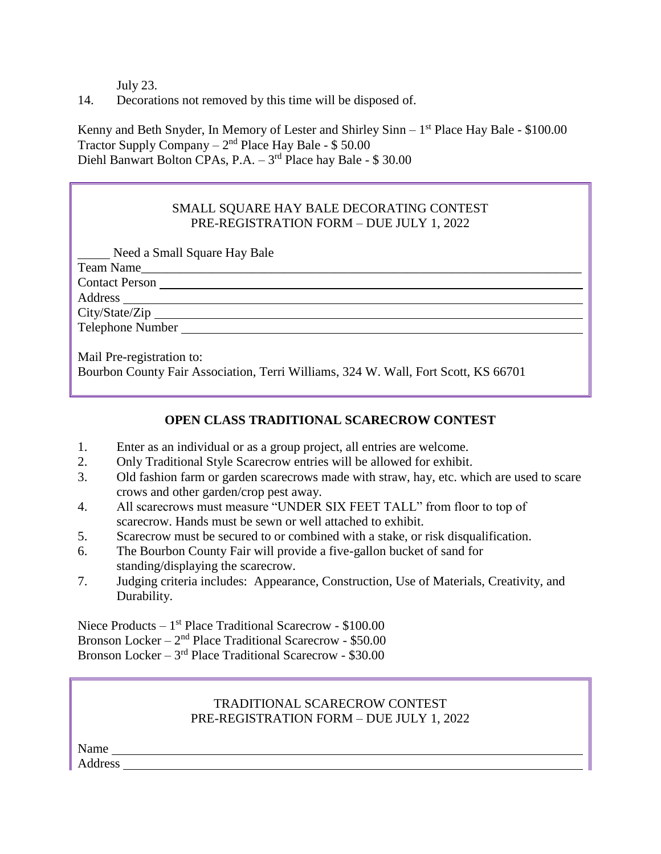July 23.

14. Decorations not removed by this time will be disposed of.

Kenny and Beth Snyder, In Memory of Lester and Shirley Sinn - 1<sup>st</sup> Place Hay Bale - \$100.00 Tractor Supply Company  $-2<sup>nd</sup>$  Place Hay Bale - \$50.00 Diehl Banwart Bolton CPAs, P.A. - 3<sup>rd</sup> Place hay Bale - \$ 30.00

# SMALL SQUARE HAY BALE DECORATING CONTEST PRE-REGISTRATION FORM – DUE JULY 1, 2022

Need a Small Square Hay Bale

Team Name\_\_\_\_\_\_\_\_\_\_\_\_\_\_\_\_\_\_\_\_\_\_\_\_\_\_\_\_\_\_\_\_\_\_\_\_\_\_\_\_\_\_\_\_\_\_\_\_\_\_\_\_\_\_\_\_\_\_\_\_\_\_\_\_\_\_\_\_ Contact Person Address City/State/Zip Telephone Number Mail Pre-registration to: Bourbon County Fair Association, Terri Williams, 324 W. Wall, Fort Scott, KS 66701

# **OPEN CLASS TRADITIONAL SCARECROW CONTEST**

- 1. Enter as an individual or as a group project, all entries are welcome.
- 2. Only Traditional Style Scarecrow entries will be allowed for exhibit.
- 3. Old fashion farm or garden scarecrows made with straw, hay, etc. which are used to scare crows and other garden/crop pest away.
- 4. All scarecrows must measure "UNDER SIX FEET TALL" from floor to top of scarecrow. Hands must be sewn or well attached to exhibit.
- 5. Scarecrow must be secured to or combined with a stake, or risk disqualification.
- 6. The Bourbon County Fair will provide a five-gallon bucket of sand for standing/displaying the scarecrow.
- 7. Judging criteria includes: Appearance, Construction, Use of Materials, Creativity, and Durability.

Niece Products – 1<sup>st</sup> Place Traditional Scarecrow - \$100.00 Bronson Locker – 2<sup>nd</sup> Place Traditional Scarecrow - \$50.00 Bronson Locker – 3<sup>rd</sup> Place Traditional Scarecrow - \$30.00

# TRADITIONAL SCARECROW CONTEST PRE-REGISTRATION FORM – DUE JULY 1, 2022

Name Address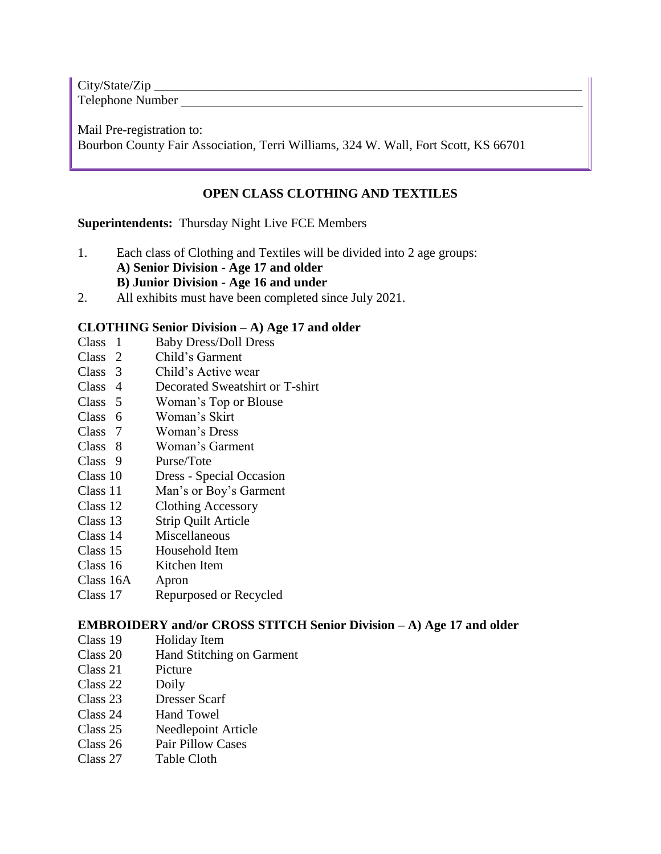City/State/Zip Telephone Number

Mail Pre-registration to: Bourbon County Fair Association, Terri Williams, 324 W. Wall, Fort Scott, KS 66701

# **OPEN CLASS CLOTHING AND TEXTILES**

# **Superintendents:** Thursday Night Live FCE Members

- 1. Each class of Clothing and Textiles will be divided into 2 age groups:
	- **A) Senior Division - Age 17 and older**

#### **B) Junior Division - Age 16 and under**

2. All exhibits must have been completed since July 2021.

# **CLOTHING Senior Division – A) Age 17 and older**

- Class 1 Baby Dress/Doll Dress
- Class 2 Child's Garment
- Class 3 Child's Active wear
- Class 4 Decorated Sweatshirt or T-shirt
- Class 5 Woman's Top or Blouse
- Class 6 Woman's Skirt
- Class 7 Woman's Dress
- Class 8 Woman's Garment
- Class 9 Purse/Tote
- Class 10 Dress Special Occasion
- Class 11 Man's or Boy's Garment
- Class 12 Clothing Accessory
- Class 13 Strip Quilt Article
- Class 14 Miscellaneous
- Class 15 Household Item
- Class 16 Kitchen Item
- Class 16A Apron
- Class 17 Repurposed or Recycled

# **EMBROIDERY and/or CROSS STITCH Senior Division – A) Age 17 and older**

- Class 19 Holiday Item
- Class 20 Hand Stitching on Garment
- Class 21 Picture
- Class 22 Doily
- Class 23 Dresser Scarf
- Class 24 Hand Towel
- Class 25 Needlepoint Article
- Class 26 Pair Pillow Cases
- Class 27 Table Cloth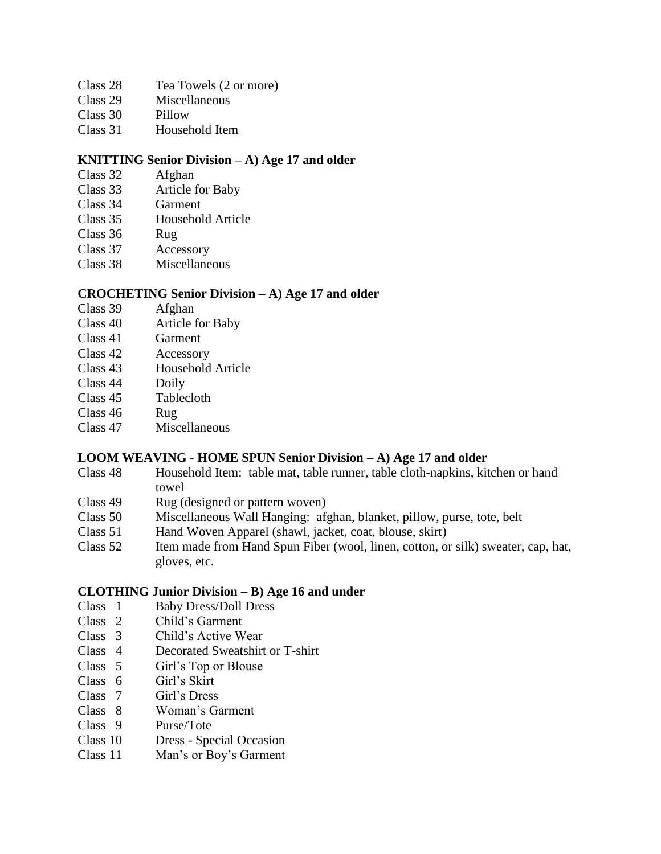- Class 28 Tea Towels (2 or more)
- Class 29 Miscellaneous
- Class 30 Pillow
- Class 31 Household Item

### **KNITTING Senior Division – A) Age 17 and older**

- Class 32 Afghan
- Class 33 Article for Baby
- Class 34 Garment
- Class 35 Household Article
- Class 36 Rug
- Class 37 Accessory
- Class 38 Miscellaneous

#### **CROCHETING Senior Division – A) Age 17 and older**

- Class 39 Afghan
- Class 40 Article for Baby
- Class 41 Garment
- Class 42 Accessory
- Class 43 Household Article
- Class 44 Doily
- Class 45 Tablecloth
- Class 46 Rug
- Class 47 Miscellaneous

#### **LOOM WEAVING - HOME SPUN Senior Division – A) Age 17 and older**

- Class 48 Household Item: table mat, table runner, table cloth-napkins, kitchen or hand towel
- Class 49 Rug (designed or pattern woven)
- Class 50 Miscellaneous Wall Hanging: afghan, blanket, pillow, purse, tote, belt
- Class 51 Hand Woven Apparel (shawl, jacket, coat, blouse, skirt)
- Class 52 Item made from Hand Spun Fiber (wool, linen, cotton, or silk) sweater, cap, hat, gloves, etc.

#### **CLOTHING Junior Division – B) Age 16 and under**

- Class 1 Baby Dress/Doll Dress
- Class 2 Child's Garment
- Class 3 Child's Active Wear
- Class 4 Decorated Sweatshirt or T-shirt
- Class 5 Girl's Top or Blouse
- Class 6 Girl's Skirt
- Class 7 Girl's Dress
- Class 8 Woman's Garment
- Class 9 Purse/Tote
- Class 10 Dress Special Occasion
- Class 11 Man's or Boy's Garment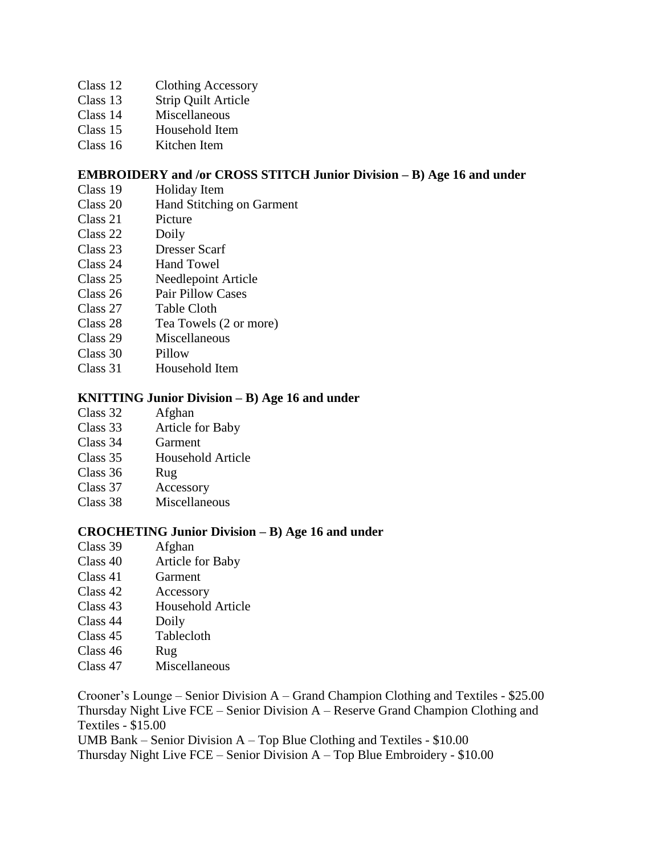- Class 12 Clothing Accessory
- Class 13 Strip Quilt Article
- Class 14 Miscellaneous
- Class 15 Household Item
- Class 16 Kitchen Item

#### **EMBROIDERY and /or CROSS STITCH Junior Division – B) Age 16 and under**

- Class 19 Holiday Item
- Class 20 Hand Stitching on Garment
- Class 21 Picture
- Class 22 Doily
- Class 23 Dresser Scarf
- Class 24 Hand Towel
- Class 25 Needlepoint Article
- Class 26 Pair Pillow Cases
- Class 27 Table Cloth<br>Class 28 Tea Towels
- Tea Towels (2 or more)
- Class 29 Miscellaneous
- Class 30 Pillow
- Class 31 Household Item

#### **KNITTING Junior Division – B) Age 16 and under**

- Class 32 Afghan
- Class 33 Article for Baby
- Class 34 Garment
- Class 35 Household Article
- Class 36 Rug
- Class 37 Accessory
- Class 38 Miscellaneous

#### **CROCHETING Junior Division – B) Age 16 and under**

- Class 39 Afghan
- Class 40 Article for Baby
- Class 41 Garment
- Class 42 Accessory
- Class 43 Household Article
- Class 44 Doily
- Class 45 Tablecloth
- Class 46 Rug
- Class 47 Miscellaneous

Crooner's Lounge – Senior Division A – Grand Champion Clothing and Textiles - \$25.00 Thursday Night Live FCE – Senior Division A – Reserve Grand Champion Clothing and Textiles - \$15.00

UMB Bank – Senior Division A – Top Blue Clothing and Textiles - \$10.00

Thursday Night Live FCE – Senior Division A – Top Blue Embroidery - \$10.00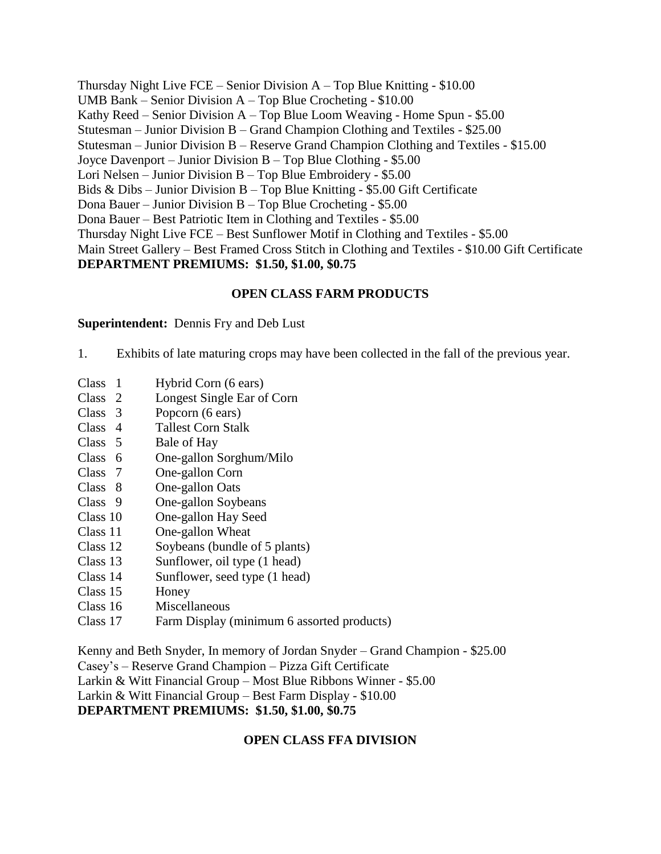Thursday Night Live FCE – Senior Division A – Top Blue Knitting - \$10.00 UMB Bank – Senior Division A – Top Blue Crocheting - \$10.00 Kathy Reed – Senior Division A – Top Blue Loom Weaving - Home Spun - \$5.00 Stutesman – Junior Division B – Grand Champion Clothing and Textiles - \$25.00 Stutesman – Junior Division B – Reserve Grand Champion Clothing and Textiles - \$15.00 Joyce Davenport – Junior Division B – Top Blue Clothing - \$5.00 Lori Nelsen – Junior Division B – Top Blue Embroidery - \$5.00 Bids & Dibs – Junior Division B – Top Blue Knitting - \$5.00 Gift Certificate Dona Bauer – Junior Division B – Top Blue Crocheting - \$5.00 Dona Bauer – Best Patriotic Item in Clothing and Textiles - \$5.00 Thursday Night Live FCE – Best Sunflower Motif in Clothing and Textiles - \$5.00 Main Street Gallery – Best Framed Cross Stitch in Clothing and Textiles - \$10.00 Gift Certificate **DEPARTMENT PREMIUMS: \$1.50, \$1.00, \$0.75**

# **OPEN CLASS FARM PRODUCTS**

#### **Superintendent:** Dennis Fry and Deb Lust

- 1. Exhibits of late maturing crops may have been collected in the fall of the previous year.
- Class 1 Hybrid Corn (6 ears)
- Class 2 Longest Single Ear of Corn
- Class 3 Popcorn (6 ears)
- Class 4 Tallest Corn Stalk
- Class 5 Bale of Hay
- Class 6 One-gallon Sorghum/Milo
- Class 7 One-gallon Corn
- Class 8 One-gallon Oats
- Class 9 One-gallon Soybeans
- Class 10 One-gallon Hay Seed
- Class 11 One-gallon Wheat
- Class 12 Soybeans (bundle of 5 plants)
- Class 13 Sunflower, oil type (1 head)
- Class 14 Sunflower, seed type (1 head)
- Class 15 Honey
- Class 16 Miscellaneous
- Class 17 Farm Display (minimum 6 assorted products)

Kenny and Beth Snyder, In memory of Jordan Snyder – Grand Champion - \$25.00 Casey's – Reserve Grand Champion – Pizza Gift Certificate Larkin & Witt Financial Group – Most Blue Ribbons Winner - \$5.00 Larkin & Witt Financial Group – Best Farm Display - \$10.00 **DEPARTMENT PREMIUMS: \$1.50, \$1.00, \$0.75**

#### **OPEN CLASS FFA DIVISION**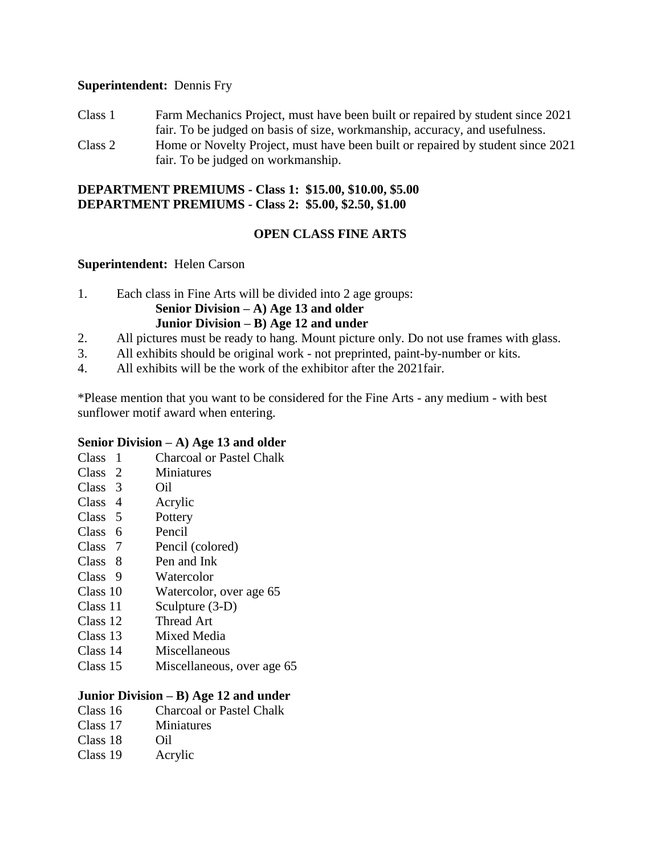#### **Superintendent:** Dennis Fry

Class 1 Farm Mechanics Project, must have been built or repaired by student since 2021 fair. To be judged on basis of size, workmanship, accuracy, and usefulness. Class 2 Home or Novelty Project, must have been built or repaired by student since 2021 fair. To be judged on workmanship.

# **DEPARTMENT PREMIUMS - Class 1: \$15.00, \$10.00, \$5.00 DEPARTMENT PREMIUMS - Class 2: \$5.00, \$2.50, \$1.00**

# **OPEN CLASS FINE ARTS**

#### **Superintendent:** Helen Carson

1. Each class in Fine Arts will be divided into 2 age groups:

#### **Senior Division – A) Age 13 and older Junior Division – B) Age 12 and under**

- 2. All pictures must be ready to hang. Mount picture only. Do not use frames with glass.
- 3. All exhibits should be original work not preprinted, paint-by-number or kits.
- 4. All exhibits will be the work of the exhibitor after the 2021fair.

\*Please mention that you want to be considered for the Fine Arts - any medium - with best sunflower motif award when entering.

#### **Senior Division – A) Age 13 and older**

- Class 1 Charcoal or Pastel Chalk
- Class 2 Miniatures
- Class 3 Oil
- Class 4 Acrylic
- Class 5 Pottery
- Class 6 Pencil
- Pencil (colored)
- Class 8 Pen and Ink
- Class 9 Watercolor
- Class 10 Watercolor, over age 65
- Class 11 Sculpture (3-D)
- Class 12 Thread Art
- Class 13 Mixed Media
- Class 14 Miscellaneous
- Class 15 Miscellaneous, over age 65

# **Junior Division – B) Age 12 and under**

- Class 16 Charcoal or Pastel Chalk
- Class 17 Miniatures
- Class 18 Oil
- Class 19 Acrylic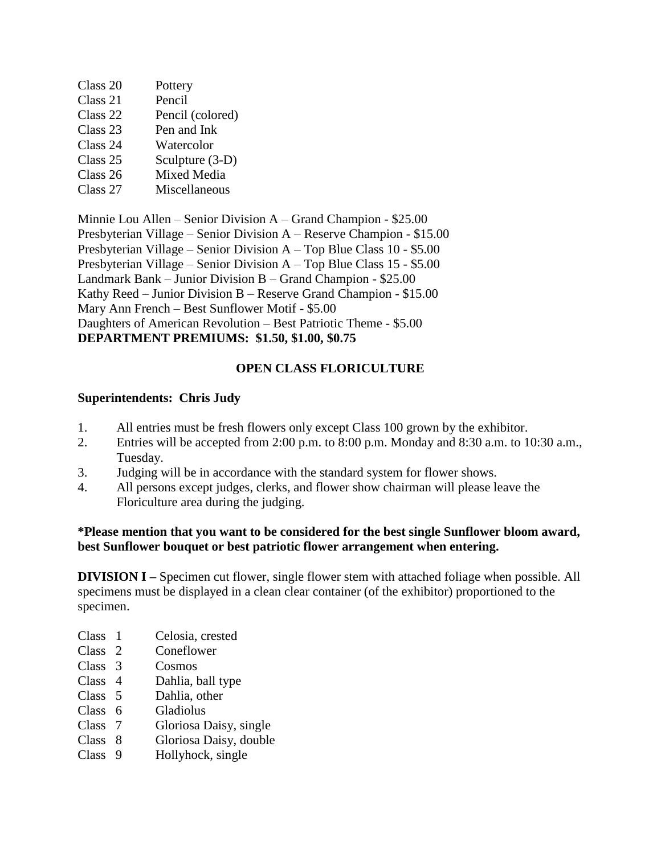| Class 20 | Pottery          |
|----------|------------------|
| Class 21 | Pencil           |
| Class 22 | Pencil (colored) |
| Class 23 | Pen and Ink      |
| Class 24 | Watercolor       |
| Class 25 | Sculpture (3-D)  |
| Class 26 | Mixed Media      |
| Class 27 | Miscellaneous    |

Minnie Lou Allen – Senior Division A – Grand Champion - \$25.00 Presbyterian Village – Senior Division A – Reserve Champion - \$15.00 Presbyterian Village – Senior Division A – Top Blue Class 10 - \$5.00 Presbyterian Village – Senior Division A – Top Blue Class 15 - \$5.00 Landmark Bank – Junior Division B – Grand Champion - \$25.00 Kathy Reed – Junior Division B – Reserve Grand Champion - \$15.00 Mary Ann French – Best Sunflower Motif - \$5.00 Daughters of American Revolution – Best Patriotic Theme - \$5.00 **DEPARTMENT PREMIUMS: \$1.50, \$1.00, \$0.75**

# **OPEN CLASS FLORICULTURE**

#### **Superintendents: Chris Judy**

- 1. All entries must be fresh flowers only except Class 100 grown by the exhibitor.
- 2. Entries will be accepted from 2:00 p.m. to 8:00 p.m. Monday and 8:30 a.m. to 10:30 a.m., Tuesday.
- 3. Judging will be in accordance with the standard system for flower shows.
- 4. All persons except judges, clerks, and flower show chairman will please leave the Floriculture area during the judging.

#### **\*Please mention that you want to be considered for the best single Sunflower bloom award, best Sunflower bouquet or best patriotic flower arrangement when entering.**

**DIVISION I** – Specimen cut flower, single flower stem with attached foliage when possible. All specimens must be displayed in a clean clear container (of the exhibitor) proportioned to the specimen.

- Class 1 Celosia, crested
- Class 2 Coneflower
- Class 3 Cosmos
- Class 4 Dahlia, ball type
- Class 5 Dahlia, other
- Class 6 Gladiolus
- Class 7 Gloriosa Daisy, single
- Class 8 Gloriosa Daisy, double
- Class 9 Hollyhock, single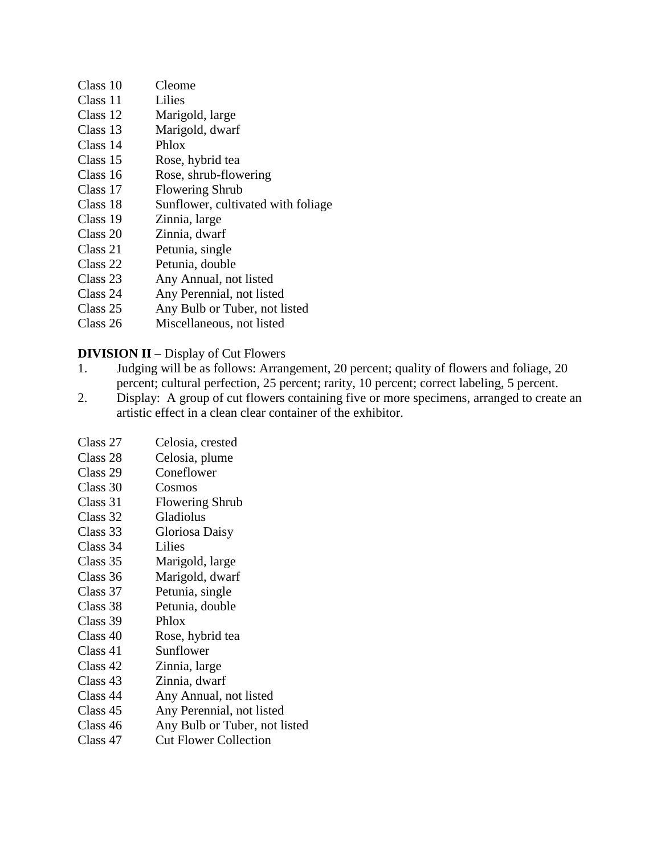- Class 10 Cleome
- Class 11 Lilies
- Class 12 Marigold, large
- Class 13 Marigold, dwarf
- Class 14 Phlox
- Class 15 Rose, hybrid tea
- Class 16 Rose, shrub-flowering
- Class 17 Flowering Shrub
- Class 18 Sunflower, cultivated with foliage
- Class 19 Zinnia, large
- Class 20 Zinnia, dwarf
- Class 21 Petunia, single
- Class 22 Petunia, double
- Class 23 Any Annual, not listed
- Class 24 Any Perennial, not listed
- Class 25 Any Bulb or Tuber, not listed
- Class 26 Miscellaneous, not listed

**DIVISION II** – Display of Cut Flowers

- 1. Judging will be as follows: Arrangement, 20 percent; quality of flowers and foliage, 20 percent; cultural perfection, 25 percent; rarity, 10 percent; correct labeling, 5 percent.
- 2. Display: A group of cut flowers containing five or more specimens, arranged to create an artistic effect in a clean clear container of the exhibitor.
- Class 27 Celosia, crested
- Class 28 Celosia, plume
- Class 29 Coneflower
- Class 30 Cosmos
- Class 31 Flowering Shrub
- Class 32 Gladiolus
- Class 33 Gloriosa Daisy
- Class 34 Lilies
- Class 35 Marigold, large
- Class 36 Marigold, dwarf
- Class 37 Petunia, single
- Class 38 Petunia, double
- Class 39 Phlox
- Class 40 Rose, hybrid tea
- Class 41 Sunflower
- Class 42 Zinnia, large
- Class 43 Zinnia, dwarf
- Class 44 Any Annual, not listed
- Class 45 Any Perennial, not listed
- Class 46 Any Bulb or Tuber, not listed
- Class 47 Cut Flower Collection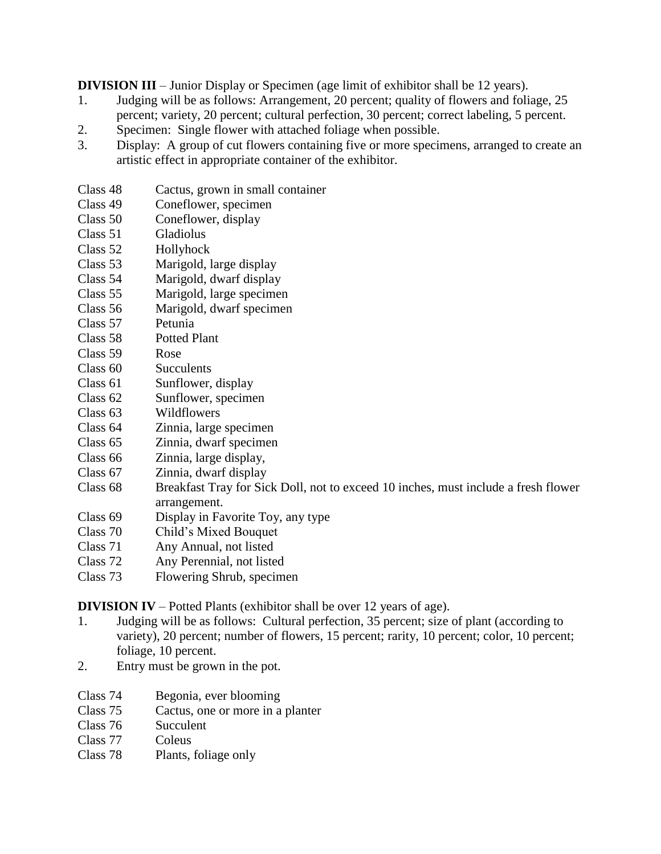**DIVISION III** – Junior Display or Specimen (age limit of exhibitor shall be 12 years).

- 1. Judging will be as follows: Arrangement, 20 percent; quality of flowers and foliage, 25 percent; variety, 20 percent; cultural perfection, 30 percent; correct labeling, 5 percent.
- 2. Specimen: Single flower with attached foliage when possible.
- 3. Display: A group of cut flowers containing five or more specimens, arranged to create an artistic effect in appropriate container of the exhibitor.
- Class 48 Cactus, grown in small container
- Class 49 Coneflower, specimen
- Class 50 Coneflower, display
- Class 51 Gladiolus
- Class 52 Hollyhock
- Class 53 Marigold, large display
- Class 54 Marigold, dwarf display
- Class 55 Marigold, large specimen
- Class 56 Marigold, dwarf specimen
- Class 57 Petunia
- Class 58 Potted Plant
- Class 59 Rose
- Class 60 Succulents
- Class 61 Sunflower, display
- Class 62 Sunflower, specimen
- Class 63 Wildflowers
- Class 64 Zinnia, large specimen
- Class 65 Zinnia, dwarf specimen
- Class 66 Zinnia, large display,
- Class 67 Zinnia, dwarf display
- Class 68 Breakfast Tray for Sick Doll, not to exceed 10 inches, must include a fresh flower arrangement.
- Class 69 Display in Favorite Toy, any type
- Class 70 Child's Mixed Bouquet<br>Class 71 Any Annual, not listed
- Any Annual, not listed
- Class 72 Any Perennial, not listed
- Class 73 Flowering Shrub, specimen

**DIVISION IV** – Potted Plants (exhibitor shall be over 12 years of age).

- 1. Judging will be as follows: Cultural perfection, 35 percent; size of plant (according to variety), 20 percent; number of flowers, 15 percent; rarity, 10 percent; color, 10 percent; foliage, 10 percent.
- 2. Entry must be grown in the pot.
- Class 74 Begonia, ever blooming
- Class 75 Cactus, one or more in a planter
- Class 76 Succulent
- Class 77 Coleus
- Class 78 Plants, foliage only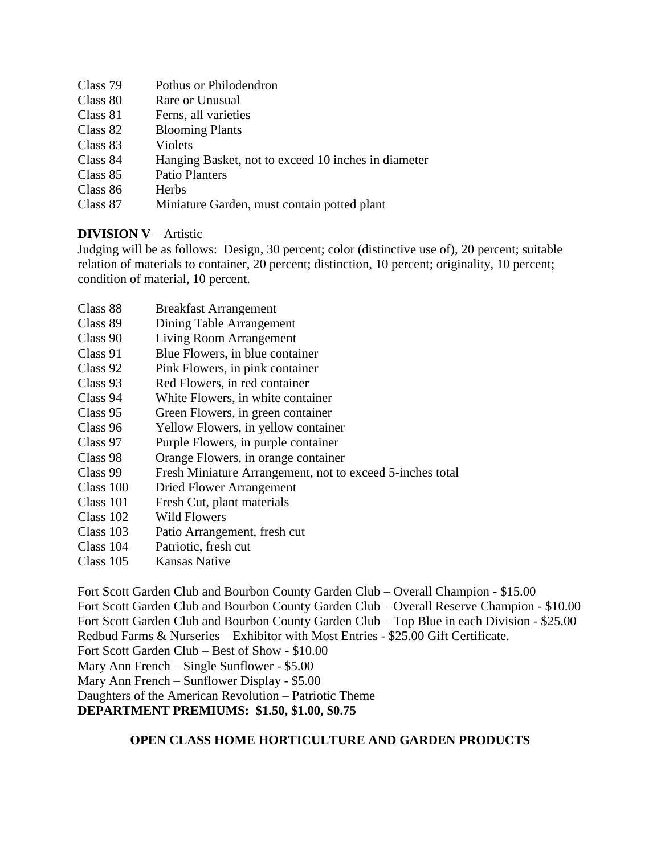| Class 79 | Pothus or Philodendron                              |
|----------|-----------------------------------------------------|
| Class 80 | Rare or Unusual                                     |
| Class 81 | Ferns, all varieties                                |
| Class 82 | <b>Blooming Plants</b>                              |
| Class 83 | Violets                                             |
| Class 84 | Hanging Basket, not to exceed 10 inches in diameter |
| Class 85 | <b>Patio Planters</b>                               |
| Class 86 | <b>Herbs</b>                                        |
| Class 87 | Miniature Garden, must contain potted plant         |

# **DIVISION V** – Artistic

Judging will be as follows: Design, 30 percent; color (distinctive use of), 20 percent; suitable relation of materials to container, 20 percent; distinction, 10 percent; originality, 10 percent; condition of material, 10 percent.

- Class 88 Breakfast Arrangement
- Class 89 Dining Table Arrangement
- Class 90 Living Room Arrangement
- Class 91 Blue Flowers, in blue container
- Class 92 Pink Flowers, in pink container
- Class 93 Red Flowers, in red container
- Class 94 White Flowers, in white container
- Class 95 Green Flowers, in green container
- Class 96 Yellow Flowers, in yellow container
- Class 97 Purple Flowers, in purple container
- Class 98 Orange Flowers, in orange container
- Class 99 Fresh Miniature Arrangement, not to exceed 5-inches total
- Class 100 Dried Flower Arrangement
- Class 101 Fresh Cut, plant materials
- Class 102 Wild Flowers
- Class 103 Patio Arrangement, fresh cut
- Class 104 Patriotic, fresh cut
- Class 105 Kansas Native

Fort Scott Garden Club and Bourbon County Garden Club – Overall Champion - \$15.00 Fort Scott Garden Club and Bourbon County Garden Club – Overall Reserve Champion - \$10.00 Fort Scott Garden Club and Bourbon County Garden Club – Top Blue in each Division - \$25.00 Redbud Farms & Nurseries – Exhibitor with Most Entries - \$25.00 Gift Certificate. Fort Scott Garden Club – Best of Show - \$10.00 Mary Ann French – Single Sunflower - \$5.00 Mary Ann French – Sunflower Display - \$5.00 Daughters of the American Revolution – Patriotic Theme **DEPARTMENT PREMIUMS: \$1.50, \$1.00, \$0.75**

# **OPEN CLASS HOME HORTICULTURE AND GARDEN PRODUCTS**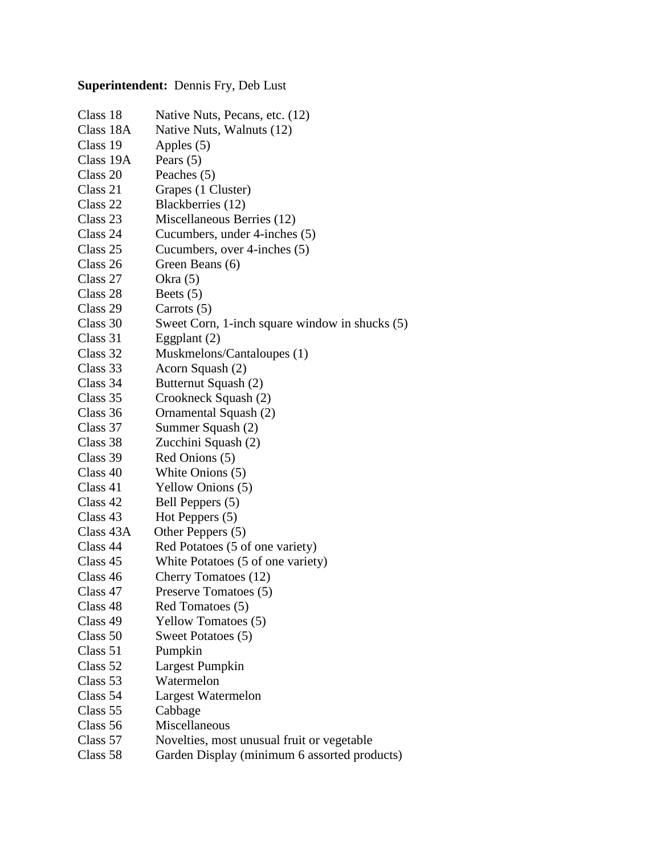# **Superintendent:** Dennis Fry, Deb Lust

| Class 18  | Native Nuts, Pecans, etc. (12)                 |
|-----------|------------------------------------------------|
| Class 18A | Native Nuts, Walnuts (12)                      |
| Class 19  | Apples (5)                                     |
| Class 19A | Pears $(5)$                                    |
| Class 20  | Peaches $(5)$                                  |
| Class 21  | Grapes (1 Cluster)                             |
| Class 22  | Blackberries (12)                              |
| Class 23  | Miscellaneous Berries (12)                     |
| Class 24  | Cucumbers, under 4-inches (5)                  |
| Class 25  | Cucumbers, over 4-inches (5)                   |
| Class 26  | Green Beans (6)                                |
| Class 27  | Okra $(5)$                                     |
| Class 28  | Beets $(5)$                                    |
| Class 29  | Carrots (5)                                    |
| Class 30  | Sweet Corn, 1-inch square window in shucks (5) |
| Class 31  | Eggplant (2)                                   |
| Class 32  | Muskmelons/Cantaloupes (1)                     |
| Class 33  | Acorn Squash (2)                               |
| Class 34  | Butternut Squash (2)                           |
| Class 35  | Crookneck Squash (2)                           |
| Class 36  | Ornamental Squash (2)                          |
| Class 37  | Summer Squash (2)                              |
| Class 38  | Zucchini Squash (2)                            |
| Class 39  | Red Onions (5)                                 |
| Class 40  | White Onions (5)                               |
| Class 41  | Yellow Onions (5)                              |
| Class 42  | Bell Peppers (5)                               |
| Class 43  | Hot Peppers $(5)$                              |
| Class 43A | Other Peppers (5)                              |
| Class 44  | Red Potatoes (5 of one variety)                |
| Class 45  | White Potatoes (5 of one variety)              |
| Class 46  | Cherry Tomatoes (12)                           |
| Class 47  | Preserve Tomatoes (5)                          |
| Class 48  | Red Tomatoes (5)                               |
| Class 49  | <b>Yellow Tomatoes (5)</b>                     |
| Class 50  | Sweet Potatoes (5)                             |
| Class 51  | Pumpkin                                        |
| Class 52  | Largest Pumpkin                                |
| Class 53  | Watermelon                                     |
| Class 54  | Largest Watermelon                             |
| Class 55  | Cabbage                                        |
| Class 56  | Miscellaneous                                  |
| Class 57  | Novelties, most unusual fruit or vegetable     |
| Class 58  | Garden Display (minimum 6 assorted products)   |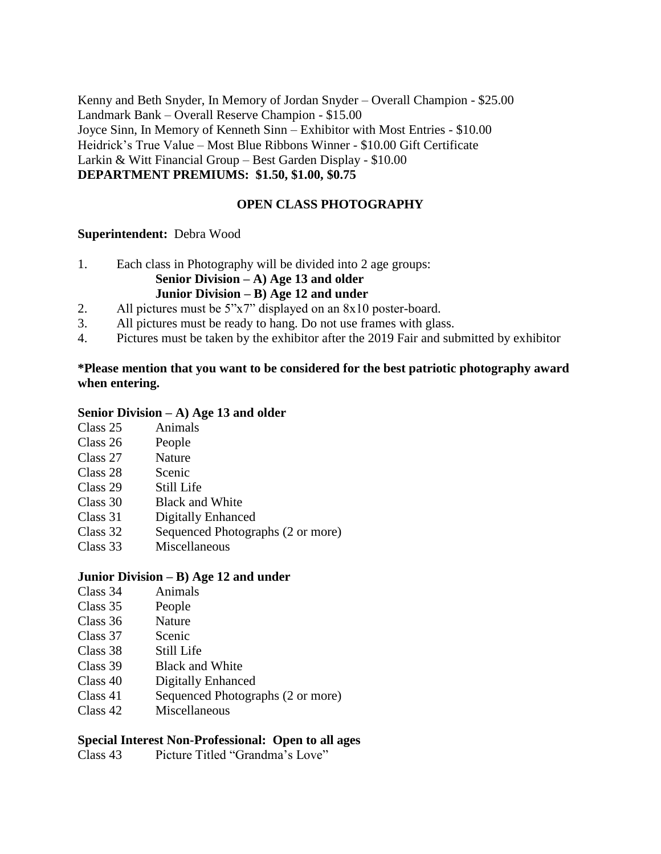Kenny and Beth Snyder, In Memory of Jordan Snyder – Overall Champion - \$25.00 Landmark Bank – Overall Reserve Champion - \$15.00 Joyce Sinn, In Memory of Kenneth Sinn – Exhibitor with Most Entries - \$10.00 Heidrick's True Value – Most Blue Ribbons Winner - \$10.00 Gift Certificate Larkin & Witt Financial Group – Best Garden Display - \$10.00 **DEPARTMENT PREMIUMS: \$1.50, \$1.00, \$0.75**

### **OPEN CLASS PHOTOGRAPHY**

#### **Superintendent:** Debra Wood

- 1. Each class in Photography will be divided into 2 age groups: **Senior Division – A) Age 13 and older Junior Division – B) Age 12 and under**
- 2. All pictures must be 5"x7" displayed on an 8x10 poster-board.
- 3. All pictures must be ready to hang. Do not use frames with glass.
- 4. Pictures must be taken by the exhibitor after the 2019 Fair and submitted by exhibitor

### **\*Please mention that you want to be considered for the best patriotic photography award when entering.**

#### **Senior Division – A) Age 13 and older**

- Class 25 Animals
- Class 26 People
- Class 27 Nature
- Class 28 Scenic
- Class 29 Still Life
- Class 30 Black and White
- Class 31 Digitally Enhanced
- Class 32 Sequenced Photographs (2 or more)
- Class 33 Miscellaneous

#### **Junior Division – B) Age 12 and under**

- Class 34 Animals
- Class 35 People
- Class 36 Nature
- Class 37 Scenic
- Class 38 Still Life
- Class 39 Black and White
- Class 40 Digitally Enhanced
- Class 41 Sequenced Photographs (2 or more)
- Class 42 Miscellaneous

#### **Special Interest Non-Professional: Open to all ages**

Class 43 Picture Titled "Grandma's Love"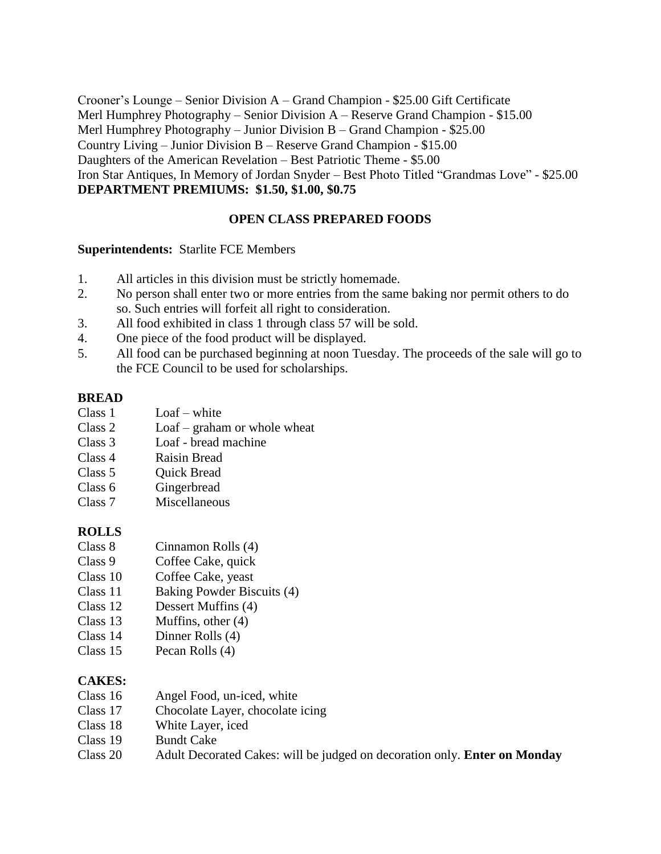Crooner's Lounge – Senior Division A – Grand Champion - \$25.00 Gift Certificate Merl Humphrey Photography – Senior Division A – Reserve Grand Champion - \$15.00 Merl Humphrey Photography – Junior Division B – Grand Champion - \$25.00 Country Living – Junior Division B – Reserve Grand Champion - \$15.00 Daughters of the American Revelation – Best Patriotic Theme - \$5.00 Iron Star Antiques, In Memory of Jordan Snyder – Best Photo Titled "Grandmas Love" - \$25.00 **DEPARTMENT PREMIUMS: \$1.50, \$1.00, \$0.75**

# **OPEN CLASS PREPARED FOODS**

#### **Superintendents:** Starlite FCE Members

- 1. All articles in this division must be strictly homemade.
- 2. No person shall enter two or more entries from the same baking nor permit others to do so. Such entries will forfeit all right to consideration.
- 3. All food exhibited in class 1 through class 57 will be sold.
- 4. One piece of the food product will be displayed.
- 5. All food can be purchased beginning at noon Tuesday. The proceeds of the sale will go to the FCE Council to be used for scholarships.

#### **BREAD**

- Class 1 Loaf white
- Class 2 Loaf graham or whole wheat
- Class 3 Loaf bread machine
- Class 4 Raisin Bread
- Class 5 Ouick Bread
- Class 6 Gingerbread
- Class 7 Miscellaneous

#### **ROLLS**

- Class 8 Cinnamon Rolls (4)
- Class 9 Coffee Cake, quick
- Class 10 Coffee Cake, yeast
- Class 11 Baking Powder Biscuits (4)
- Class 12 Dessert Muffins (4)
- Class 13 Muffins, other (4)
- Class 14 Dinner Rolls (4)
- Class 15 Pecan Rolls (4)

#### **CAKES:**

- Class 16 Angel Food, un-iced, white
- Class 17 Chocolate Layer, chocolate icing
- Class 18 White Layer, iced
- Class 19 Bundt Cake
- Class 20 Adult Decorated Cakes: will be judged on decoration only. **Enter on Monday**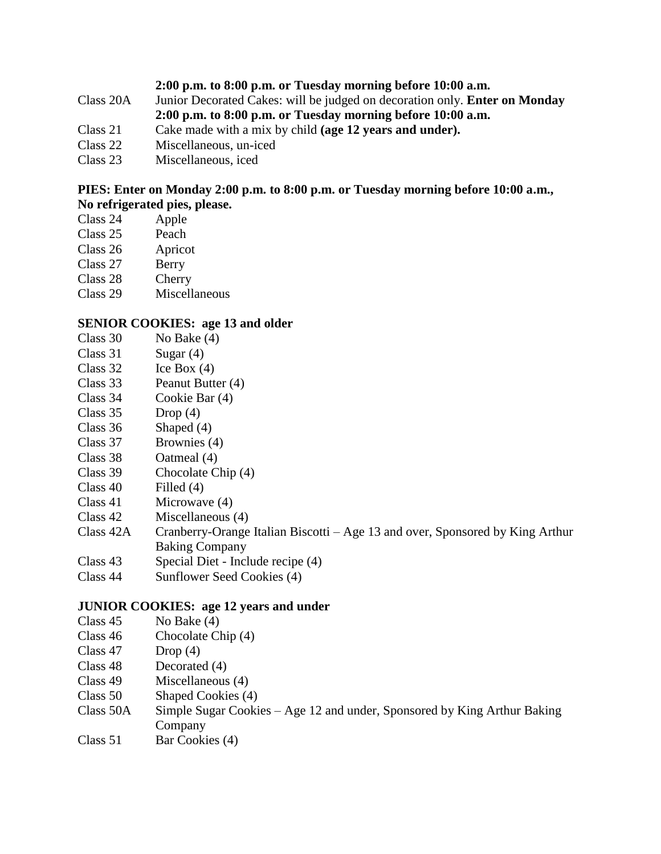- **2:00 p.m. to 8:00 p.m. or Tuesday morning before 10:00 a.m.**
- Class 20A Junior Decorated Cakes: will be judged on decoration only. **Enter on Monday 2:00 p.m. to 8:00 p.m. or Tuesday morning before 10:00 a.m.**
- Class 21 Cake made with a mix by child **(age 12 years and under).**
- Class 22 Miscellaneous, un-iced
- Class 23 Miscellaneous, iced

### **PIES: Enter on Monday 2:00 p.m. to 8:00 p.m. or Tuesday morning before 10:00 a.m., No refrigerated pies, please.**

- Class 24 Apple
- Class 25 Peach
- Class 26 Apricot
- Class 27 Berry
- Class 28 Cherry
- Class 29 Miscellaneous

#### **SENIOR COOKIES: age 13 and older**

- Class  $30$  No Bake  $(4)$
- Class  $31$  Sugar (4)
- Class 32 Ice Box (4)
- Class 33 Peanut Butter (4)
- Class 34 Cookie Bar (4)
- Class  $35$  Drop  $(4)$
- Class 36 Shaped (4)
- Class 37 Brownies (4)
- Class 38 Oatmeal (4)
- Class 39 Chocolate Chip (4)
- Class 40 Filled (4)
- Class 41 Microwave (4)
- Class 42 Miscellaneous (4)
- Class 42A Cranberry-Orange Italian Biscotti Age 13 and over, Sponsored by King Arthur Baking Company
- Class 43 Special Diet Include recipe (4)
- Class 44 Sunflower Seed Cookies (4)

#### **JUNIOR COOKIES: age 12 years and under**

- Class 45 No Bake (4)
- Class 46 Chocolate Chip (4)
- Class  $47$  Drop  $(4)$
- Class 48 Decorated (4)
- Class 49 Miscellaneous (4)
- Class 50 Shaped Cookies (4)
- Class 50A Simple Sugar Cookies Age 12 and under, Sponsored by King Arthur Baking Company
- Class 51 Bar Cookies (4)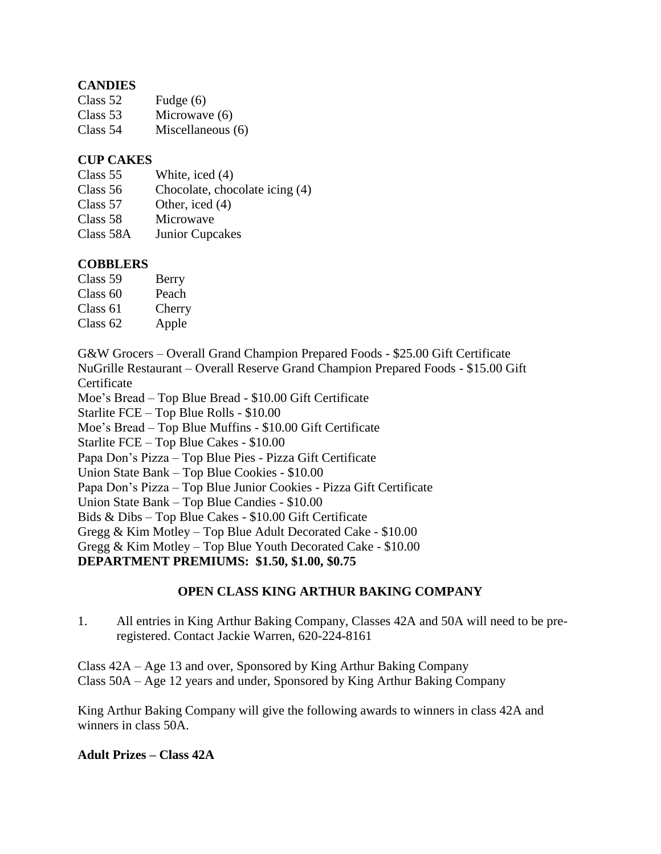# **CANDIES**

| Class 52 | Fudge $(6)$       |
|----------|-------------------|
| Class 53 | Microwave (6)     |
| Class 54 | Miscellaneous (6) |

# **CUP CAKES**

| Class 55  | White, iced (4)                |
|-----------|--------------------------------|
| Class 56  | Chocolate, chocolate icing (4) |
| Class 57  | Other, iced (4)                |
| Class 58  | Microwave                      |
| Class 58A | <b>Junior Cupcakes</b>         |

# **COBBLERS**

| Class 59            | Berry  |
|---------------------|--------|
| Class <sub>60</sub> | Peach  |
| Class 61            | Cherry |
| Class 62            | Apple  |

G&W Grocers – Overall Grand Champion Prepared Foods - \$25.00 Gift Certificate NuGrille Restaurant – Overall Reserve Grand Champion Prepared Foods - \$15.00 Gift **Certificate** 

Moe's Bread – Top Blue Bread - \$10.00 Gift Certificate

Starlite FCE – Top Blue Rolls - \$10.00

Moe's Bread – Top Blue Muffins - \$10.00 Gift Certificate

Starlite FCE – Top Blue Cakes - \$10.00

Papa Don's Pizza – Top Blue Pies - Pizza Gift Certificate

Union State Bank – Top Blue Cookies - \$10.00

Papa Don's Pizza – Top Blue Junior Cookies - Pizza Gift Certificate

Union State Bank – Top Blue Candies - \$10.00

Bids & Dibs – Top Blue Cakes - \$10.00 Gift Certificate

Gregg & Kim Motley – Top Blue Adult Decorated Cake - \$10.00

Gregg & Kim Motley – Top Blue Youth Decorated Cake - \$10.00

**DEPARTMENT PREMIUMS: \$1.50, \$1.00, \$0.75**

# **OPEN CLASS KING ARTHUR BAKING COMPANY**

1. All entries in King Arthur Baking Company, Classes 42A and 50A will need to be preregistered. Contact Jackie Warren, 620-224-8161

Class 42A – Age 13 and over, Sponsored by King Arthur Baking Company Class 50A – Age 12 years and under, Sponsored by King Arthur Baking Company

King Arthur Baking Company will give the following awards to winners in class 42A and winners in class 50A.

#### **Adult Prizes – Class 42A**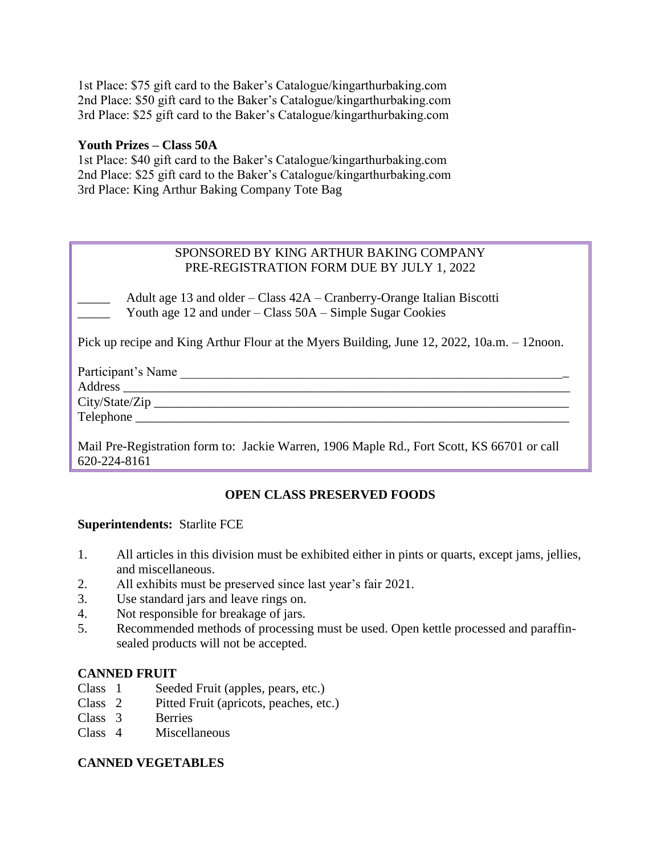1st Place: \$75 gift card to the Baker's Catalogue/kingarthurbaking.com 2nd Place: \$50 gift card to the Baker's Catalogue/kingarthurbaking.com 3rd Place: \$25 gift card to the Baker's Catalogue/kingarthurbaking.com

#### **Youth Prizes – Class 50A**

1st Place: \$40 gift card to the Baker's Catalogue/kingarthurbaking.com 2nd Place: \$25 gift card to the Baker's Catalogue/kingarthurbaking.com 3rd Place: King Arthur Baking Company Tote Bag

# SPONSORED BY KING ARTHUR BAKING COMPANY PRE-REGISTRATION FORM DUE BY JULY 1, 2022

Adult age 13 and older – Class 42A – Cranberry-Orange Italian Biscotti Youth age 12 and under – Class 50A – Simple Sugar Cookies

Pick up recipe and King Arthur Flour at the Myers Building, June 12, 2022, 10a.m. – 12noon.

| Participant's Name |  |
|--------------------|--|
|                    |  |
|                    |  |
|                    |  |
|                    |  |
|                    |  |

Mail Pre-Registration form to: Jackie Warren, 1906 Maple Rd., Fort Scott, KS 66701 or call 620-224-8161

# **OPEN CLASS PRESERVED FOODS**

#### **Superintendents:** Starlite FCE

- 1. All articles in this division must be exhibited either in pints or quarts, except jams, jellies, and miscellaneous.
- 2. All exhibits must be preserved since last year's fair 2021.
- 3. Use standard jars and leave rings on.
- 4. Not responsible for breakage of jars.
- 5. Recommended methods of processing must be used. Open kettle processed and paraffinsealed products will not be accepted.

#### **CANNED FRUIT**

- Class 1 Seeded Fruit (apples, pears, etc.)
- Class 2 Pitted Fruit (apricots, peaches, etc.)
- Class 3 Berries
- Class 4 Miscellaneous

# **CANNED VEGETABLES**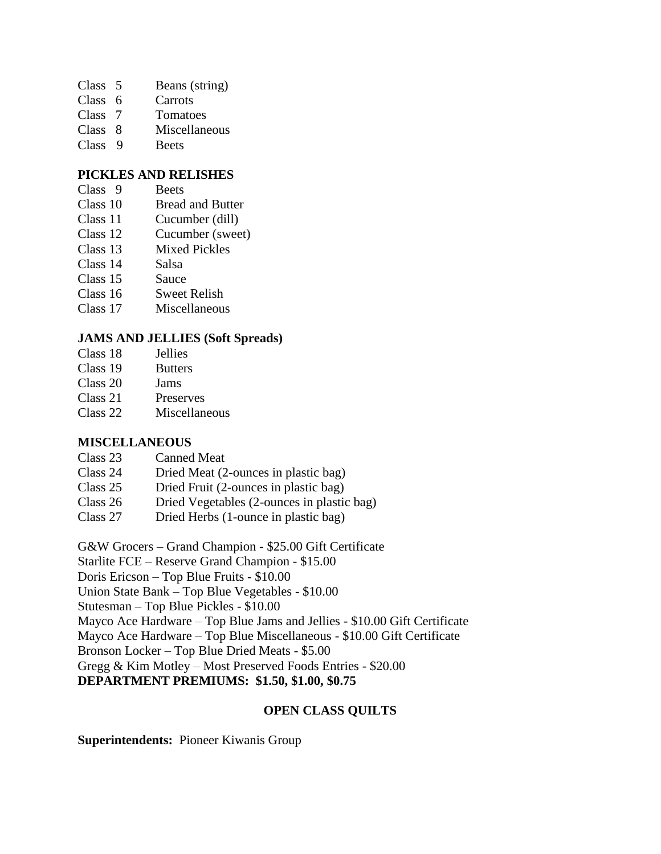- Class 5 Beans (string)
- Class 6 Carrots
- Class 7 Tomatoes
- Class 8 Miscellaneous
- Class 9 Beets

### **PICKLES AND RELISHES**

- Class 9 Beets
- Class 10 Bread and Butter
- Class 11 Cucumber (dill)
- Class 12 Cucumber (sweet)
- Class 13 Mixed Pickles
- Class 14 Salsa
- Class 15 Sauce
- Class 16 Sweet Relish
- Class 17 Miscellaneous

# **JAMS AND JELLIES (Soft Spreads)**

- Class 18 Jellies
- Class 19 Butters
- Class 20 Jams
- Class 21 Preserves
- Class 22 Miscellaneous

#### **MISCELLANEOUS**

- Class 23 Canned Meat
- Class 24 Dried Meat (2-ounces in plastic bag)
- Class 25 Dried Fruit (2-ounces in plastic bag)
- Class 26 Dried Vegetables (2-ounces in plastic bag)
- Class 27 Dried Herbs (1-ounce in plastic bag)

G&W Grocers – Grand Champion - \$25.00 Gift Certificate

Starlite FCE – Reserve Grand Champion - \$15.00

Doris Ericson – Top Blue Fruits - \$10.00

Union State Bank – Top Blue Vegetables - \$10.00

Stutesman – Top Blue Pickles - \$10.00

Mayco Ace Hardware – Top Blue Jams and Jellies - \$10.00 Gift Certificate

Mayco Ace Hardware – Top Blue Miscellaneous - \$10.00 Gift Certificate

Bronson Locker – Top Blue Dried Meats - \$5.00

Gregg & Kim Motley – Most Preserved Foods Entries - \$20.00

**DEPARTMENT PREMIUMS: \$1.50, \$1.00, \$0.75**

# **OPEN CLASS QUILTS**

#### **Superintendents:** Pioneer Kiwanis Group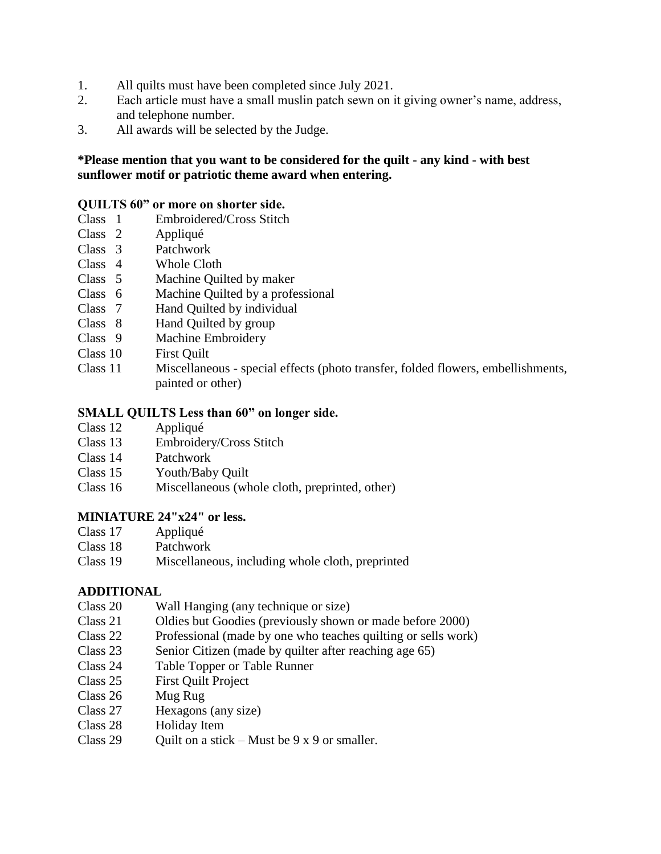- 1. All quilts must have been completed since July 2021.
- 2. Each article must have a small muslin patch sewn on it giving owner's name, address, and telephone number.
- 3. All awards will be selected by the Judge.

# **\*Please mention that you want to be considered for the quilt - any kind - with best sunflower motif or patriotic theme award when entering.**

### **QUILTS 60" or more on shorter side.**

- Class 1 Embroidered/Cross Stitch
- Class 2 Appliqué
- Class 3 Patchwork
- Class 4 Whole Cloth
- Class 5 Machine Quilted by maker
- Class 6 Machine Quilted by a professional
- Class 7 Hand Quilted by individual
- Class 8 Hand Quilted by group
- Class 9 Machine Embroidery
- Class 10 First Quilt
- Class 11 Miscellaneous special effects (photo transfer, folded flowers, embellishments, painted or other)

#### **SMALL QUILTS Less than 60" on longer side.**

- Class 12 Appliqué
- Class 13 Embroidery/Cross Stitch
- Class 14 Patchwork
- Class 15 Youth/Baby Quilt
- Class 16 Miscellaneous (whole cloth, preprinted, other)

#### **MINIATURE 24"x24" or less.**

- Class 17 Appliqué
- Class 18 Patchwork
- Class 19 Miscellaneous, including whole cloth, preprinted

#### **ADDITIONAL**

- Class 20 Wall Hanging (any technique or size)
- Class 21 Oldies but Goodies (previously shown or made before 2000)
- Class 22 Professional (made by one who teaches quilting or sells work)
- Class 23 Senior Citizen (made by quilter after reaching age 65)
- Class 24 Table Topper or Table Runner
- Class 25 First Quilt Project
- Class 26 Mug Rug
- Class 27 Hexagons (any size)
- Class 28 Holiday Item
- Class 29 Quilt on a stick Must be  $9 \times 9$  or smaller.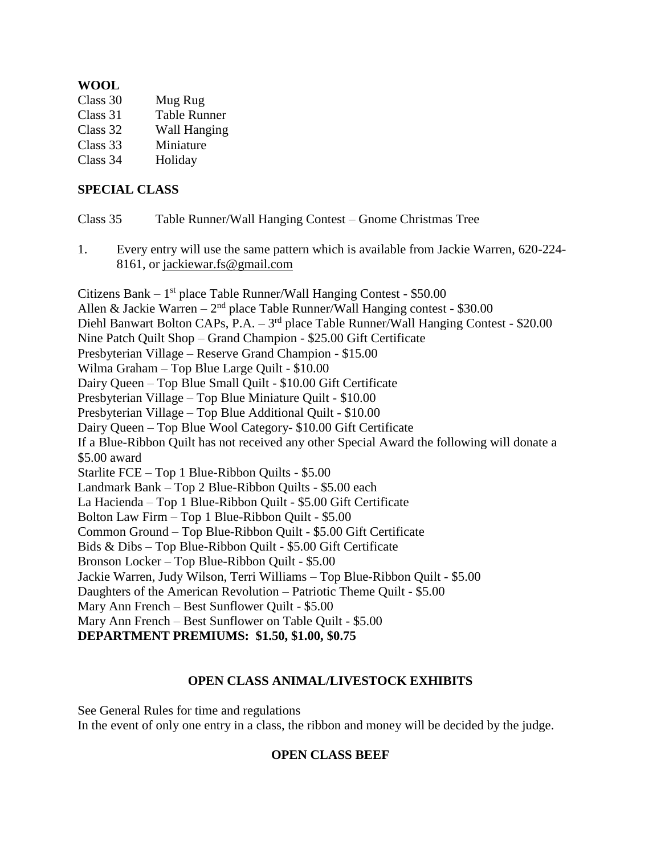# **WOOL**

| Class 30 | Mug Rug             |
|----------|---------------------|
| Class 31 | <b>Table Runner</b> |
| Class 32 | <b>Wall Hanging</b> |
| Class 33 | Miniature           |
| Class 34 | Holiday             |

# **SPECIAL CLASS**

| Class 35<br>Table Runner/Wall Hanging Contest – Gnome Christmas Tree |
|----------------------------------------------------------------------|
|----------------------------------------------------------------------|

1. Every entry will use the same pattern which is available from Jackie Warren, 620-224- 8161, or [jackiewar.fs@g](mailto:jackiewar.fs@)mail.com

Citizens Bank - 1<sup>st</sup> place Table Runner/Wall Hanging Contest - \$50.00 Allen & Jackie Warren -  $2<sup>nd</sup>$  place Table Runner/Wall Hanging contest - \$30.00 Diehl Banwart Bolton CAPs, P.A. – 3<sup>rd</sup> place Table Runner/Wall Hanging Contest - \$20.00 Nine Patch Quilt Shop – Grand Champion - \$25.00 Gift Certificate Presbyterian Village – Reserve Grand Champion - \$15.00 Wilma Graham – Top Blue Large Quilt - \$10.00 Dairy Queen – Top Blue Small Quilt - \$10.00 Gift Certificate Presbyterian Village – Top Blue Miniature Quilt - \$10.00 Presbyterian Village – Top Blue Additional Quilt - \$10.00 Dairy Queen – Top Blue Wool Category- \$10.00 Gift Certificate If a Blue-Ribbon Quilt has not received any other Special Award the following will donate a \$5.00 award Starlite FCE – Top 1 Blue-Ribbon Quilts - \$5.00 Landmark Bank – Top 2 Blue-Ribbon Quilts - \$5.00 each La Hacienda – Top 1 Blue-Ribbon Quilt - \$5.00 Gift Certificate Bolton Law Firm – Top 1 Blue-Ribbon Quilt - \$5.00 Common Ground – Top Blue-Ribbon Quilt - \$5.00 Gift Certificate Bids & Dibs – Top Blue-Ribbon Quilt - \$5.00 Gift Certificate Bronson Locker – Top Blue-Ribbon Quilt - \$5.00 Jackie Warren, Judy Wilson, Terri Williams – Top Blue-Ribbon Quilt - \$5.00 Daughters of the American Revolution – Patriotic Theme Quilt - \$5.00 Mary Ann French – Best Sunflower Quilt - \$5.00 Mary Ann French – Best Sunflower on Table Quilt - \$5.00 **DEPARTMENT PREMIUMS: \$1.50, \$1.00, \$0.75**

#### **OPEN CLASS ANIMAL/LIVESTOCK EXHIBITS**

See General Rules for time and regulations In the event of only one entry in a class, the ribbon and money will be decided by the judge.

#### **OPEN CLASS BEEF**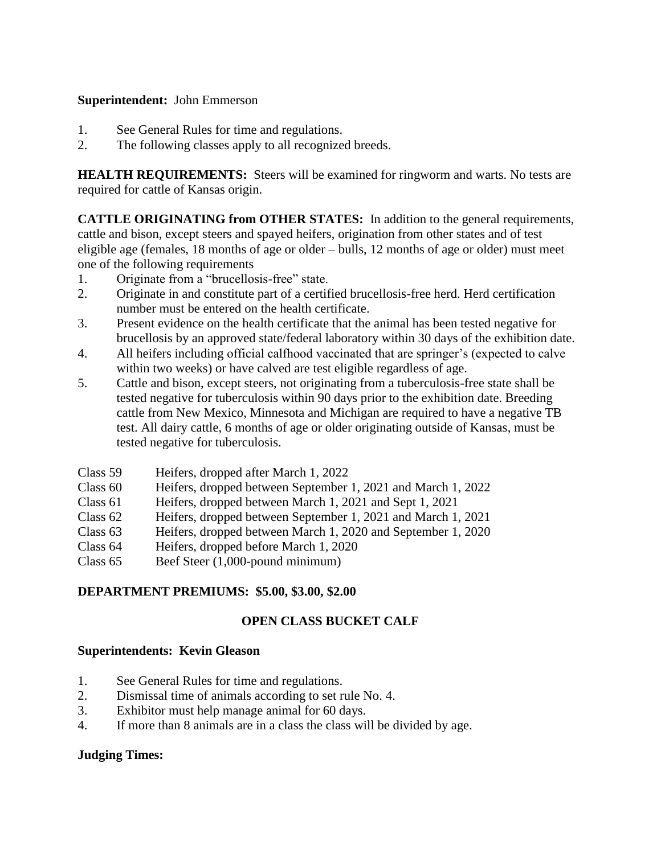# **Superintendent:** John Emmerson

- 1. See General Rules for time and regulations.
- 2. The following classes apply to all recognized breeds.

**HEALTH REQUIREMENTS:** Steers will be examined for ringworm and warts. No tests are required for cattle of Kansas origin.

**CATTLE ORIGINATING from OTHER STATES:** In addition to the general requirements, cattle and bison, except steers and spayed heifers, origination from other states and of test eligible age (females, 18 months of age or older – bulls, 12 months of age or older) must meet one of the following requirements

- 1. Originate from a "brucellosis-free" state.
- 2. Originate in and constitute part of a certified brucellosis-free herd. Herd certification number must be entered on the health certificate.
- 3. Present evidence on the health certificate that the animal has been tested negative for brucellosis by an approved state/federal laboratory within 30 days of the exhibition date.
- 4. All heifers including official calfhood vaccinated that are springer's (expected to calve within two weeks) or have calved are test eligible regardless of age.
- 5. Cattle and bison, except steers, not originating from a tuberculosis-free state shall be tested negative for tuberculosis within 90 days prior to the exhibition date. Breeding cattle from New Mexico, Minnesota and Michigan are required to have a negative TB test. All dairy cattle, 6 months of age or older originating outside of Kansas, must be tested negative for tuberculosis.

| Class 59 | Heifers, dropped after March 1, 2022                         |
|----------|--------------------------------------------------------------|
| Class 60 | Heifers, dropped between September 1, 2021 and March 1, 2022 |
| Class 61 | Heifers, dropped between March 1, 2021 and Sept 1, 2021      |
| Class 62 | Heifers, dropped between September 1, 2021 and March 1, 2021 |
| Class 63 | Heifers, dropped between March 1, 2020 and September 1, 2020 |
| Class 64 | Heifers, dropped before March 1, 2020                        |
| Class 65 | Beef Steer (1,000-pound minimum)                             |
|          |                                                              |

# **DEPARTMENT PREMIUMS: \$5.00, \$3.00, \$2.00**

# **OPEN CLASS BUCKET CALF**

# **Superintendents: Kevin Gleason**

- 1. See General Rules for time and regulations.
- 2. Dismissal time of animals according to set rule No. 4.
- 3. Exhibitor must help manage animal for 60 days.
- 4. If more than 8 animals are in a class the class will be divided by age.

# **Judging Times:**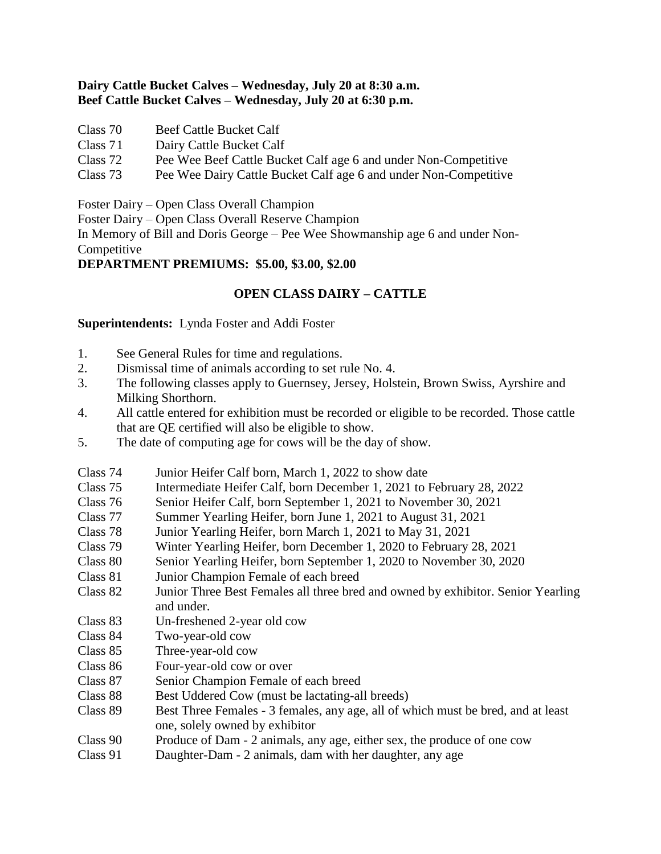# **Dairy Cattle Bucket Calves – Wednesday, July 20 at 8:30 a.m. Beef Cattle Bucket Calves – Wednesday, July 20 at 6:30 p.m.**

- Class 70 Beef Cattle Bucket Calf
- Class 71 Dairy Cattle Bucket Calf
- Class 72 Pee Wee Beef Cattle Bucket Calf age 6 and under Non-Competitive
- Class 73 Pee Wee Dairy Cattle Bucket Calf age 6 and under Non-Competitive

Foster Dairy – Open Class Overall Champion

Foster Dairy – Open Class Overall Reserve Champion

In Memory of Bill and Doris George – Pee Wee Showmanship age 6 and under Non-Competitive

# **DEPARTMENT PREMIUMS: \$5.00, \$3.00, \$2.00**

# **OPEN CLASS DAIRY – CATTLE**

**Superintendents:** Lynda Foster and Addi Foster

- 1. See General Rules for time and regulations.
- 2. Dismissal time of animals according to set rule No. 4.
- 3. The following classes apply to Guernsey, Jersey, Holstein, Brown Swiss, Ayrshire and Milking Shorthorn.
- 4. All cattle entered for exhibition must be recorded or eligible to be recorded. Those cattle that are QE certified will also be eligible to show.
- 5. The date of computing age for cows will be the day of show.
- Class 74 Junior Heifer Calf born, March 1, 2022 to show date
- Class 75 Intermediate Heifer Calf, born December 1, 2021 to February 28, 2022
- Class 76 Senior Heifer Calf, born September 1, 2021 to November 30, 2021
- Class 77 Summer Yearling Heifer, born June 1, 2021 to August 31, 2021
- Class 78 Junior Yearling Heifer, born March 1, 2021 to May 31, 2021
- Winter Yearling Heifer, born December 1, 2020 to February 28, 2021
- Class 80 Senior Yearling Heifer, born September 1, 2020 to November 30, 2020
- Class 81 Junior Champion Female of each breed
- Class 82 Junior Three Best Females all three bred and owned by exhibitor. Senior Yearling and under.
- Class 83 Un-freshened 2-year old cow
- Class 84 Two-year-old cow
- Class 85 Three-year-old cow
- Class 86 Four-year-old cow or over
- Class 87 Senior Champion Female of each breed
- Class 88 Best Uddered Cow (must be lactating-all breeds)
- Class 89 Best Three Females 3 females, any age, all of which must be bred, and at least one, solely owned by exhibitor
- Class 90 Produce of Dam 2 animals, any age, either sex, the produce of one cow
- Class 91 Daughter-Dam 2 animals, dam with her daughter, any age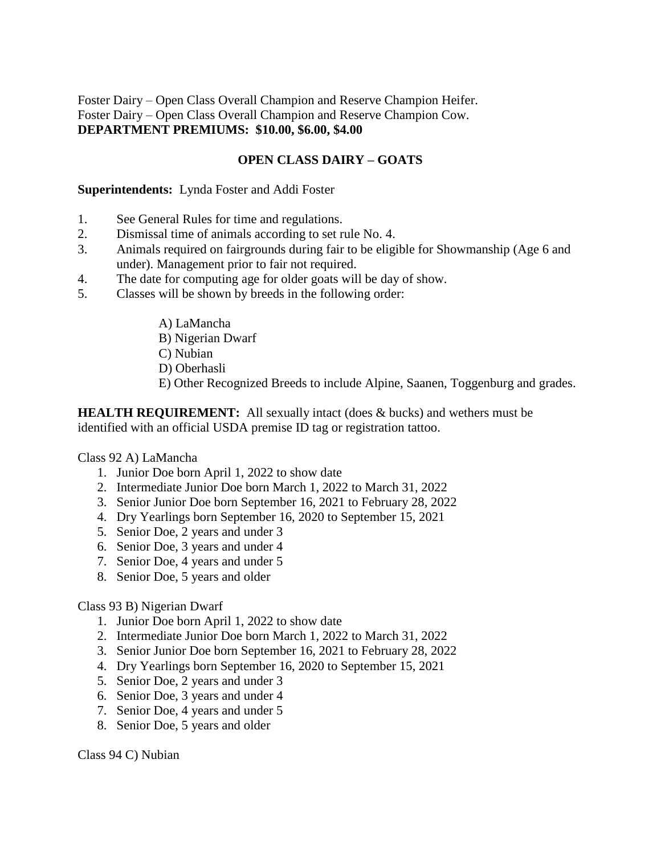Foster Dairy – Open Class Overall Champion and Reserve Champion Heifer. Foster Dairy – Open Class Overall Champion and Reserve Champion Cow. **DEPARTMENT PREMIUMS: \$10.00, \$6.00, \$4.00**

# **OPEN CLASS DAIRY – GOATS**

#### **Superintendents:** Lynda Foster and Addi Foster

- 1. See General Rules for time and regulations.
- 2. Dismissal time of animals according to set rule No. 4.
- 3. Animals required on fairgrounds during fair to be eligible for Showmanship (Age 6 and under). Management prior to fair not required.
- 4. The date for computing age for older goats will be day of show.
- 5. Classes will be shown by breeds in the following order:
	- A) LaMancha
	- B) Nigerian Dwarf
	- C) Nubian
	- D) Oberhasli
	- E) Other Recognized Breeds to include Alpine, Saanen, Toggenburg and grades.

**HEALTH REQUIREMENT:** All sexually intact (does & bucks) and wethers must be identified with an official USDA premise ID tag or registration tattoo.

#### Class 92 A) LaMancha

- 1. Junior Doe born April 1, 2022 to show date
- 2. Intermediate Junior Doe born March 1, 2022 to March 31, 2022
- 3. Senior Junior Doe born September 16, 2021 to February 28, 2022
- 4. Dry Yearlings born September 16, 2020 to September 15, 2021
- 5. Senior Doe, 2 years and under 3
- 6. Senior Doe, 3 years and under 4
- 7. Senior Doe, 4 years and under 5
- 8. Senior Doe, 5 years and older

#### Class 93 B) Nigerian Dwarf

- 1. Junior Doe born April 1, 2022 to show date
- 2. Intermediate Junior Doe born March 1, 2022 to March 31, 2022
- 3. Senior Junior Doe born September 16, 2021 to February 28, 2022
- 4. Dry Yearlings born September 16, 2020 to September 15, 2021
- 5. Senior Doe, 2 years and under 3
- 6. Senior Doe, 3 years and under 4
- 7. Senior Doe, 4 years and under 5
- 8. Senior Doe, 5 years and older

Class 94 C) Nubian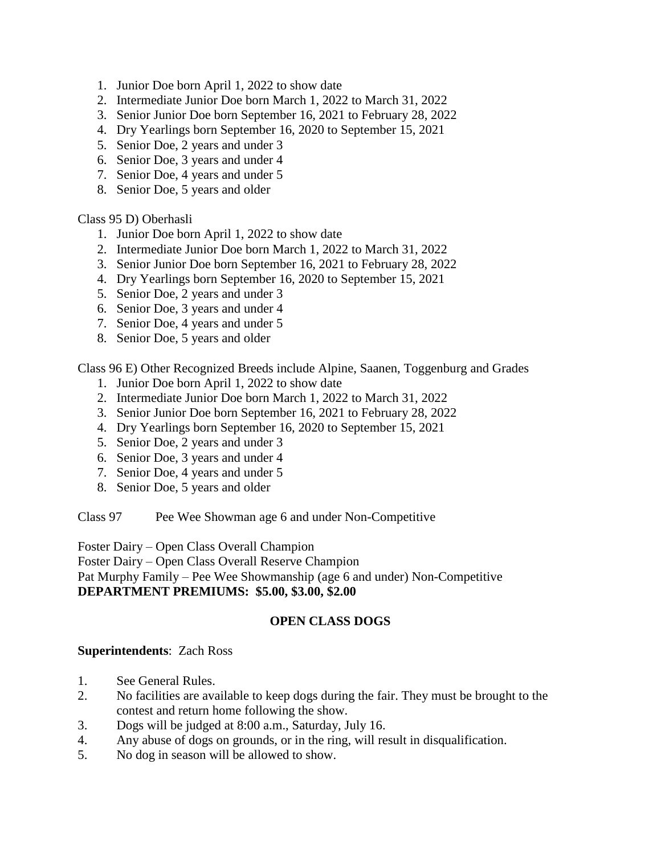- 1. Junior Doe born April 1, 2022 to show date
- 2. Intermediate Junior Doe born March 1, 2022 to March 31, 2022
- 3. Senior Junior Doe born September 16, 2021 to February 28, 2022
- 4. Dry Yearlings born September 16, 2020 to September 15, 2021
- 5. Senior Doe, 2 years and under 3
- 6. Senior Doe, 3 years and under 4
- 7. Senior Doe, 4 years and under 5
- 8. Senior Doe, 5 years and older

Class 95 D) Oberhasli

- 1. Junior Doe born April 1, 2022 to show date
- 2. Intermediate Junior Doe born March 1, 2022 to March 31, 2022
- 3. Senior Junior Doe born September 16, 2021 to February 28, 2022
- 4. Dry Yearlings born September 16, 2020 to September 15, 2021
- 5. Senior Doe, 2 years and under 3
- 6. Senior Doe, 3 years and under 4
- 7. Senior Doe, 4 years and under 5
- 8. Senior Doe, 5 years and older

Class 96 E) Other Recognized Breeds include Alpine, Saanen, Toggenburg and Grades

- 1. Junior Doe born April 1, 2022 to show date
- 2. Intermediate Junior Doe born March 1, 2022 to March 31, 2022
- 3. Senior Junior Doe born September 16, 2021 to February 28, 2022
- 4. Dry Yearlings born September 16, 2020 to September 15, 2021
- 5. Senior Doe, 2 years and under 3
- 6. Senior Doe, 3 years and under 4
- 7. Senior Doe, 4 years and under 5
- 8. Senior Doe, 5 years and older

Class 97 Pee Wee Showman age 6 and under Non-Competitive

Foster Dairy – Open Class Overall Champion

Foster Dairy – Open Class Overall Reserve Champion

Pat Murphy Family – Pee Wee Showmanship (age 6 and under) Non-Competitive

# **DEPARTMENT PREMIUMS: \$5.00, \$3.00, \$2.00**

### **OPEN CLASS DOGS**

#### **Superintendents**: Zach Ross

- 1. See General Rules.
- 2. No facilities are available to keep dogs during the fair. They must be brought to the contest and return home following the show.
- 3. Dogs will be judged at 8:00 a.m., Saturday, July 16.
- 4. Any abuse of dogs on grounds, or in the ring, will result in disqualification.
- 5. No dog in season will be allowed to show.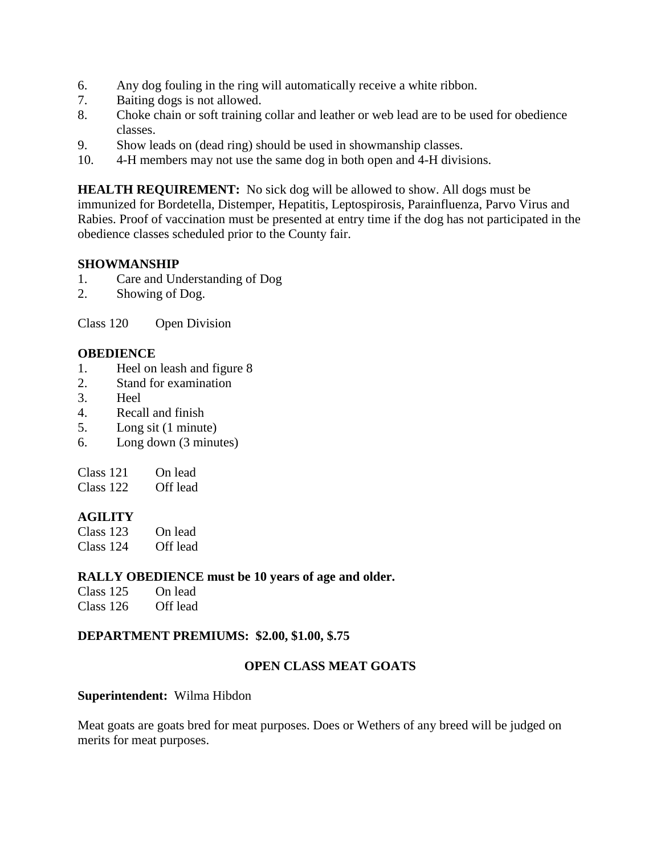- 6. Any dog fouling in the ring will automatically receive a white ribbon.
- 7. Baiting dogs is not allowed.
- 8. Choke chain or soft training collar and leather or web lead are to be used for obedience classes.
- 9. Show leads on (dead ring) should be used in showmanship classes.
- 10. 4-H members may not use the same dog in both open and 4-H divisions.

**HEALTH REQUIREMENT:** No sick dog will be allowed to show. All dogs must be immunized for Bordetella, Distemper, Hepatitis, Leptospirosis, Parainfluenza, Parvo Virus and Rabies. Proof of vaccination must be presented at entry time if the dog has not participated in the obedience classes scheduled prior to the County fair.

### **SHOWMANSHIP**

- 1. Care and Understanding of Dog
- 2. Showing of Dog.

Class 120 Open Division

### **OBEDIENCE**

- 1. Heel on leash and figure 8
- 2. Stand for examination
- 3. Heel
- 4. Recall and finish
- 5. Long sit (1 minute)
- 6. Long down (3 minutes)

Class 122 Off lead

#### **AGILITY**

| Class $123$ | On lead  |
|-------------|----------|
| Class 124   | Off lead |

#### **RALLY OBEDIENCE must be 10 years of age and older.**

| Class 125   | On lead  |
|-------------|----------|
| Class $126$ | Off lead |

#### **DEPARTMENT PREMIUMS: \$2.00, \$1.00, \$.75**

#### **OPEN CLASS MEAT GOATS**

#### **Superintendent:** Wilma Hibdon

Meat goats are goats bred for meat purposes. Does or Wethers of any breed will be judged on merits for meat purposes.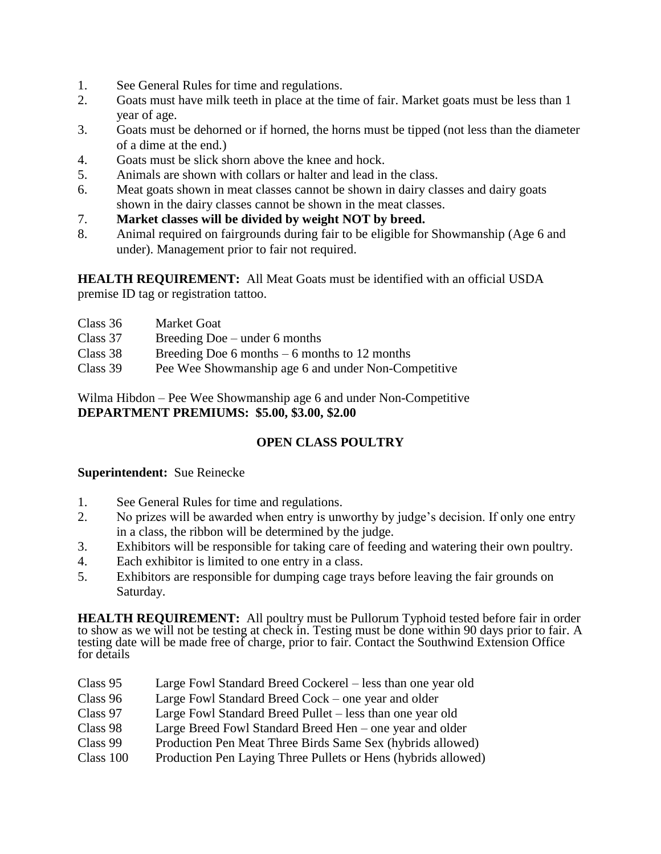- 1. See General Rules for time and regulations.
- 2. Goats must have milk teeth in place at the time of fair. Market goats must be less than 1 year of age.
- 3. Goats must be dehorned or if horned, the horns must be tipped (not less than the diameter of a dime at the end.)
- 4. Goats must be slick shorn above the knee and hock.
- 5. Animals are shown with collars or halter and lead in the class.
- 6. Meat goats shown in meat classes cannot be shown in dairy classes and dairy goats shown in the dairy classes cannot be shown in the meat classes.
- 7. **Market classes will be divided by weight NOT by breed.**
- 8. Animal required on fairgrounds during fair to be eligible for Showmanship (Age 6 and under). Management prior to fair not required.

**HEALTH REQUIREMENT:** All Meat Goats must be identified with an official USDA premise ID tag or registration tattoo.

- Class 36 Market Goat
- Class 37 Breeding Doe under 6 months
- Class  $38$  Breeding Doe 6 months 6 months to 12 months
- Class 39 Pee Wee Showmanship age 6 and under Non-Competitive

Wilma Hibdon – Pee Wee Showmanship age 6 and under Non-Competitive **DEPARTMENT PREMIUMS: \$5.00, \$3.00, \$2.00**

### **OPEN CLASS POULTRY**

#### **Superintendent:** Sue Reinecke

- 1. See General Rules for time and regulations.
- 2. No prizes will be awarded when entry is unworthy by judge's decision. If only one entry in a class, the ribbon will be determined by the judge.
- 3. Exhibitors will be responsible for taking care of feeding and watering their own poultry.
- 4. Each exhibitor is limited to one entry in a class.
- 5. Exhibitors are responsible for dumping cage trays before leaving the fair grounds on Saturday.

**HEALTH REQUIREMENT:** All poultry must be Pullorum Typhoid tested before fair in order to show as we will not be testing at check in. Testing must be done within 90 days prior to fair. A testing date will be made free of charge, prior to fair. Contact the Southwind Extension Office for details

| Class 95  | Large Fowl Standard Breed Cockerel – less than one year old   |
|-----------|---------------------------------------------------------------|
| Class 96  | Large Fowl Standard Breed Cock – one year and older           |
| Class 97  | Large Fowl Standard Breed Pullet – less than one year old     |
| Class 98  | Large Breed Fowl Standard Breed Hen – one year and older      |
| Class 99  | Production Pen Meat Three Birds Same Sex (hybrids allowed)    |
| Class 100 | Production Pen Laying Three Pullets or Hens (hybrids allowed) |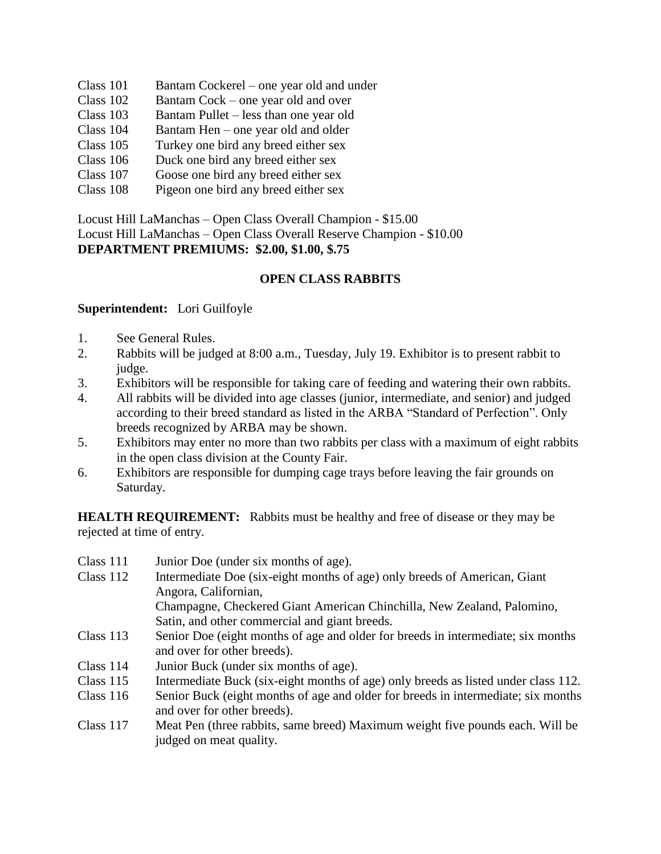- Class 101 Bantam Cockerel one year old and under
- Class 102 Bantam Cock one year old and over
- Class 103 Bantam Pullet less than one year old
- Class 104 Bantam Hen one year old and older
- Class 105 Turkey one bird any breed either sex
- Class 106 Duck one bird any breed either sex
- Class 107 Goose one bird any breed either sex
- Class 108 Pigeon one bird any breed either sex

Locust Hill LaManchas – Open Class Overall Champion - \$15.00 Locust Hill LaManchas – Open Class Overall Reserve Champion - \$10.00 **DEPARTMENT PREMIUMS: \$2.00, \$1.00, \$.75**

### **OPEN CLASS RABBITS**

#### **Superintendent:** Lori Guilfoyle

- 1. See General Rules.
- 2. Rabbits will be judged at 8:00 a.m., Tuesday, July 19. Exhibitor is to present rabbit to judge.
- 3. Exhibitors will be responsible for taking care of feeding and watering their own rabbits.
- 4. All rabbits will be divided into age classes (junior, intermediate, and senior) and judged according to their breed standard as listed in the ARBA "Standard of Perfection". Only breeds recognized by ARBA may be shown.
- 5. Exhibitors may enter no more than two rabbits per class with a maximum of eight rabbits in the open class division at the County Fair.
- 6. Exhibitors are responsible for dumping cage trays before leaving the fair grounds on Saturday.

**HEALTH REQUIREMENT:** Rabbits must be healthy and free of disease or they may be rejected at time of entry.

Class 111 Junior Doe (under six months of age). Class 112 Intermediate Doe (six-eight months of age) only breeds of American, Giant Angora, Californian, Champagne, Checkered Giant American Chinchilla, New Zealand, Palomino, Satin, and other commercial and giant breeds. Class 113 Senior Doe (eight months of age and older for breeds in intermediate; six months and over for other breeds). Class 114 Junior Buck (under six months of age). Class 115 Intermediate Buck (six-eight months of age) only breeds as listed under class 112. Class 116 Senior Buck (eight months of age and older for breeds in intermediate; six months and over for other breeds). Class 117 Meat Pen (three rabbits, same breed) Maximum weight five pounds each. Will be judged on meat quality.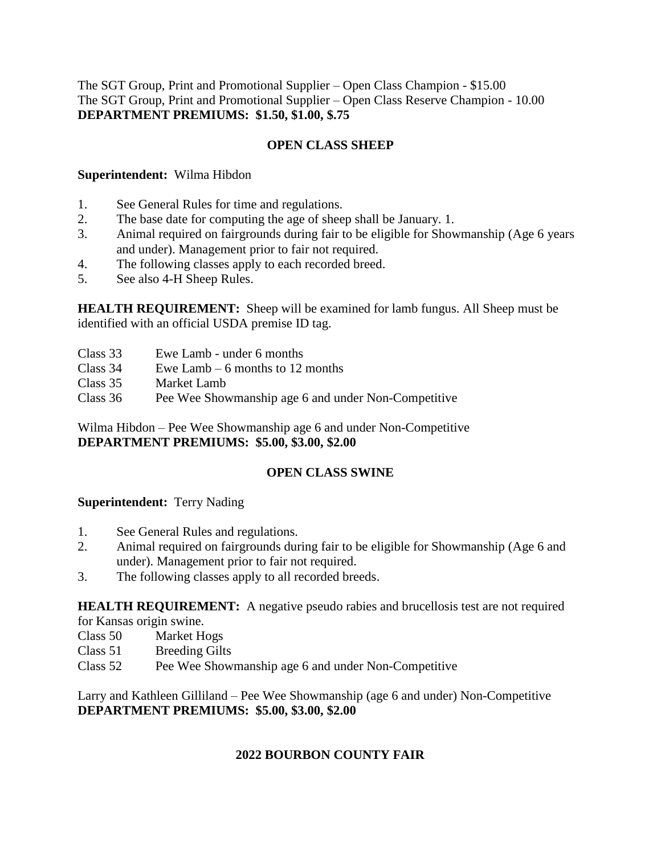The SGT Group, Print and Promotional Supplier – Open Class Champion - \$15.00 The SGT Group, Print and Promotional Supplier – Open Class Reserve Champion - 10.00 **DEPARTMENT PREMIUMS: \$1.50, \$1.00, \$.75**

### **OPEN CLASS SHEEP**

#### **Superintendent:** Wilma Hibdon

- 1. See General Rules for time and regulations.
- 2. The base date for computing the age of sheep shall be January. 1.
- 3. Animal required on fairgrounds during fair to be eligible for Showmanship (Age 6 years and under). Management prior to fair not required.
- 4. The following classes apply to each recorded breed.
- 5. See also 4-H Sheep Rules.

**HEALTH REQUIREMENT:** Sheep will be examined for lamb fungus. All Sheep must be identified with an official USDA premise ID tag.

- Class 33 Ewe Lamb under 6 months
- Class 34 Ewe Lamb 6 months to 12 months
- Class 35 Market Lamb

Class 36 Pee Wee Showmanship age 6 and under Non-Competitive

Wilma Hibdon – Pee Wee Showmanship age 6 and under Non-Competitive **DEPARTMENT PREMIUMS: \$5.00, \$3.00, \$2.00**

### **OPEN CLASS SWINE**

### **Superintendent:** Terry Nading

- 1. See General Rules and regulations.
- 2. Animal required on fairgrounds during fair to be eligible for Showmanship (Age 6 and under). Management prior to fair not required.
- 3. The following classes apply to all recorded breeds.

**HEALTH REQUIREMENT:** A negative pseudo rabies and brucellosis test are not required

for Kansas origin swine.

- Class 50 Market Hogs
- Class 51 Breeding Gilts
- Class 52 Pee Wee Showmanship age 6 and under Non-Competitive

Larry and Kathleen Gilliland – Pee Wee Showmanship (age 6 and under) Non-Competitive **DEPARTMENT PREMIUMS: \$5.00, \$3.00, \$2.00**

### **2022 BOURBON COUNTY FAIR**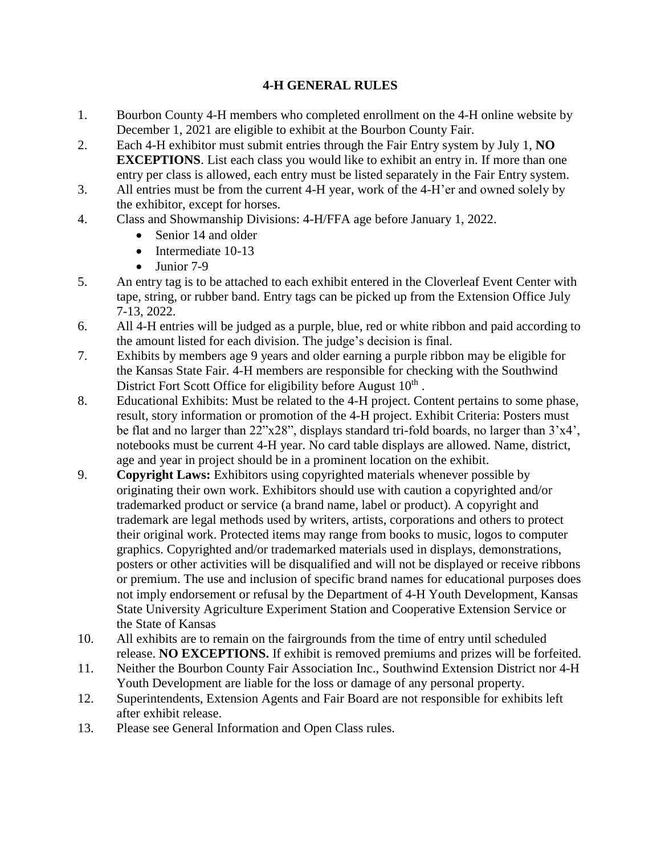### **4-H GENERAL RULES**

- 1. Bourbon County 4-H members who completed enrollment on the 4-H online website by December 1, 2021 are eligible to exhibit at the Bourbon County Fair.
- 2. Each 4-H exhibitor must submit entries through the Fair Entry system by July 1, **NO EXCEPTIONS**. List each class you would like to exhibit an entry in. If more than one entry per class is allowed, each entry must be listed separately in the Fair Entry system.
- 3. All entries must be from the current 4-H year, work of the 4-H'er and owned solely by the exhibitor, except for horses.
- 4. Class and Showmanship Divisions: 4-H/FFA age before January 1, 2022.
	- Senior 14 and older
	- Intermediate 10-13
	- Junior 7-9
- 5. An entry tag is to be attached to each exhibit entered in the Cloverleaf Event Center with tape, string, or rubber band. Entry tags can be picked up from the Extension Office July 7-13, 2022.
- 6. All 4-H entries will be judged as a purple, blue, red or white ribbon and paid according to the amount listed for each division. The judge's decision is final.
- 7. Exhibits by members age 9 years and older earning a purple ribbon may be eligible for the Kansas State Fair. 4-H members are responsible for checking with the Southwind District Fort Scott Office for eligibility before August  $10<sup>th</sup>$ .
- 8. Educational Exhibits: Must be related to the 4-H project. Content pertains to some phase, result, story information or promotion of the 4-H project. Exhibit Criteria: Posters must be flat and no larger than 22"x28", displays standard tri-fold boards, no larger than 3'x4', notebooks must be current 4-H year. No card table displays are allowed. Name, district, age and year in project should be in a prominent location on the exhibit.
- 9. **Copyright Laws:** Exhibitors using copyrighted materials whenever possible by originating their own work. Exhibitors should use with caution a copyrighted and/or trademarked product or service (a brand name, label or product). A copyright and trademark are legal methods used by writers, artists, corporations and others to protect their original work. Protected items may range from books to music, logos to computer graphics. Copyrighted and/or trademarked materials used in displays, demonstrations, posters or other activities will be disqualified and will not be displayed or receive ribbons or premium. The use and inclusion of specific brand names for educational purposes does not imply endorsement or refusal by the Department of 4-H Youth Development, Kansas State University Agriculture Experiment Station and Cooperative Extension Service or the State of Kansas
- 10. All exhibits are to remain on the fairgrounds from the time of entry until scheduled release. **NO EXCEPTIONS.** If exhibit is removed premiums and prizes will be forfeited.
- 11. Neither the Bourbon County Fair Association Inc., Southwind Extension District nor 4-H Youth Development are liable for the loss or damage of any personal property.
- 12. Superintendents, Extension Agents and Fair Board are not responsible for exhibits left after exhibit release.
- 13. Please see General Information and Open Class rules.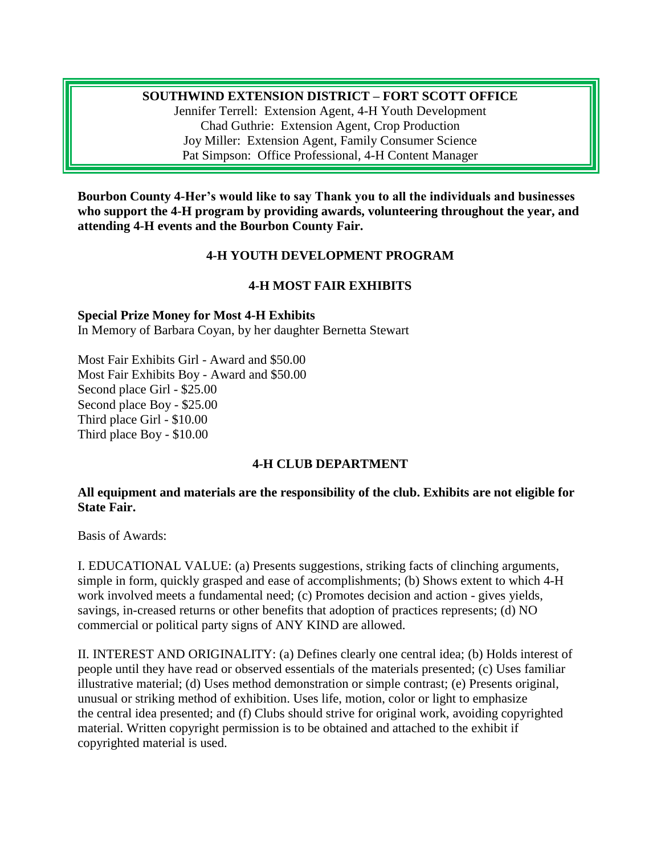#### **SOUTHWIND EXTENSION DISTRICT – FORT SCOTT OFFICE**

Jennifer Terrell: Extension Agent, 4-H Youth Development Chad Guthrie: Extension Agent, Crop Production Joy Miller: Extension Agent, Family Consumer Science Pat Simpson: Office Professional, 4-H Content Manager

**Bourbon County 4-Her's would like to say Thank you to all the individuals and businesses who support the 4-H program by providing awards, volunteering throughout the year, and attending 4-H events and the Bourbon County Fair.**

#### **4-H YOUTH DEVELOPMENT PROGRAM**

### **4-H MOST FAIR EXHIBITS**

#### **Special Prize Money for Most 4-H Exhibits**

In Memory of Barbara Coyan, by her daughter Bernetta Stewart

Most Fair Exhibits Girl - Award and \$50.00 Most Fair Exhibits Boy - Award and \$50.00 Second place Girl - \$25.00 Second place Boy - \$25.00 Third place Girl - \$10.00 Third place Boy - \$10.00

### **4-H CLUB DEPARTMENT**

#### **All equipment and materials are the responsibility of the club. Exhibits are not eligible for State Fair.**

Basis of Awards:

I. EDUCATIONAL VALUE: (a) Presents suggestions, striking facts of clinching arguments, simple in form, quickly grasped and ease of accomplishments; (b) Shows extent to which 4-H work involved meets a fundamental need; (c) Promotes decision and action - gives yields, savings, in-creased returns or other benefits that adoption of practices represents; (d) NO commercial or political party signs of ANY KIND are allowed.

II. INTEREST AND ORIGINALITY: (a) Defines clearly one central idea; (b) Holds interest of people until they have read or observed essentials of the materials presented; (c) Uses familiar illustrative material; (d) Uses method demonstration or simple contrast; (e) Presents original, unusual or striking method of exhibition. Uses life, motion, color or light to emphasize the central idea presented; and (f) Clubs should strive for original work, avoiding copyrighted material. Written copyright permission is to be obtained and attached to the exhibit if copyrighted material is used.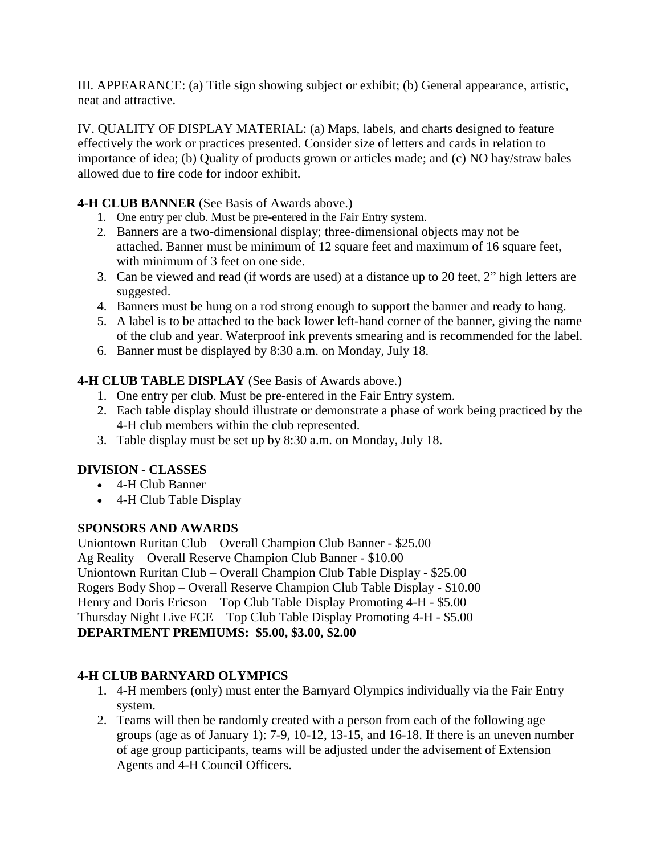III. APPEARANCE: (a) Title sign showing subject or exhibit; (b) General appearance, artistic, neat and attractive.

IV. QUALITY OF DISPLAY MATERIAL: (a) Maps, labels, and charts designed to feature effectively the work or practices presented. Consider size of letters and cards in relation to importance of idea; (b) Quality of products grown or articles made; and (c) NO hay/straw bales allowed due to fire code for indoor exhibit.

### **4-H CLUB BANNER** (See Basis of Awards above.)

- 1. One entry per club. Must be pre-entered in the Fair Entry system.
- 2. Banners are a two-dimensional display; three-dimensional objects may not be attached. Banner must be minimum of 12 square feet and maximum of 16 square feet, with minimum of 3 feet on one side.
- 3. Can be viewed and read (if words are used) at a distance up to 20 feet, 2" high letters are suggested.
- 4. Banners must be hung on a rod strong enough to support the banner and ready to hang.
- 5. A label is to be attached to the back lower left-hand corner of the banner, giving the name of the club and year. Waterproof ink prevents smearing and is recommended for the label.
- 6. Banner must be displayed by 8:30 a.m. on Monday, July 18.

### **4-H CLUB TABLE DISPLAY** (See Basis of Awards above.)

- 1. One entry per club. Must be pre-entered in the Fair Entry system.
- 2. Each table display should illustrate or demonstrate a phase of work being practiced by the 4-H club members within the club represented.
- 3. Table display must be set up by 8:30 a.m. on Monday, July 18.

# **DIVISION - CLASSES**

- 4-H Club Banner
- 4-H Club Table Display

### **SPONSORS AND AWARDS**

Uniontown Ruritan Club – Overall Champion Club Banner - \$25.00 Ag Reality – Overall Reserve Champion Club Banner - \$10.00 Uniontown Ruritan Club – Overall Champion Club Table Display - \$25.00 Rogers Body Shop – Overall Reserve Champion Club Table Display - \$10.00 Henry and Doris Ericson – Top Club Table Display Promoting 4-H - \$5.00 Thursday Night Live FCE – Top Club Table Display Promoting 4-H - \$5.00 **DEPARTMENT PREMIUMS: \$5.00, \$3.00, \$2.00**

# **4-H CLUB BARNYARD OLYMPICS**

- 1. 4-H members (only) must enter the Barnyard Olympics individually via the Fair Entry system.
- 2. Teams will then be randomly created with a person from each of the following age groups (age as of January 1): 7-9, 10-12, 13-15, and 16-18. If there is an uneven number of age group participants, teams will be adjusted under the advisement of Extension Agents and 4-H Council Officers.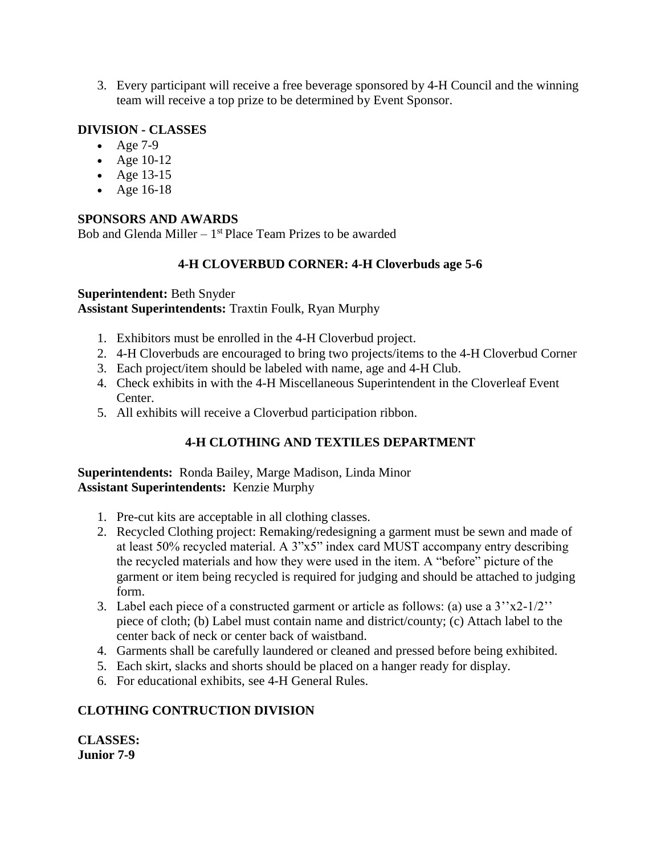3. Every participant will receive a free beverage sponsored by 4-H Council and the winning team will receive a top prize to be determined by Event Sponsor.

### **DIVISION - CLASSES**

- Age  $7-9$
- Age 10-12
- Age 13-15
- Age 16-18

### **SPONSORS AND AWARDS**

Bob and Glenda Miller - 1<sup>st</sup> Place Team Prizes to be awarded

# **4-H CLOVERBUD CORNER: 4-H Cloverbuds age 5-6**

#### **Superintendent:** Beth Snyder **Assistant Superintendents:** Traxtin Foulk, Ryan Murphy

- 1. Exhibitors must be enrolled in the 4-H Cloverbud project.
- 2. 4-H Cloverbuds are encouraged to bring two projects/items to the 4-H Cloverbud Corner
- 3. Each project/item should be labeled with name, age and 4-H Club.
- 4. Check exhibits in with the 4-H Miscellaneous Superintendent in the Cloverleaf Event Center.
- 5. All exhibits will receive a Cloverbud participation ribbon.

# **4-H CLOTHING AND TEXTILES DEPARTMENT**

### **Superintendents:** Ronda Bailey, Marge Madison, Linda Minor **Assistant Superintendents:** Kenzie Murphy

- 1. Pre-cut kits are acceptable in all clothing classes.
- 2. Recycled Clothing project: Remaking/redesigning a garment must be sewn and made of at least 50% recycled material. A 3"x5" index card MUST accompany entry describing the recycled materials and how they were used in the item. A "before" picture of the garment or item being recycled is required for judging and should be attached to judging form.
- 3. Label each piece of a constructed garment or article as follows: (a) use a  $3''x2-1/2''$ piece of cloth; (b) Label must contain name and district/county; (c) Attach label to the center back of neck or center back of waistband.
- 4. Garments shall be carefully laundered or cleaned and pressed before being exhibited.
- 5. Each skirt, slacks and shorts should be placed on a hanger ready for display.
- 6. For educational exhibits, see 4-H General Rules.

# **CLOTHING CONTRUCTION DIVISION**

**CLASSES: Junior 7-9**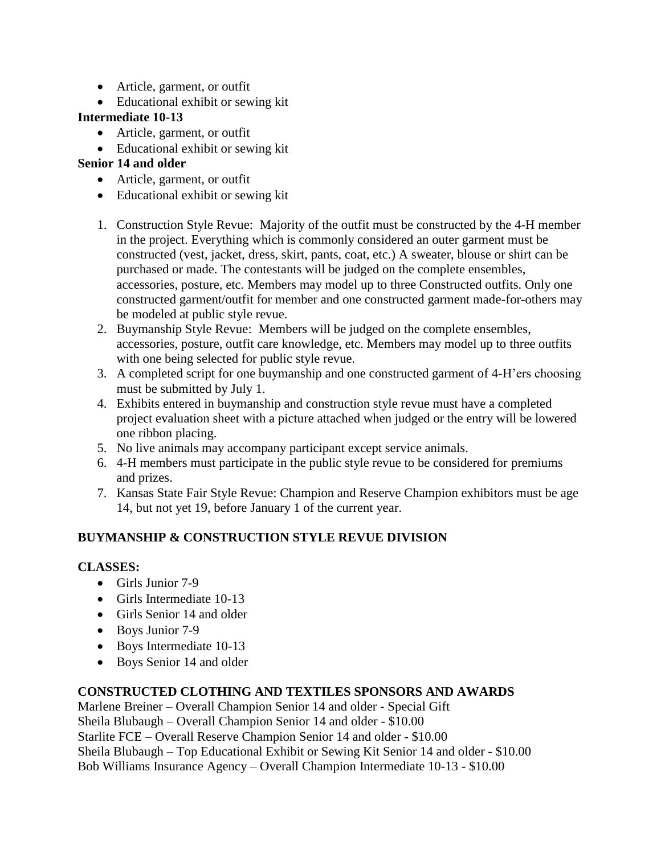- Article, garment, or outfit
- Educational exhibit or sewing kit

### **Intermediate 10-13**

- Article, garment, or outfit
- Educational exhibit or sewing kit

# **Senior 14 and older**

- Article, garment, or outfit
- Educational exhibit or sewing kit
- 1. Construction Style Revue: Majority of the outfit must be constructed by the 4-H member in the project. Everything which is commonly considered an outer garment must be constructed (vest, jacket, dress, skirt, pants, coat, etc.) A sweater, blouse or shirt can be purchased or made. The contestants will be judged on the complete ensembles, accessories, posture, etc. Members may model up to three Constructed outfits. Only one constructed garment/outfit for member and one constructed garment made-for-others may be modeled at public style revue.
- 2. Buymanship Style Revue: Members will be judged on the complete ensembles, accessories, posture, outfit care knowledge, etc. Members may model up to three outfits with one being selected for public style revue.
- 3. A completed script for one buymanship and one constructed garment of 4-H'ers choosing must be submitted by July 1.
- 4. Exhibits entered in buymanship and construction style revue must have a completed project evaluation sheet with a picture attached when judged or the entry will be lowered one ribbon placing.
- 5. No live animals may accompany participant except service animals.
- 6. 4-H members must participate in the public style revue to be considered for premiums and prizes.
- 7. Kansas State Fair Style Revue: Champion and Reserve Champion exhibitors must be age 14, but not yet 19, before January 1 of the current year.

# **BUYMANSHIP & CONSTRUCTION STYLE REVUE DIVISION**

# **CLASSES:**

- Girls Junior 7-9
- Girls Intermediate 10-13
- Girls Senior 14 and older
- Boys Junior 7-9
- Boys Intermediate 10-13
- Boys Senior 14 and older

# **CONSTRUCTED CLOTHING AND TEXTILES SPONSORS AND AWARDS**

Marlene Breiner – Overall Champion Senior 14 and older - Special Gift Sheila Blubaugh – Overall Champion Senior 14 and older - \$10.00 Starlite FCE – Overall Reserve Champion Senior 14 and older - \$10.00 Sheila Blubaugh – Top Educational Exhibit or Sewing Kit Senior 14 and older - \$10.00 Bob Williams Insurance Agency – Overall Champion Intermediate 10-13 - \$10.00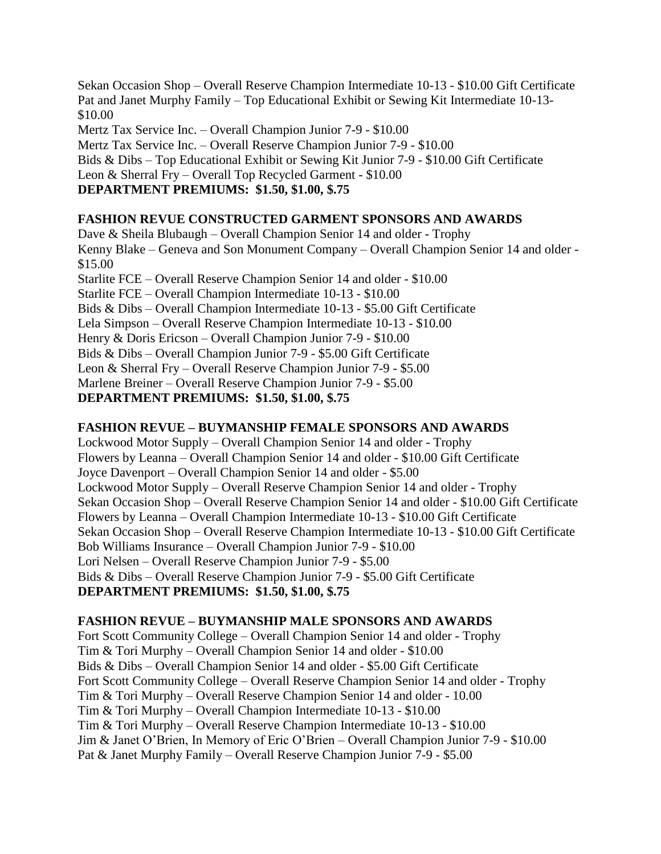Sekan Occasion Shop – Overall Reserve Champion Intermediate 10-13 - \$10.00 Gift Certificate Pat and Janet Murphy Family – Top Educational Exhibit or Sewing Kit Intermediate 10-13- \$10.00

Mertz Tax Service Inc. – Overall Champion Junior 7-9 - \$10.00

Mertz Tax Service Inc. – Overall Reserve Champion Junior 7-9 - \$10.00

Bids & Dibs – Top Educational Exhibit or Sewing Kit Junior 7-9 - \$10.00 Gift Certificate

Leon & Sherral Fry – Overall Top Recycled Garment - \$10.00

### **DEPARTMENT PREMIUMS: \$1.50, \$1.00, \$.75**

### **FASHION REVUE CONSTRUCTED GARMENT SPONSORS AND AWARDS**

Dave & Sheila Blubaugh – Overall Champion Senior 14 and older - Trophy Kenny Blake – Geneva and Son Monument Company – Overall Champion Senior 14 and older - \$15.00 Starlite FCE – Overall Reserve Champion Senior 14 and older - \$10.00 Starlite FCE – Overall Champion Intermediate 10-13 - \$10.00 Bids & Dibs – Overall Champion Intermediate 10-13 - \$5.00 Gift Certificate Lela Simpson – Overall Reserve Champion Intermediate 10-13 - \$10.00 Henry & Doris Ericson – Overall Champion Junior 7-9 - \$10.00 Bids & Dibs – Overall Champion Junior 7-9 - \$5.00 Gift Certificate Leon & Sherral Fry – Overall Reserve Champion Junior 7-9 - \$5.00 Marlene Breiner – Overall Reserve Champion Junior 7-9 - \$5.00 **DEPARTMENT PREMIUMS: \$1.50, \$1.00, \$.75**

### **FASHION REVUE – BUYMANSHIP FEMALE SPONSORS AND AWARDS**

Lockwood Motor Supply – Overall Champion Senior 14 and older - Trophy Flowers by Leanna – Overall Champion Senior 14 and older - \$10.00 Gift Certificate Joyce Davenport – Overall Champion Senior 14 and older - \$5.00 Lockwood Motor Supply – Overall Reserve Champion Senior 14 and older - Trophy Sekan Occasion Shop – Overall Reserve Champion Senior 14 and older - \$10.00 Gift Certificate Flowers by Leanna – Overall Champion Intermediate 10-13 - \$10.00 Gift Certificate Sekan Occasion Shop – Overall Reserve Champion Intermediate 10-13 - \$10.00 Gift Certificate Bob Williams Insurance – Overall Champion Junior 7-9 - \$10.00 Lori Nelsen – Overall Reserve Champion Junior 7-9 - \$5.00 Bids & Dibs – Overall Reserve Champion Junior 7-9 - \$5.00 Gift Certificate **DEPARTMENT PREMIUMS: \$1.50, \$1.00, \$.75**

### **FASHION REVUE – BUYMANSHIP MALE SPONSORS AND AWARDS**

Fort Scott Community College – Overall Champion Senior 14 and older - Trophy Tim & Tori Murphy – Overall Champion Senior 14 and older - \$10.00 Bids & Dibs – Overall Champion Senior 14 and older - \$5.00 Gift Certificate Fort Scott Community College – Overall Reserve Champion Senior 14 and older - Trophy Tim & Tori Murphy – Overall Reserve Champion Senior 14 and older - 10.00 Tim & Tori Murphy – Overall Champion Intermediate 10-13 - \$10.00 Tim & Tori Murphy – Overall Reserve Champion Intermediate 10-13 - \$10.00 Jim & Janet O'Brien, In Memory of Eric O'Brien – Overall Champion Junior 7-9 - \$10.00 Pat & Janet Murphy Family – Overall Reserve Champion Junior 7-9 - \$5.00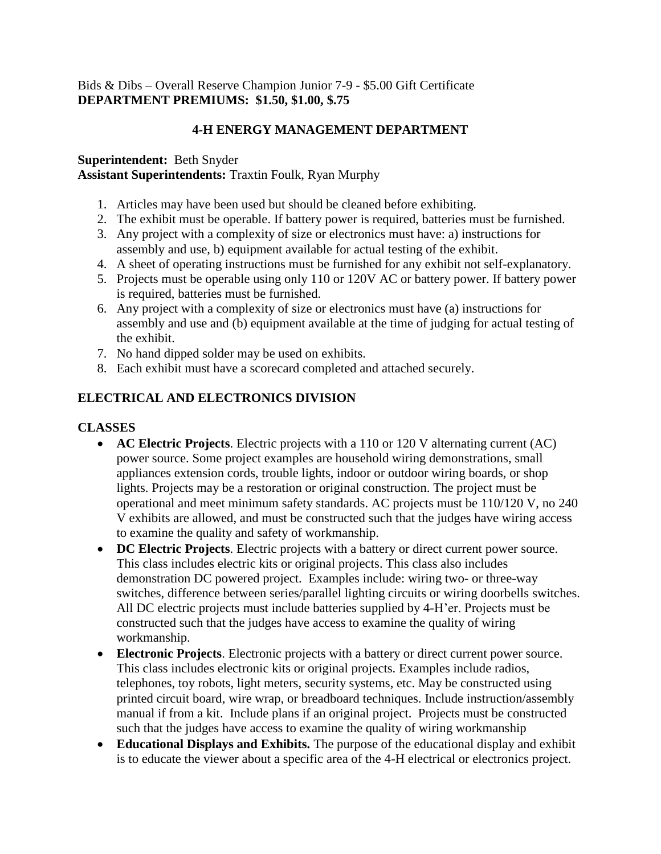### Bids & Dibs – Overall Reserve Champion Junior 7-9 - \$5.00 Gift Certificate **DEPARTMENT PREMIUMS: \$1.50, \$1.00, \$.75**

### **4-H ENERGY MANAGEMENT DEPARTMENT**

#### **Superintendent:** Beth Snyder **Assistant Superintendents:** Traxtin Foulk, Ryan Murphy

- 1. Articles may have been used but should be cleaned before exhibiting.
- 2. The exhibit must be operable. If battery power is required, batteries must be furnished.
- 3. Any project with a complexity of size or electronics must have: a) instructions for assembly and use, b) equipment available for actual testing of the exhibit.
- 4. A sheet of operating instructions must be furnished for any exhibit not self-explanatory.
- 5. Projects must be operable using only 110 or 120V AC or battery power. If battery power is required, batteries must be furnished.
- 6. Any project with a complexity of size or electronics must have (a) instructions for assembly and use and (b) equipment available at the time of judging for actual testing of the exhibit.
- 7. No hand dipped solder may be used on exhibits.
- 8. Each exhibit must have a scorecard completed and attached securely.

# **ELECTRICAL AND ELECTRONICS DIVISION**

#### **CLASSES**

- **AC Electric Projects**. Electric projects with a 110 or 120 V alternating current (AC) power source. Some project examples are household wiring demonstrations, small appliances extension cords, trouble lights, indoor or outdoor wiring boards, or shop lights. Projects may be a restoration or original construction. The project must be operational and meet minimum safety standards. AC projects must be 110/120 V, no 240 V exhibits are allowed, and must be constructed such that the judges have wiring access to examine the quality and safety of workmanship.
- **DC Electric Projects**. Electric projects with a battery or direct current power source. This class includes electric kits or original projects. This class also includes demonstration DC powered project. Examples include: wiring two- or three-way switches, difference between series/parallel lighting circuits or wiring doorbells switches. All DC electric projects must include batteries supplied by 4-H'er. Projects must be constructed such that the judges have access to examine the quality of wiring workmanship.
- **Electronic Projects**. Electronic projects with a battery or direct current power source. This class includes electronic kits or original projects. Examples include radios, telephones, toy robots, light meters, security systems, etc. May be constructed using printed circuit board, wire wrap, or breadboard techniques. Include instruction/assembly manual if from a kit. Include plans if an original project. Projects must be constructed such that the judges have access to examine the quality of wiring workmanship
- **Educational Displays and Exhibits.** The purpose of the educational display and exhibit is to educate the viewer about a specific area of the 4-H electrical or electronics project.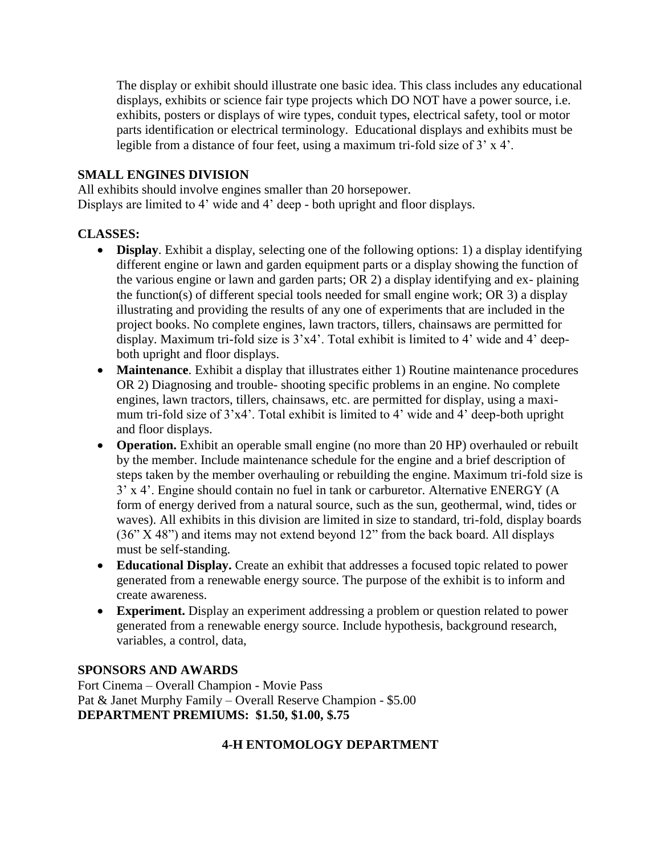The display or exhibit should illustrate one basic idea. This class includes any educational displays, exhibits or science fair type projects which DO NOT have a power source, i.e. exhibits, posters or displays of wire types, conduit types, electrical safety, tool or motor parts identification or electrical terminology. Educational displays and exhibits must be legible from a distance of four feet, using a maximum tri-fold size of 3' x 4'.

### **SMALL ENGINES DIVISION**

All exhibits should involve engines smaller than 20 horsepower. Displays are limited to 4' wide and 4' deep - both upright and floor displays.

### **CLASSES:**

- **Display**. Exhibit a display, selecting one of the following options: 1) a display identifying different engine or lawn and garden equipment parts or a display showing the function of the various engine or lawn and garden parts; OR 2) a display identifying and ex- plaining the function(s) of different special tools needed for small engine work; OR 3) a display illustrating and providing the results of any one of experiments that are included in the project books. No complete engines, lawn tractors, tillers, chainsaws are permitted for display. Maximum tri-fold size is 3'x4'. Total exhibit is limited to 4' wide and 4' deepboth upright and floor displays.
- **Maintenance**. Exhibit a display that illustrates either 1) Routine maintenance procedures OR 2) Diagnosing and trouble- shooting specific problems in an engine. No complete engines, lawn tractors, tillers, chainsaws, etc. are permitted for display, using a maximum tri-fold size of 3'x4'. Total exhibit is limited to 4' wide and 4' deep-both upright and floor displays.
- **Operation.** Exhibit an operable small engine (no more than 20 HP) overhauled or rebuilt by the member. Include maintenance schedule for the engine and a brief description of steps taken by the member overhauling or rebuilding the engine. Maximum tri-fold size is 3' x 4'. Engine should contain no fuel in tank or carburetor. Alternative ENERGY (A form of energy derived from a natural source, such as the sun, geothermal, wind, tides or waves). All exhibits in this division are limited in size to standard, tri-fold, display boards (36" X 48") and items may not extend beyond 12" from the back board. All displays must be self-standing.
- **Educational Display.** Create an exhibit that addresses a focused topic related to power generated from a renewable energy source. The purpose of the exhibit is to inform and create awareness.
- **Experiment.** Display an experiment addressing a problem or question related to power generated from a renewable energy source. Include hypothesis, background research, variables, a control, data,

# **SPONSORS AND AWARDS**

Fort Cinema – Overall Champion - Movie Pass Pat & Janet Murphy Family – Overall Reserve Champion - \$5.00 **DEPARTMENT PREMIUMS: \$1.50, \$1.00, \$.75**

# **4-H ENTOMOLOGY DEPARTMENT**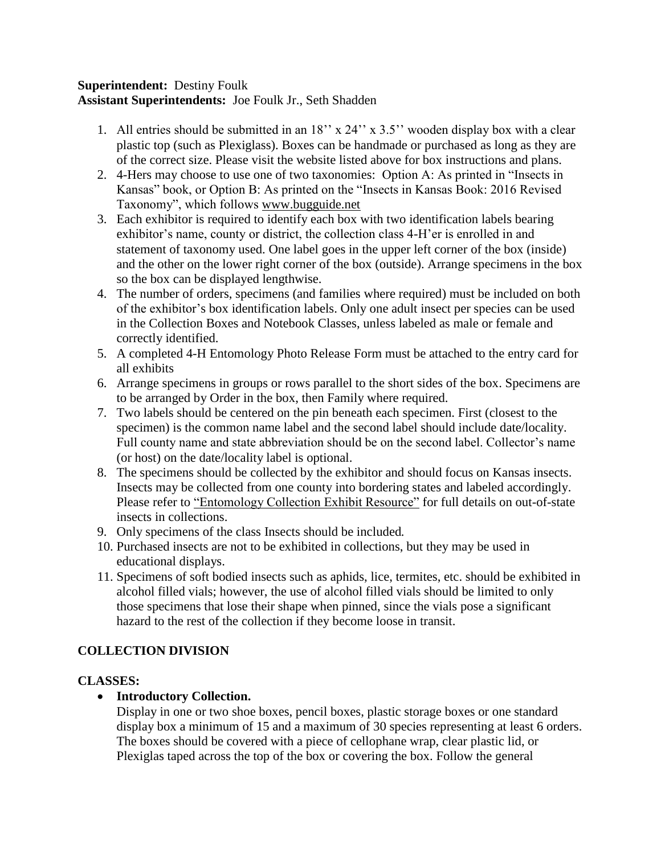### **Superintendent:** Destiny Foulk **Assistant Superintendents:** Joe Foulk Jr., Seth Shadden

- 1. All entries should be submitted in an 18'' x 24'' x 3.5'' wooden display box with a clear plastic top (such as Plexiglass). Boxes can be handmade or purchased as long as they are of the correct size. Please visit the website listed above for box instructions and plans.
- 2. 4-Hers may choose to use one of two taxonomies: Option A: As printed in "Insects in Kansas" book, or Option B: As printed on the "Insects in Kansas Book: 2016 Revised Taxonomy", which follows [www.bugguide.net](http://www.bugguide.net/)
- 3. Each exhibitor is required to identify each box with two identification labels bearing exhibitor's name, county or district, the collection class 4-H'er is enrolled in and statement of taxonomy used. One label goes in the upper left corner of the box (inside) and the other on the lower right corner of the box (outside). Arrange specimens in the box so the box can be displayed lengthwise.
- 4. The number of orders, specimens (and families where required) must be included on both of the exhibitor's box identification labels. Only one adult insect per species can be used in the Collection Boxes and Notebook Classes, unless labeled as male or female and correctly identified.
- 5. A completed 4-H Entomology Photo Release Form must be attached to the entry card for all exhibits
- 6. Arrange specimens in groups or rows parallel to the short sides of the box. Specimens are to be arranged by Order in the box, then Family where required.
- 7. Two labels should be centered on the pin beneath each specimen. First (closest to the specimen) is the common name label and the second label should include date/locality. Full county name and state abbreviation should be on the second label. Collector's name (or host) on the date/locality label is optional.
- 8. The specimens should be collected by the exhibitor and should focus on Kansas insects. Insects may be collected from one county into bordering states and labeled accordingly. Please refer to ["Entomology Collection Exhibit Resource"](https://www.kansas4-h.org/projects/agriculture-and-natural-resources/entomology.html) for full details on out-of-state insects in collections.
- 9. Only specimens of the class Insects should be included*.*
- 10. Purchased insects are not to be exhibited in collections, but they may be used in educational displays.
- 11. Specimens of soft bodied insects such as aphids, lice, termites, etc. should be exhibited in alcohol filled vials; however, the use of alcohol filled vials should be limited to only those specimens that lose their shape when pinned, since the vials pose a significant hazard to the rest of the collection if they become loose in transit.

# **COLLECTION DIVISION**

# **CLASSES:**

• **Introductory Collection.** 

Display in one or two shoe boxes, pencil boxes, plastic storage boxes or one standard display box a minimum of 15 and a maximum of 30 species representing at least 6 orders. The boxes should be covered with a piece of cellophane wrap, clear plastic lid, or Plexiglas taped across the top of the box or covering the box. Follow the general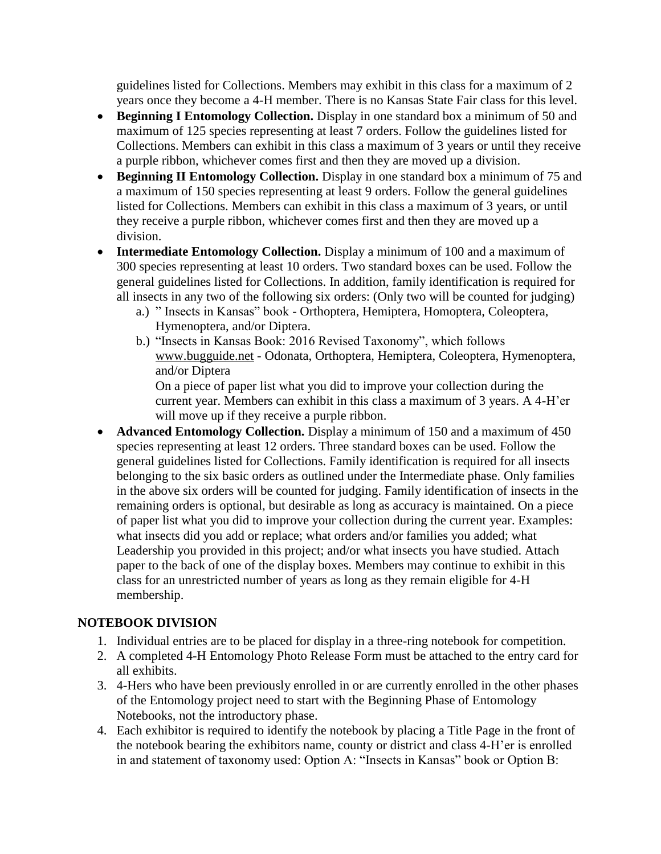guidelines listed for Collections. Members may exhibit in this class for a maximum of 2 years once they become a 4-H member. There is no Kansas State Fair class for this level.

- **Beginning I Entomology Collection.** Display in one standard box a minimum of 50 and maximum of 125 species representing at least 7 orders. Follow the guidelines listed for Collections. Members can exhibit in this class a maximum of 3 years or until they receive a purple ribbon, whichever comes first and then they are moved up a division.
- **Beginning II Entomology Collection.** Display in one standard box a minimum of 75 and a maximum of 150 species representing at least 9 orders. Follow the general guidelines listed for Collections. Members can exhibit in this class a maximum of 3 years, or until they receive a purple ribbon, whichever comes first and then they are moved up a division.
- **Intermediate Entomology Collection.** Display a minimum of 100 and a maximum of 300 species representing at least 10 orders. Two standard boxes can be used. Follow the general guidelines listed for Collections. In addition, family identification is required for all insects in any two of the following six orders: (Only two will be counted for judging)
	- a.) " Insects in Kansas" book Orthoptera, Hemiptera, Homoptera, Coleoptera, Hymenoptera, and/or Diptera.
	- b.) "Insects in Kansas Book: 2016 Revised Taxonomy", which follows www.bugguide.net - Odonata, Orthoptera, Hemiptera, Coleoptera, Hymenoptera, and/or Diptera

On a piece of paper list what you did to improve your collection during the current year. Members can exhibit in this class a maximum of 3 years. A 4-H'er will move up if they receive a purple ribbon.

• **Advanced Entomology Collection.** Display a minimum of 150 and a maximum of 450 species representing at least 12 orders. Three standard boxes can be used. Follow the general guidelines listed for Collections. Family identification is required for all insects belonging to the six basic orders as outlined under the Intermediate phase. Only families in the above six orders will be counted for judging. Family identification of insects in the remaining orders is optional, but desirable as long as accuracy is maintained. On a piece of paper list what you did to improve your collection during the current year. Examples: what insects did you add or replace; what orders and/or families you added; what Leadership you provided in this project; and/or what insects you have studied. Attach paper to the back of one of the display boxes. Members may continue to exhibit in this class for an unrestricted number of years as long as they remain eligible for 4-H membership.

# **NOTEBOOK DIVISION**

- 1. Individual entries are to be placed for display in a three-ring notebook for competition.
- 2. A completed 4-H Entomology Photo Release Form must be attached to the entry card for all exhibits.
- 3. 4-Hers who have been previously enrolled in or are currently enrolled in the other phases of the Entomology project need to start with the Beginning Phase of Entomology Notebooks, not the introductory phase.
- 4. Each exhibitor is required to identify the notebook by placing a Title Page in the front of the notebook bearing the exhibitors name, county or district and class 4-H'er is enrolled in and statement of taxonomy used: Option A: "Insects in Kansas" book or Option B: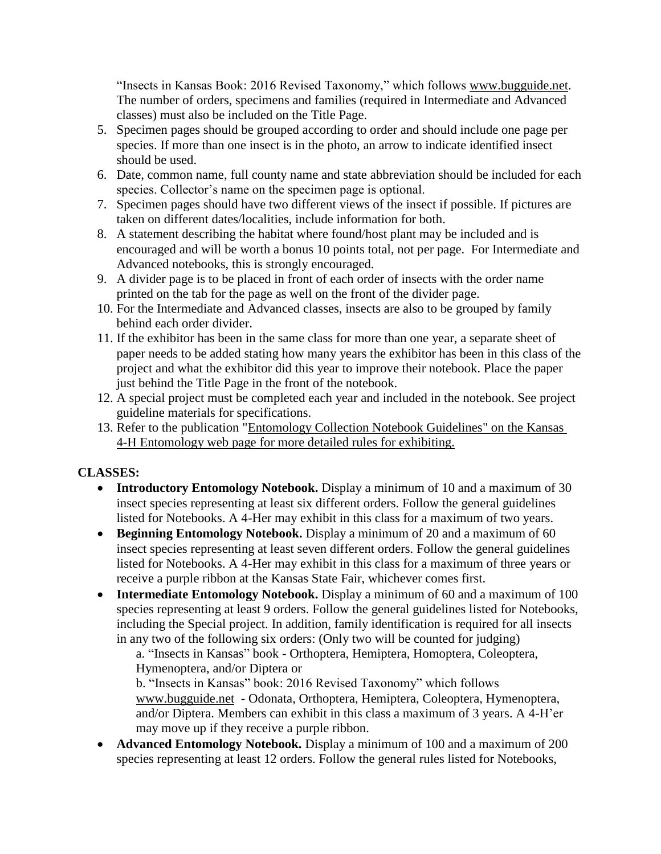"Insects in Kansas Book: 2016 Revised Taxonomy," which follows [www.bugguide.net.](http://www.bugguide.net/) The number of orders, specimens and families (required in Intermediate and Advanced classes) must also be included on the Title Page.

- 5. Specimen pages should be grouped according to order and should include one page per species. If more than one insect is in the photo, an arrow to indicate identified insect should be used.
- 6. Date, common name, full county name and state abbreviation should be included for each species. Collector's name on the specimen page is optional.
- 7. Specimen pages should have two different views of the insect if possible. If pictures are taken on different dates/localities, include information for both.
- 8. A statement describing the habitat where found/host plant may be included and is encouraged and will be worth a bonus 10 points total, not per page. For Intermediate and Advanced notebooks, this is strongly encouraged.
- 9. A divider page is to be placed in front of each order of insects with the order name printed on the tab for the page as well on the front of the divider page.
- 10. For the Intermediate and Advanced classes, insects are also to be grouped by family behind each order divider.
- 11. If the exhibitor has been in the same class for more than one year, a separate sheet of paper needs to be added stating how many years the exhibitor has been in this class of the project and what the exhibitor did this year to improve their notebook. Place the paper just behind the Title Page in the front of the notebook.
- 12. A special project must be completed each year and included in the notebook. See project guideline materials for specifications.
- 13. Refer to the publication ["Entomology Collection Notebook Guidelines"](https://www.kansas4-h.org/projects/agriculture-and-natural-resources/entomology.html) on the Kansas 4-H Entomology web page for more detailed rules for exhibiting.

# **CLASSES:**

- **Introductory Entomology Notebook.** Display a minimum of 10 and a maximum of 30 insect species representing at least six different orders. Follow the general guidelines listed for Notebooks. A 4-Her may exhibit in this class for a maximum of two years.
- **Beginning Entomology Notebook.** Display a minimum of 20 and a maximum of 60 insect species representing at least seven different orders. Follow the general guidelines listed for Notebooks. A 4-Her may exhibit in this class for a maximum of three years or receive a purple ribbon at the Kansas State Fair, whichever comes first.
- **Intermediate Entomology Notebook.** Display a minimum of 60 and a maximum of 100 species representing at least 9 orders. Follow the general guidelines listed for Notebooks, including the Special project. In addition, family identification is required for all insects in any two of the following six orders: (Only two will be counted for judging)

a. "Insects in Kansas" book - Orthoptera, Hemiptera, Homoptera, Coleoptera, Hymenoptera, and/or Diptera or

b. "Insects in Kansas" book: 2016 Revised Taxonomy" which follows [www.bugguide.net](http://www.bugguide.net/) - Odonata, Orthoptera, Hemiptera, Coleoptera, Hymenoptera, and/or Diptera. Members can exhibit in this class a maximum of 3 years. A 4-H'er may move up if they receive a purple ribbon.

• **Advanced Entomology Notebook.** Display a minimum of 100 and a maximum of 200 species representing at least 12 orders. Follow the general rules listed for Notebooks,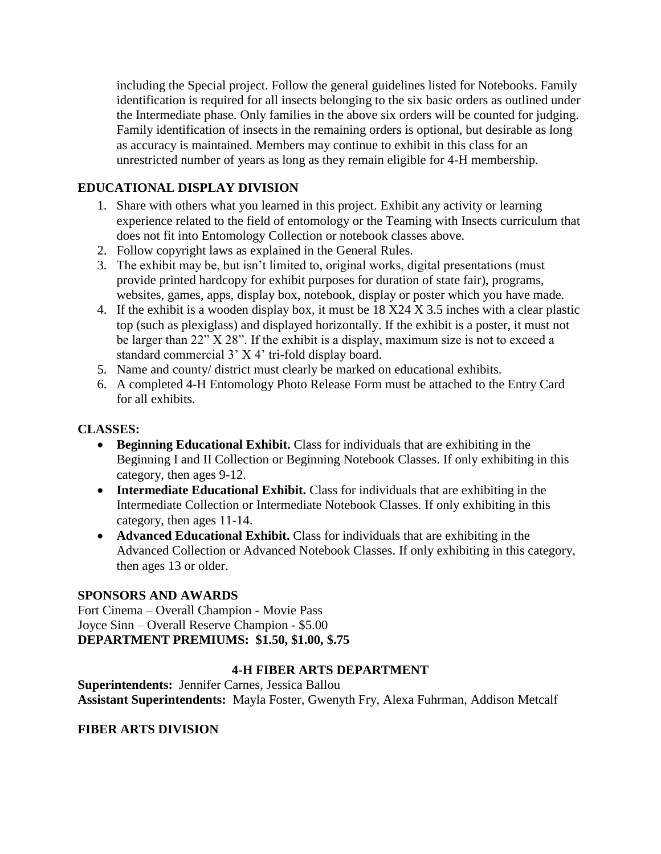including the Special project. Follow the general guidelines listed for Notebooks. Family identification is required for all insects belonging to the six basic orders as outlined under the Intermediate phase. Only families in the above six orders will be counted for judging. Family identification of insects in the remaining orders is optional, but desirable as long as accuracy is maintained. Members may continue to exhibit in this class for an unrestricted number of years as long as they remain eligible for 4-H membership.

# **EDUCATIONAL DISPLAY DIVISION**

- 1. Share with others what you learned in this project. Exhibit any activity or learning experience related to the field of entomology or the Teaming with Insects curriculum that does not fit into Entomology Collection or notebook classes above.
- 2. Follow copyright laws as explained in the General Rules.
- 3. The exhibit may be, but isn't limited to, original works, digital presentations (must provide printed hardcopy for exhibit purposes for duration of state fair), programs, websites, games, apps, display box, notebook, display or poster which you have made.
- 4. If the exhibit is a wooden display box, it must be 18 X24 X 3.5 inches with a clear plastic top (such as plexiglass) and displayed horizontally. If the exhibit is a poster, it must not be larger than 22" X 28". If the exhibit is a display, maximum size is not to exceed a standard commercial 3' X 4' tri-fold display board.
- 5. Name and county/ district must clearly be marked on educational exhibits.
- 6. A completed 4-H Entomology Photo Release Form must be attached to the Entry Card for all exhibits.

### **CLASSES:**

- **Beginning Educational Exhibit.** Class for individuals that are exhibiting in the Beginning I and II Collection or Beginning Notebook Classes. If only exhibiting in this category, then ages 9-12.
- **Intermediate Educational Exhibit.** Class for individuals that are exhibiting in the Intermediate Collection or Intermediate Notebook Classes. If only exhibiting in this category, then ages 11-14.
- **Advanced Educational Exhibit.** Class for individuals that are exhibiting in the Advanced Collection or Advanced Notebook Classes. If only exhibiting in this category, then ages 13 or older.

### **SPONSORS AND AWARDS**

Fort Cinema – Overall Champion - Movie Pass Joyce Sinn – Overall Reserve Champion - \$5.00 **DEPARTMENT PREMIUMS: \$1.50, \$1.00, \$.75**

### **4-H FIBER ARTS DEPARTMENT**

**Superintendents:** Jennifer Carnes, Jessica Ballou **Assistant Superintendents:** Mayla Foster, Gwenyth Fry, Alexa Fuhrman, Addison Metcalf

### **FIBER ARTS DIVISION**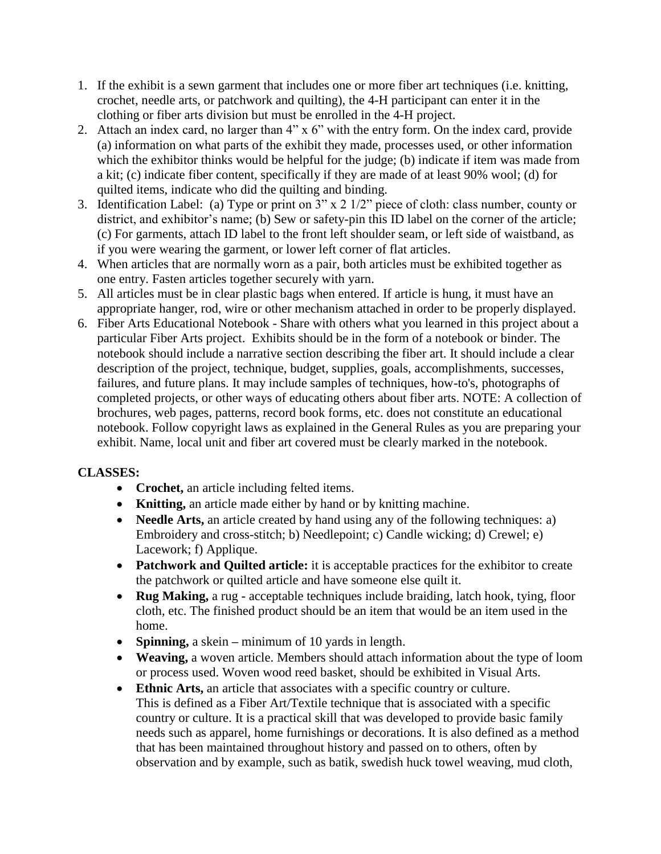- 1. If the exhibit is a sewn garment that includes one or more fiber art techniques (i.e. knitting, crochet, needle arts, or patchwork and quilting), the 4-H participant can enter it in the clothing or fiber arts division but must be enrolled in the 4-H project.
- 2. Attach an index card, no larger than 4" x 6" with the entry form. On the index card, provide (a) information on what parts of the exhibit they made, processes used, or other information which the exhibitor thinks would be helpful for the judge; (b) indicate if item was made from a kit; (c) indicate fiber content, specifically if they are made of at least 90% wool; (d) for quilted items, indicate who did the quilting and binding.
- 3. Identification Label: (a) Type or print on 3" x 2 1/2" piece of cloth: class number, county or district, and exhibitor's name; (b) Sew or safety-pin this ID label on the corner of the article; (c) For garments, attach ID label to the front left shoulder seam, or left side of waistband, as if you were wearing the garment, or lower left corner of flat articles.
- 4. When articles that are normally worn as a pair, both articles must be exhibited together as one entry. Fasten articles together securely with yarn.
- 5. All articles must be in clear plastic bags when entered. If article is hung, it must have an appropriate hanger, rod, wire or other mechanism attached in order to be properly displayed.
- 6. Fiber Arts Educational Notebook Share with others what you learned in this project about a particular Fiber Arts project. Exhibits should be in the form of a notebook or binder. The notebook should include a narrative section describing the fiber art. It should include a clear description of the project, technique, budget, supplies, goals, accomplishments, successes, failures, and future plans. It may include samples of techniques, how-to's, photographs of completed projects, or other ways of educating others about fiber arts. NOTE: A collection of brochures, web pages, patterns, record book forms, etc. does not constitute an educational notebook. Follow copyright laws as explained in the General Rules as you are preparing your exhibit. Name, local unit and fiber art covered must be clearly marked in the notebook.

# **CLASSES:**

- **Crochet,** an article including felted items.
- **Knitting,** an article made either by hand or by knitting machine.
- **Needle Arts,** an article created by hand using any of the following techniques: a) Embroidery and cross-stitch; b) Needlepoint; c) Candle wicking; d) Crewel; e) Lacework; f) Applique.
- **Patchwork and Quilted article:** it is acceptable practices for the exhibitor to create the patchwork or quilted article and have someone else quilt it.
- **Rug Making,** a rug **-** acceptable techniques include braiding, latch hook, tying, floor cloth, etc. The finished product should be an item that would be an item used in the home.
- **Spinning,** a skein **–** minimum of 10 yards in length.
- **Weaving,** a woven article. Members should attach information about the type of loom or process used. Woven wood reed basket, should be exhibited in Visual Arts.
- **Ethnic Arts,** an article that associates with a specific country or culture. This is defined as a Fiber Art/Textile technique that is associated with a specific country or culture. It is a practical skill that was developed to provide basic family needs such as apparel, home furnishings or decorations. It is also defined as a method that has been maintained throughout history and passed on to others, often by observation and by example, such as batik, swedish huck towel weaving, mud cloth,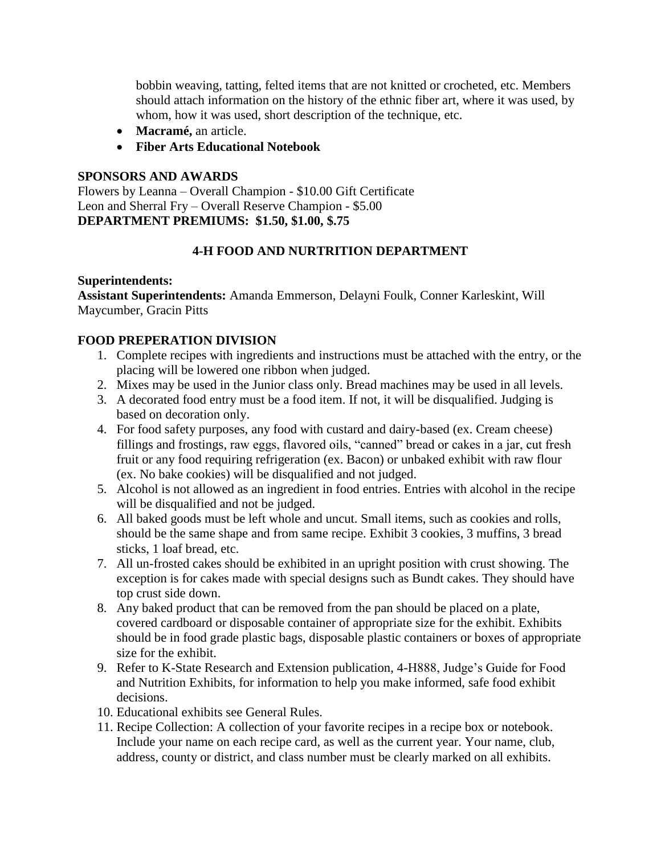bobbin weaving, tatting, felted items that are not knitted or crocheted, etc. Members should attach information on the history of the ethnic fiber art, where it was used, by whom, how it was used, short description of the technique, etc.

- **Macramé,** an article.
- **Fiber Arts Educational Notebook**

#### **SPONSORS AND AWARDS**

Flowers by Leanna – Overall Champion - \$10.00 Gift Certificate Leon and Sherral Fry – Overall Reserve Champion - \$5.00 **DEPARTMENT PREMIUMS: \$1.50, \$1.00, \$.75**

### **4-H FOOD AND NURTRITION DEPARTMENT**

#### **Superintendents:**

**Assistant Superintendents:** Amanda Emmerson, Delayni Foulk, Conner Karleskint, Will Maycumber, Gracin Pitts

### **FOOD PREPERATION DIVISION**

- 1. Complete recipes with ingredients and instructions must be attached with the entry, or the placing will be lowered one ribbon when judged.
- 2. Mixes may be used in the Junior class only. Bread machines may be used in all levels.
- 3. A decorated food entry must be a food item. If not, it will be disqualified. Judging is based on decoration only.
- 4. For food safety purposes, any food with custard and dairy-based (ex. Cream cheese) fillings and frostings, raw eggs, flavored oils, "canned" bread or cakes in a jar, cut fresh fruit or any food requiring refrigeration (ex. Bacon) or unbaked exhibit with raw flour (ex. No bake cookies) will be disqualified and not judged.
- 5. Alcohol is not allowed as an ingredient in food entries. Entries with alcohol in the recipe will be disqualified and not be judged.
- 6. All baked goods must be left whole and uncut. Small items, such as cookies and rolls, should be the same shape and from same recipe. Exhibit 3 cookies, 3 muffins, 3 bread sticks, 1 loaf bread, etc.
- 7. All un-frosted cakes should be exhibited in an upright position with crust showing. The exception is for cakes made with special designs such as Bundt cakes. They should have top crust side down.
- 8. Any baked product that can be removed from the pan should be placed on a plate, covered cardboard or disposable container of appropriate size for the exhibit. Exhibits should be in food grade plastic bags, disposable plastic containers or boxes of appropriate size for the exhibit.
- 9. Refer to K-State Research and Extension publication, 4-H888, Judge's Guide for Food and Nutrition Exhibits, for information to help you make informed, safe food exhibit decisions.
- 10. Educational exhibits see General Rules.
- 11. Recipe Collection: A collection of your favorite recipes in a recipe box or notebook. Include your name on each recipe card, as well as the current year. Your name, club, address, county or district, and class number must be clearly marked on all exhibits.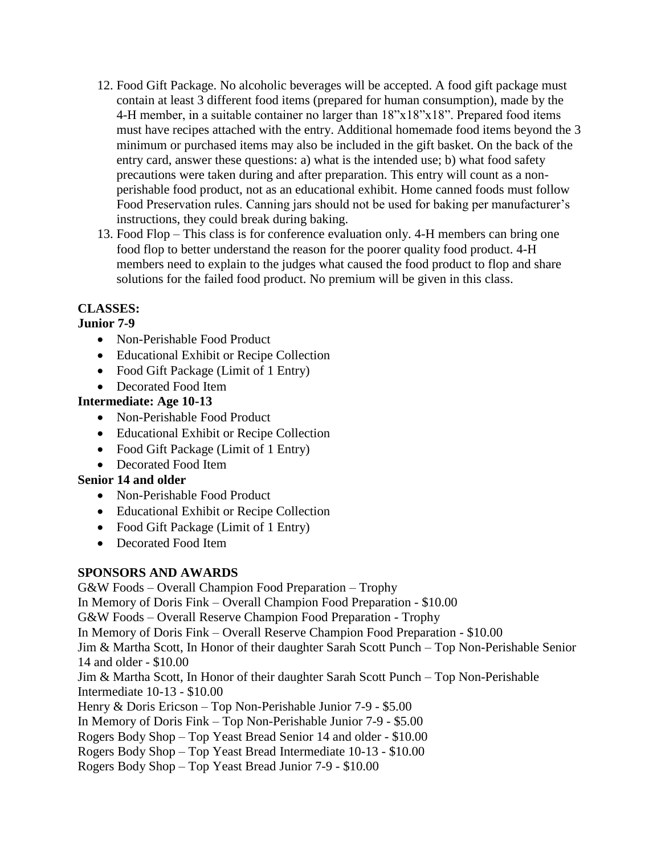- 12. Food Gift Package. No alcoholic beverages will be accepted. A food gift package must contain at least 3 different food items (prepared for human consumption), made by the 4-H member, in a suitable container no larger than  $18"x18"x18"$ . Prepared food items must have recipes attached with the entry. Additional homemade food items beyond the 3 minimum or purchased items may also be included in the gift basket. On the back of the entry card, answer these questions: a) what is the intended use; b) what food safety precautions were taken during and after preparation. This entry will count as a nonperishable food product, not as an educational exhibit. Home canned foods must follow Food Preservation rules. Canning jars should not be used for baking per manufacturer's instructions, they could break during baking.
- 13. Food Flop This class is for conference evaluation only. 4-H members can bring one food flop to better understand the reason for the poorer quality food product. 4-H members need to explain to the judges what caused the food product to flop and share solutions for the failed food product. No premium will be given in this class.

# **CLASSES:**

### **Junior 7-9**

- Non-Perishable Food Product
- Educational Exhibit or Recipe Collection
- Food Gift Package (Limit of 1 Entry)
- Decorated Food Item

### **Intermediate: Age 10-13**

- Non-Perishable Food Product
- Educational Exhibit or Recipe Collection
- Food Gift Package (Limit of 1 Entry)
- Decorated Food Item

### **Senior 14 and older**

- Non-Perishable Food Product
- Educational Exhibit or Recipe Collection
- Food Gift Package (Limit of 1 Entry)
- Decorated Food Item

### **SPONSORS AND AWARDS**

G&W Foods – Overall Champion Food Preparation – Trophy In Memory of Doris Fink – Overall Champion Food Preparation - \$10.00 G&W Foods – Overall Reserve Champion Food Preparation - Trophy In Memory of Doris Fink – Overall Reserve Champion Food Preparation - \$10.00 Jim & Martha Scott, In Honor of their daughter Sarah Scott Punch – Top Non-Perishable Senior 14 and older - \$10.00 Jim & Martha Scott, In Honor of their daughter Sarah Scott Punch – Top Non-Perishable Intermediate 10-13 - \$10.00 Henry & Doris Ericson – Top Non-Perishable Junior 7-9 - \$5.00 In Memory of Doris Fink – Top Non-Perishable Junior 7-9 - \$5.00 Rogers Body Shop – Top Yeast Bread Senior 14 and older - \$10.00 Rogers Body Shop – Top Yeast Bread Intermediate 10-13 - \$10.00 Rogers Body Shop – Top Yeast Bread Junior 7-9 - \$10.00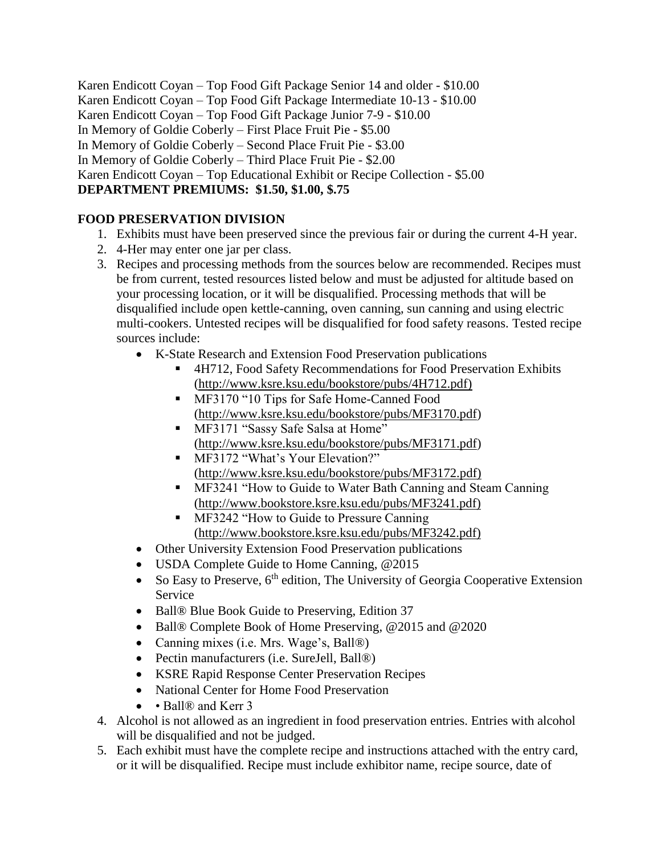Karen Endicott Coyan – Top Food Gift Package Senior 14 and older - \$10.00 Karen Endicott Coyan – Top Food Gift Package Intermediate 10-13 - \$10.00 Karen Endicott Coyan – Top Food Gift Package Junior 7-9 - \$10.00 In Memory of Goldie Coberly – First Place Fruit Pie - \$5.00 In Memory of Goldie Coberly – Second Place Fruit Pie - \$3.00 In Memory of Goldie Coberly – Third Place Fruit Pie - \$2.00 Karen Endicott Coyan – Top Educational Exhibit or Recipe Collection - \$5.00 **DEPARTMENT PREMIUMS: \$1.50, \$1.00, \$.75**

# **FOOD PRESERVATION DIVISION**

- 1. Exhibits must have been preserved since the previous fair or during the current 4-H year.
- 2. 4-Her may enter one jar per class.
- 3. Recipes and processing methods from the sources below are recommended. Recipes must be from current, tested resources listed below and must be adjusted for altitude based on your processing location, or it will be disqualified. Processing methods that will be disqualified include open kettle-canning, oven canning, sun canning and using electric multi-cookers. Untested recipes will be disqualified for food safety reasons. Tested recipe sources include:
	- K-State Research and Extension Food Preservation publications
		- 4H712, Food Safety Recommendations for Food Preservation Exhibits [\(http://www.ksre.ksu.edu/bookstore/pubs/4H712.pdf\)](http://www.ksre.ksu.edu/bookstore/pubs/4H712.pdf)
		- **■** MF3170 "10 Tips for Safe Home-Canned Food [\(http://www.ksre.ksu.edu/bookstore/pubs/MF3170.pdf\)](http://www.ksre.ksu.edu/bookstore/pubs/MF3170.pdf)
		- MF3171 "Sassy Safe Salsa at Home" [\(http://www.ksre.ksu.edu/bookstore/pubs/MF3171.pdf\)](http://www.ksre.ksu.edu/bookstore/pubs/MF3171.pdf)
		- MF3172 "What's Your Elevation?" [\(http://www.ksre.ksu.edu/bookstore/pubs/MF3172.pdf\)](http://www.ksre.ksu.edu/bookstore/pubs/MF3172.pdf))
		- MF3241 "How to Guide to Water Bath Canning and Steam Canning [\(http://www.bookstore.ksre.ksu.edu/pubs/MF3241.pdf\)](http://www.bookstore.ksre.ksu.edu/pubs/MF3241.pdf))
		- **EXECUTE:** MF3242 "How to Guide to Pressure Canning [\(http://www.bookstore.ksre.ksu.edu/pubs/MF3242.pdf\)](http://www.bookstore.ksre.ksu.edu/pubs/MF3242.pdf))
	- Other University Extension Food Preservation publications
	- USDA Complete Guide to Home Canning, @2015
	- So Easy to Preserve,  $6<sup>th</sup>$  edition, The University of Georgia Cooperative Extension Service
	- Ball<sup>®</sup> Blue Book Guide to Preserving, Edition 37
	- Ball® Complete Book of Home Preserving, @2015 and @2020
	- Canning mixes (i.e. Mrs. Wage's, Ball<sup>®)</sup>
	- Pectin manufacturers (i.e. SureJell, Ball®)
	- KSRE Rapid Response Center Preservation Recipes
	- National Center for Home Food Preservation
	- Ball<sup>®</sup> and Kerr 3
- 4. Alcohol is not allowed as an ingredient in food preservation entries. Entries with alcohol will be disqualified and not be judged.
- 5. Each exhibit must have the complete recipe and instructions attached with the entry card, or it will be disqualified. Recipe must include exhibitor name, recipe source, date of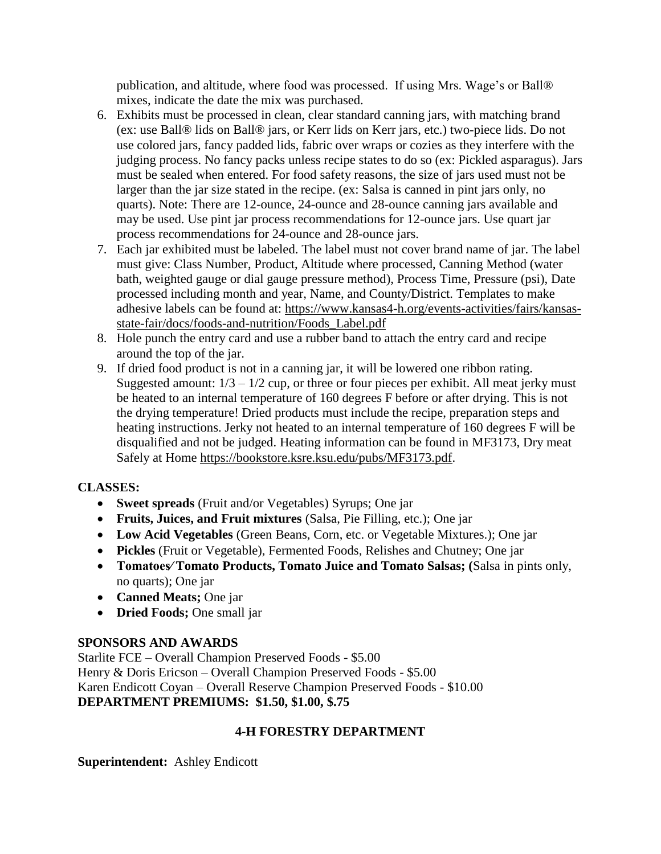publication, and altitude, where food was processed. If using Mrs. Wage's or Ball® mixes, indicate the date the mix was purchased.

- 6. Exhibits must be processed in clean, clear standard canning jars, with matching brand (ex: use Ball® lids on Ball® jars, or Kerr lids on Kerr jars, etc.) two-piece lids. Do not use colored jars, fancy padded lids, fabric over wraps or cozies as they interfere with the judging process. No fancy packs unless recipe states to do so (ex: Pickled asparagus). Jars must be sealed when entered. For food safety reasons, the size of jars used must not be larger than the jar size stated in the recipe. (ex: Salsa is canned in pint jars only, no quarts). Note: There are 12-ounce, 24-ounce and 28-ounce canning jars available and may be used. Use pint jar process recommendations for 12-ounce jars. Use quart jar process recommendations for 24-ounce and 28-ounce jars.
- 7. Each jar exhibited must be labeled. The label must not cover brand name of jar. The label must give: Class Number, Product, Altitude where processed, Canning Method (water bath, weighted gauge or dial gauge pressure method), Process Time, Pressure (psi), Date processed including month and year, Name, and County/District. Templates to make adhesive labels can be found at: [https://www.kansas4-h.org/events-activities/fairs/kansas](https://www.kansas4-h.org/events-activities/fairs/kansas-state-fair/docs/foods-and-nutrition/Foods_Label.pdf)[state-fair/docs/foods-and-nutrition/Foods\\_Label.pdf](https://www.kansas4-h.org/events-activities/fairs/kansas-state-fair/docs/foods-and-nutrition/Foods_Label.pdf)
- 8. Hole punch the entry card and use a rubber band to attach the entry card and recipe around the top of the jar.
- 9. If dried food product is not in a canning jar, it will be lowered one ribbon rating. Suggested amount:  $1/3 - 1/2$  cup, or three or four pieces per exhibit. All meat jerky must be heated to an internal temperature of 160 degrees F before or after drying. This is not the drying temperature! Dried products must include the recipe, preparation steps and heating instructions. Jerky not heated to an internal temperature of 160 degrees F will be disqualified and not be judged. Heating information can be found in MF3173, Dry meat Safely at Home [https://bookstore.ksre.ksu.edu/pubs/MF3173.pdf.](https://bookstore.ksre.ksu.edu/pubs/MF3173.pdf)

# **CLASSES:**

- **Sweet spreads** (Fruit and/or Vegetables) Syrups; One jar
- **Fruits, Juices, and Fruit mixtures** (Salsa, Pie Filling, etc.); One jar
- **Low Acid Vegetables** (Green Beans, Corn, etc. or Vegetable Mixtures.); One jar
- **Pickles** (Fruit or Vegetable), Fermented Foods, Relishes and Chutney; One jar
- **Tomatoes⁄ Tomato Products, Tomato Juice and Tomato Salsas; (**Salsa in pints only, no quarts); One jar
- **Canned Meats;** One jar
- **Dried Foods;** One small jar

### **SPONSORS AND AWARDS**

Starlite FCE – Overall Champion Preserved Foods - \$5.00 Henry & Doris Ericson – Overall Champion Preserved Foods - \$5.00 Karen Endicott Coyan – Overall Reserve Champion Preserved Foods - \$10.00 **DEPARTMENT PREMIUMS: \$1.50, \$1.00, \$.75**

### **4-H FORESTRY DEPARTMENT**

**Superintendent:** Ashley Endicott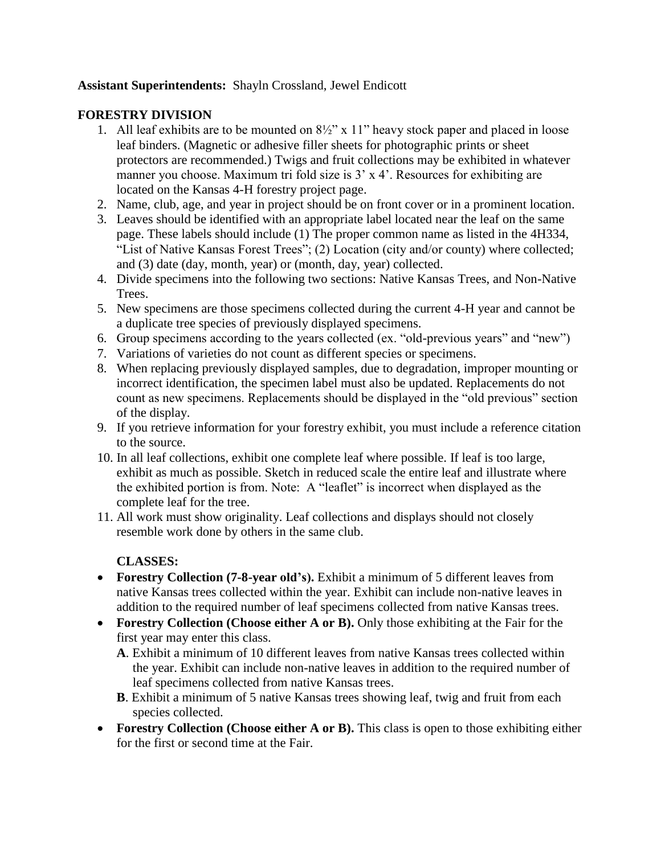### **Assistant Superintendents:** Shayln Crossland, Jewel Endicott

#### **FORESTRY DIVISION**

- 1. All leaf exhibits are to be mounted on 8½" x 11" heavy stock paper and placed in loose leaf binders. (Magnetic or adhesive filler sheets for photographic prints or sheet protectors are recommended.) Twigs and fruit collections may be exhibited in whatever manner you choose. Maximum tri fold size is 3' x 4'. Resources for exhibiting are located on the Kansas 4-H forestry project page.
- 2. Name, club, age, and year in project should be on front cover or in a prominent location.
- 3. Leaves should be identified with an appropriate label located near the leaf on the same page. These labels should include (1) The proper common name as listed in the 4H334, "List of Native Kansas Forest Trees"; (2) Location (city and/or county) where collected; and (3) date (day, month, year) or (month, day, year) collected.
- 4. Divide specimens into the following two sections: Native Kansas Trees, and Non-Native Trees.
- 5. New specimens are those specimens collected during the current 4-H year and cannot be a duplicate tree species of previously displayed specimens.
- 6. Group specimens according to the years collected (ex. "old-previous years" and "new")
- 7. Variations of varieties do not count as different species or specimens.
- 8. When replacing previously displayed samples, due to degradation, improper mounting or incorrect identification, the specimen label must also be updated. Replacements do not count as new specimens. Replacements should be displayed in the "old previous" section of the display.
- 9. If you retrieve information for your forestry exhibit, you must include a reference citation to the source.
- 10. In all leaf collections, exhibit one complete leaf where possible. If leaf is too large, exhibit as much as possible. Sketch in reduced scale the entire leaf and illustrate where the exhibited portion is from. Note: A "leaflet" is incorrect when displayed as the complete leaf for the tree.
- 11. All work must show originality. Leaf collections and displays should not closely resemble work done by others in the same club.

### **CLASSES:**

- **Forestry Collection (7-8-year old's).** Exhibit a minimum of 5 different leaves from native Kansas trees collected within the year. Exhibit can include non-native leaves in addition to the required number of leaf specimens collected from native Kansas trees.
- **Forestry Collection (Choose either A or B).** Only those exhibiting at the Fair for the first year may enter this class.
	- **A**. Exhibit a minimum of 10 different leaves from native Kansas trees collected within the year. Exhibit can include non-native leaves in addition to the required number of leaf specimens collected from native Kansas trees.
	- **B**. Exhibit a minimum of 5 native Kansas trees showing leaf, twig and fruit from each species collected.
- **Forestry Collection (Choose either A or B).** This class is open to those exhibiting either for the first or second time at the Fair.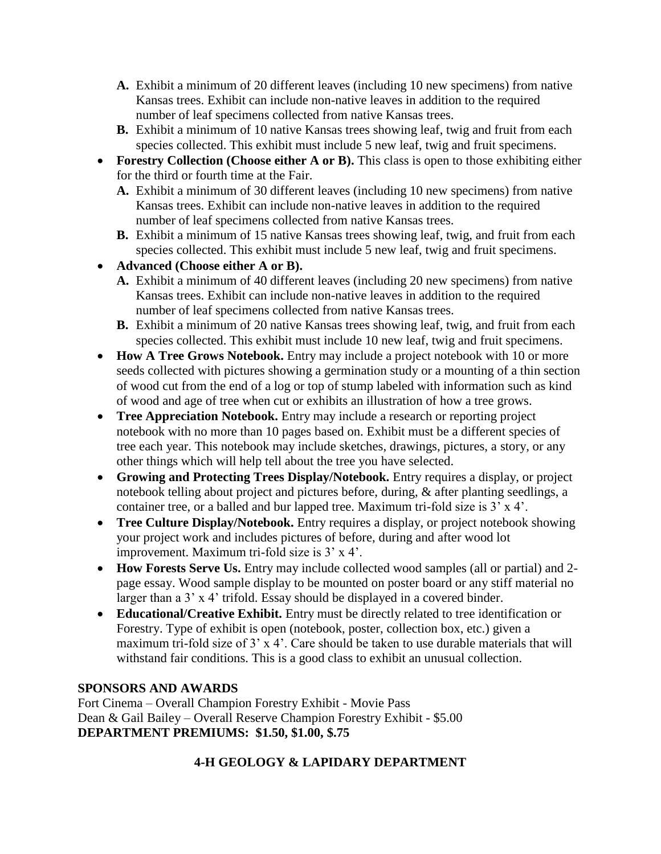- **A.** Exhibit a minimum of 20 different leaves (including 10 new specimens) from native Kansas trees. Exhibit can include non-native leaves in addition to the required number of leaf specimens collected from native Kansas trees.
- **B.** Exhibit a minimum of 10 native Kansas trees showing leaf, twig and fruit from each species collected. This exhibit must include 5 new leaf, twig and fruit specimens.
- **Forestry Collection (Choose either A or B).** This class is open to those exhibiting either for the third or fourth time at the Fair.
	- **A.** Exhibit a minimum of 30 different leaves (including 10 new specimens) from native Kansas trees. Exhibit can include non-native leaves in addition to the required number of leaf specimens collected from native Kansas trees.
	- **B.** Exhibit a minimum of 15 native Kansas trees showing leaf, twig, and fruit from each species collected. This exhibit must include 5 new leaf, twig and fruit specimens.
- **Advanced (Choose either A or B).**
	- **A.** Exhibit a minimum of 40 different leaves (including 20 new specimens) from native Kansas trees. Exhibit can include non-native leaves in addition to the required number of leaf specimens collected from native Kansas trees.
	- **B.** Exhibit a minimum of 20 native Kansas trees showing leaf, twig, and fruit from each species collected. This exhibit must include 10 new leaf, twig and fruit specimens.
- **How A Tree Grows Notebook.** Entry may include a project notebook with 10 or more seeds collected with pictures showing a germination study or a mounting of a thin section of wood cut from the end of a log or top of stump labeled with information such as kind of wood and age of tree when cut or exhibits an illustration of how a tree grows.
- **Tree Appreciation Notebook.** Entry may include a research or reporting project notebook with no more than 10 pages based on. Exhibit must be a different species of tree each year. This notebook may include sketches, drawings, pictures, a story, or any other things which will help tell about the tree you have selected.
- **Growing and Protecting Trees Display/Notebook.** Entry requires a display, or project notebook telling about project and pictures before, during, & after planting seedlings, a container tree, or a balled and bur lapped tree. Maximum tri-fold size is 3' x 4'.
- **Tree Culture Display/Notebook.** Entry requires a display, or project notebook showing your project work and includes pictures of before, during and after wood lot improvement. Maximum tri-fold size is 3' x 4'.
- **How Forests Serve Us.** Entry may include collected wood samples (all or partial) and 2page essay. Wood sample display to be mounted on poster board or any stiff material no larger than a 3' x 4' trifold. Essay should be displayed in a covered binder.
- **Educational/Creative Exhibit.** Entry must be directly related to tree identification or Forestry. Type of exhibit is open (notebook, poster, collection box, etc.) given a maximum tri-fold size of 3' x 4'. Care should be taken to use durable materials that will withstand fair conditions. This is a good class to exhibit an unusual collection.

# **SPONSORS AND AWARDS**

Fort Cinema – Overall Champion Forestry Exhibit - Movie Pass Dean & Gail Bailey – Overall Reserve Champion Forestry Exhibit - \$5.00 **DEPARTMENT PREMIUMS: \$1.50, \$1.00, \$.75**

# **4-H GEOLOGY & LAPIDARY DEPARTMENT**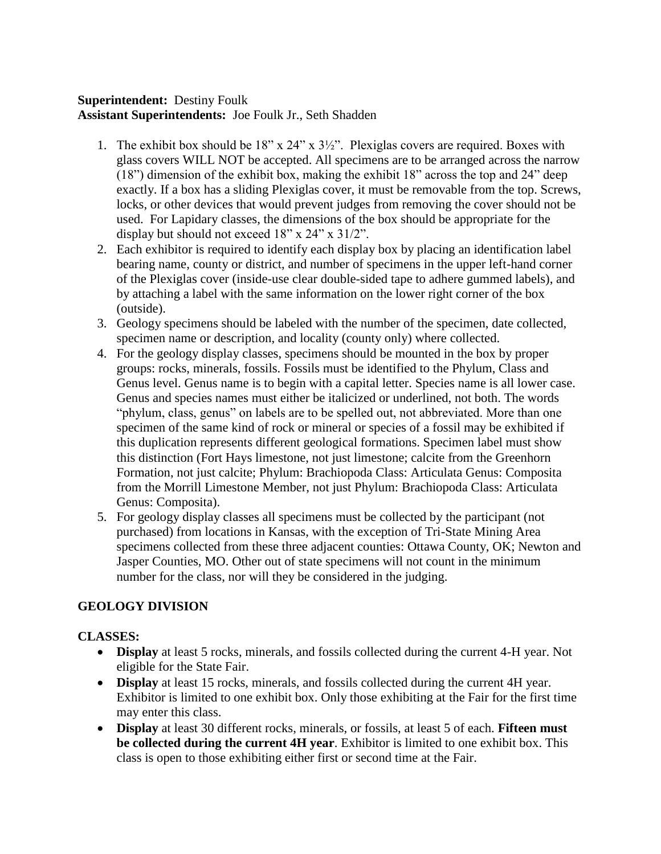### **Superintendent:** Destiny Foulk **Assistant Superintendents:** Joe Foulk Jr., Seth Shadden

- 1. The exhibit box should be 18" x 24" x 3½". Plexiglas covers are required. Boxes with glass covers WILL NOT be accepted. All specimens are to be arranged across the narrow (18") dimension of the exhibit box, making the exhibit 18" across the top and 24" deep exactly. If a box has a sliding Plexiglas cover, it must be removable from the top. Screws, locks, or other devices that would prevent judges from removing the cover should not be used. For Lapidary classes, the dimensions of the box should be appropriate for the display but should not exceed 18" x 24" x 31/2".
- 2. Each exhibitor is required to identify each display box by placing an identification label bearing name, county or district, and number of specimens in the upper left-hand corner of the Plexiglas cover (inside-use clear double-sided tape to adhere gummed labels), and by attaching a label with the same information on the lower right corner of the box (outside).
- 3. Geology specimens should be labeled with the number of the specimen, date collected, specimen name or description, and locality (county only) where collected.
- 4. For the geology display classes, specimens should be mounted in the box by proper groups: rocks, minerals, fossils. Fossils must be identified to the Phylum, Class and Genus level. Genus name is to begin with a capital letter. Species name is all lower case. Genus and species names must either be italicized or underlined, not both. The words "phylum, class, genus" on labels are to be spelled out, not abbreviated. More than one specimen of the same kind of rock or mineral or species of a fossil may be exhibited if this duplication represents different geological formations. Specimen label must show this distinction (Fort Hays limestone, not just limestone; calcite from the Greenhorn Formation, not just calcite; Phylum: Brachiopoda Class: Articulata Genus: Composita from the Morrill Limestone Member, not just Phylum: Brachiopoda Class: Articulata Genus: Composita).
- 5. For geology display classes all specimens must be collected by the participant (not purchased) from locations in Kansas, with the exception of Tri-State Mining Area specimens collected from these three adjacent counties: Ottawa County, OK; Newton and Jasper Counties, MO. Other out of state specimens will not count in the minimum number for the class, nor will they be considered in the judging.

# **GEOLOGY DIVISION**

### **CLASSES:**

- **Display** at least 5 rocks, minerals, and fossils collected during the current 4-H year. Not eligible for the State Fair.
- **Display** at least 15 rocks, minerals, and fossils collected during the current 4H year. Exhibitor is limited to one exhibit box. Only those exhibiting at the Fair for the first time may enter this class.
- **Display** at least 30 different rocks, minerals, or fossils, at least 5 of each. **Fifteen must be collected during the current 4H year**. Exhibitor is limited to one exhibit box. This class is open to those exhibiting either first or second time at the Fair.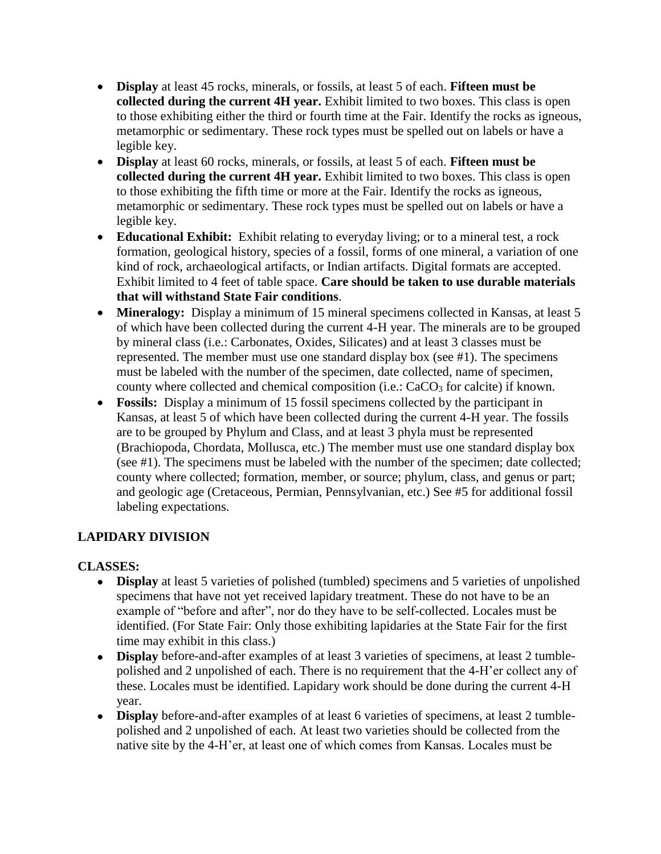- **Display** at least 45 rocks, minerals, or fossils, at least 5 of each. **Fifteen must be collected during the current 4H year.** Exhibit limited to two boxes. This class is open to those exhibiting either the third or fourth time at the Fair. Identify the rocks as igneous, metamorphic or sedimentary. These rock types must be spelled out on labels or have a legible key.
- **Display** at least 60 rocks, minerals, or fossils, at least 5 of each. **Fifteen must be collected during the current 4H year.** Exhibit limited to two boxes. This class is open to those exhibiting the fifth time or more at the Fair. Identify the rocks as igneous, metamorphic or sedimentary. These rock types must be spelled out on labels or have a legible key.
- **Educational Exhibit:** Exhibit relating to everyday living; or to a mineral test, a rock formation, geological history, species of a fossil, forms of one mineral, a variation of one kind of rock, archaeological artifacts, or Indian artifacts. Digital formats are accepted. Exhibit limited to 4 feet of table space. **Care should be taken to use durable materials that will withstand State Fair conditions**.
- **Mineralogy:** Display a minimum of 15 mineral specimens collected in Kansas, at least 5 of which have been collected during the current 4-H year. The minerals are to be grouped by mineral class (i.e.: Carbonates, Oxides, Silicates) and at least 3 classes must be represented. The member must use one standard display box (see #1). The specimens must be labeled with the number of the specimen, date collected, name of specimen, county where collected and chemical composition (i.e.:  $CaCO<sub>3</sub>$  for calcite) if known.
- **Fossils:** Display a minimum of 15 fossil specimens collected by the participant in Kansas, at least 5 of which have been collected during the current 4-H year. The fossils are to be grouped by Phylum and Class, and at least 3 phyla must be represented (Brachiopoda, Chordata, Mollusca, etc.) The member must use one standard display box (see #1). The specimens must be labeled with the number of the specimen; date collected; county where collected; formation, member, or source; phylum, class, and genus or part; and geologic age (Cretaceous, Permian, Pennsylvanian, etc.) See #5 for additional fossil labeling expectations.

# **LAPIDARY DIVISION**

### **CLASSES:**

- **Display** at least 5 varieties of polished (tumbled) specimens and 5 varieties of unpolished specimens that have not yet received lapidary treatment. These do not have to be an example of "before and after", nor do they have to be self-collected. Locales must be identified. (For State Fair: Only those exhibiting lapidaries at the State Fair for the first time may exhibit in this class.)
- **Display** before-and-after examples of at least 3 varieties of specimens, at least 2 tumblepolished and 2 unpolished of each. There is no requirement that the 4-H'er collect any of these. Locales must be identified. Lapidary work should be done during the current 4-H year.
- **Display** before-and-after examples of at least 6 varieties of specimens, at least 2 tumblepolished and 2 unpolished of each. At least two varieties should be collected from the native site by the 4-H'er, at least one of which comes from Kansas. Locales must be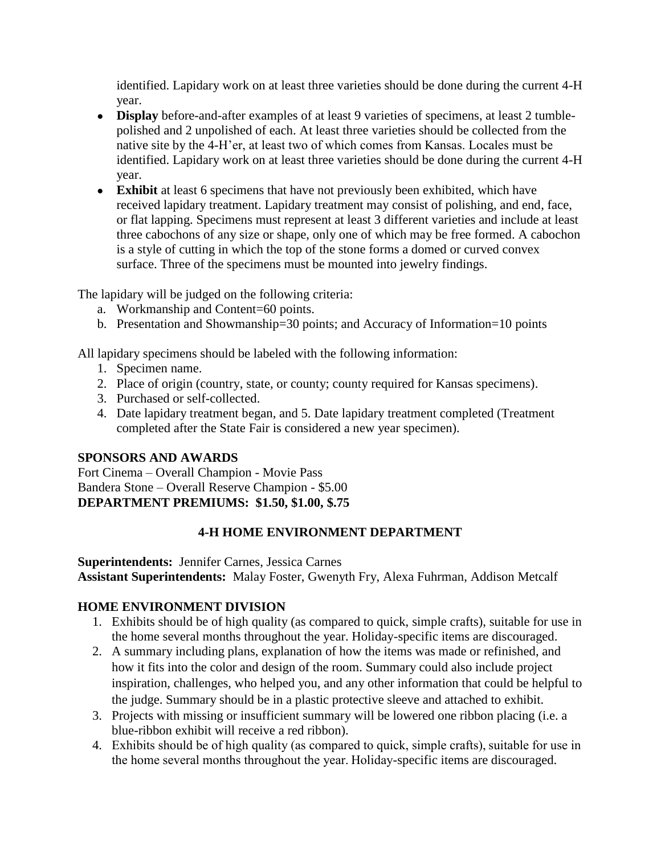identified. Lapidary work on at least three varieties should be done during the current 4-H year.

- **Display** before-and-after examples of at least 9 varieties of specimens, at least 2 tumblepolished and 2 unpolished of each. At least three varieties should be collected from the native site by the 4-H'er, at least two of which comes from Kansas. Locales must be identified. Lapidary work on at least three varieties should be done during the current 4-H year.
- **Exhibit** at least 6 specimens that have not previously been exhibited, which have received lapidary treatment. Lapidary treatment may consist of polishing, and end, face, or flat lapping. Specimens must represent at least 3 different varieties and include at least three cabochons of any size or shape, only one of which may be free formed. A cabochon is a style of cutting in which the top of the stone forms a domed or curved convex surface. Three of the specimens must be mounted into jewelry findings.

The lapidary will be judged on the following criteria:

- a. Workmanship and Content=60 points.
- b. Presentation and Showmanship=30 points; and Accuracy of Information=10 points

All lapidary specimens should be labeled with the following information:

- 1. Specimen name.
- 2. Place of origin (country, state, or county; county required for Kansas specimens).
- 3. Purchased or self-collected.
- 4. Date lapidary treatment began, and 5. Date lapidary treatment completed (Treatment completed after the State Fair is considered a new year specimen).

# **SPONSORS AND AWARDS**

Fort Cinema – Overall Champion - Movie Pass Bandera Stone – Overall Reserve Champion - \$5.00 **DEPARTMENT PREMIUMS: \$1.50, \$1.00, \$.75**

# **4-H HOME ENVIRONMENT DEPARTMENT**

**Superintendents:** Jennifer Carnes, Jessica Carnes

**Assistant Superintendents:** Malay Foster, Gwenyth Fry, Alexa Fuhrman, Addison Metcalf

# **HOME ENVIRONMENT DIVISION**

- 1. Exhibits should be of high quality (as compared to quick, simple crafts), suitable for use in the home several months throughout the year. Holiday-specific items are discouraged.
- 2. A summary including plans, explanation of how the items was made or refinished, and how it fits into the color and design of the room. Summary could also include project inspiration, challenges, who helped you, and any other information that could be helpful to the judge. Summary should be in a plastic protective sleeve and attached to exhibit.
- 3. Projects with missing or insufficient summary will be lowered one ribbon placing (i.e. a blue-ribbon exhibit will receive a red ribbon).
- 4. Exhibits should be of high quality (as compared to quick, simple crafts), suitable for use in the home several months throughout the year. Holiday-specific items are discouraged.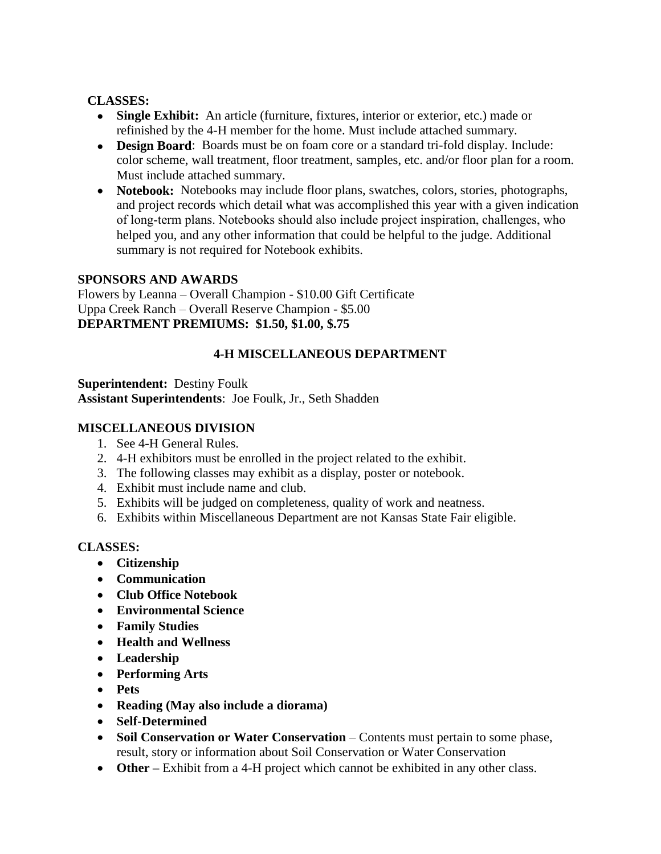#### **CLASSES:**

- **Single Exhibit:** An article (furniture, fixtures, interior or exterior, etc.) made or refinished by the 4-H member for the home. Must include attached summary.
- **Design Board:** Boards must be on foam core or a standard tri-fold display. Include: color scheme, wall treatment, floor treatment, samples, etc. and/or floor plan for a room. Must include attached summary.
- **Notebook:** Notebooks may include floor plans, swatches, colors, stories, photographs, and project records which detail what was accomplished this year with a given indication of long‑term plans. Notebooks should also include project inspiration, challenges, who helped you, and any other information that could be helpful to the judge. Additional summary is not required for Notebook exhibits.

#### **SPONSORS AND AWARDS**

Flowers by Leanna – Overall Champion - \$10.00 Gift Certificate Uppa Creek Ranch – Overall Reserve Champion - \$5.00 **DEPARTMENT PREMIUMS: \$1.50, \$1.00, \$.75**

### **4-H MISCELLANEOUS DEPARTMENT**

#### **Superintendent:** Destiny Foulk **Assistant Superintendents**: Joe Foulk, Jr., Seth Shadden

#### **MISCELLANEOUS DIVISION**

- 1. See 4-H General Rules.
- 2. 4-H exhibitors must be enrolled in the project related to the exhibit.
- 3. The following classes may exhibit as a display, poster or notebook.
- 4. Exhibit must include name and club.
- 5. Exhibits will be judged on completeness, quality of work and neatness.
- 6. Exhibits within Miscellaneous Department are not Kansas State Fair eligible.

### **CLASSES:**

- **Citizenship**
- **Communication**
- **Club Office Notebook**
- **Environmental Science**
- **Family Studies**
- **Health and Wellness**
- **Leadership**
- **Performing Arts**
- **Pets**
- **Reading (May also include a diorama)**
- **Self-Determined**
- **Soil Conservation or Water Conservation** Contents must pertain to some phase, result, story or information about Soil Conservation or Water Conservation
- **Other** Exhibit from a 4-H project which cannot be exhibited in any other class.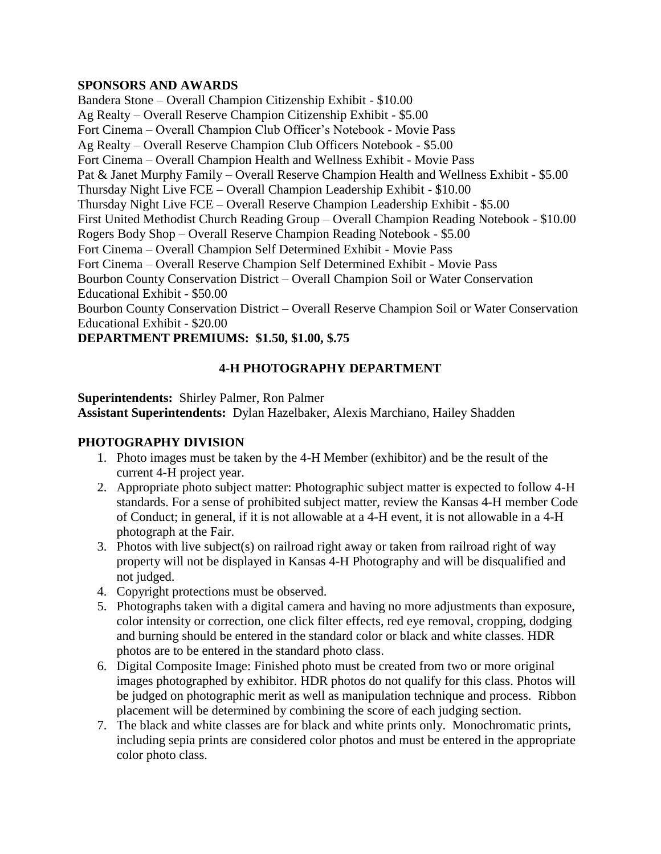#### **SPONSORS AND AWARDS**

Bandera Stone – Overall Champion Citizenship Exhibit - \$10.00 Ag Realty – Overall Reserve Champion Citizenship Exhibit - \$5.00 Fort Cinema – Overall Champion Club Officer's Notebook - Movie Pass Ag Realty – Overall Reserve Champion Club Officers Notebook - \$5.00 Fort Cinema – Overall Champion Health and Wellness Exhibit - Movie Pass Pat & Janet Murphy Family – Overall Reserve Champion Health and Wellness Exhibit - \$5.00 Thursday Night Live FCE – Overall Champion Leadership Exhibit - \$10.00 Thursday Night Live FCE – Overall Reserve Champion Leadership Exhibit - \$5.00 First United Methodist Church Reading Group – Overall Champion Reading Notebook - \$10.00 Rogers Body Shop – Overall Reserve Champion Reading Notebook - \$5.00 Fort Cinema – Overall Champion Self Determined Exhibit - Movie Pass Fort Cinema – Overall Reserve Champion Self Determined Exhibit - Movie Pass Bourbon County Conservation District – Overall Champion Soil or Water Conservation Educational Exhibit - \$50.00 Bourbon County Conservation District – Overall Reserve Champion Soil or Water Conservation Educational Exhibit - \$20.00

### **DEPARTMENT PREMIUMS: \$1.50, \$1.00, \$.75**

### **4-H PHOTOGRAPHY DEPARTMENT**

**Superintendents:** Shirley Palmer, Ron Palmer **Assistant Superintendents:** Dylan Hazelbaker, Alexis Marchiano, Hailey Shadden

### **PHOTOGRAPHY DIVISION**

- 1. Photo images must be taken by the 4-H Member (exhibitor) and be the result of the current 4-H project year.
- 2. Appropriate photo subject matter: Photographic subject matter is expected to follow 4-H standards. For a sense of prohibited subject matter, review the Kansas 4-H member Code of Conduct; in general, if it is not allowable at a 4-H event, it is not allowable in a 4-H photograph at the Fair.
- 3. Photos with live subject(s) on railroad right away or taken from railroad right of way property will not be displayed in Kansas 4-H Photography and will be disqualified and not judged.
- 4. Copyright protections must be observed.
- 5. Photographs taken with a digital camera and having no more adjustments than exposure, color intensity or correction, one click filter effects, red eye removal, cropping, dodging and burning should be entered in the standard color or black and white classes. HDR photos are to be entered in the standard photo class.
- 6. Digital Composite Image: Finished photo must be created from two or more original images photographed by exhibitor. HDR photos do not qualify for this class. Photos will be judged on photographic merit as well as manipulation technique and process. Ribbon placement will be determined by combining the score of each judging section.
- 7. The black and white classes are for black and white prints only. Monochromatic prints, including sepia prints are considered color photos and must be entered in the appropriate color photo class.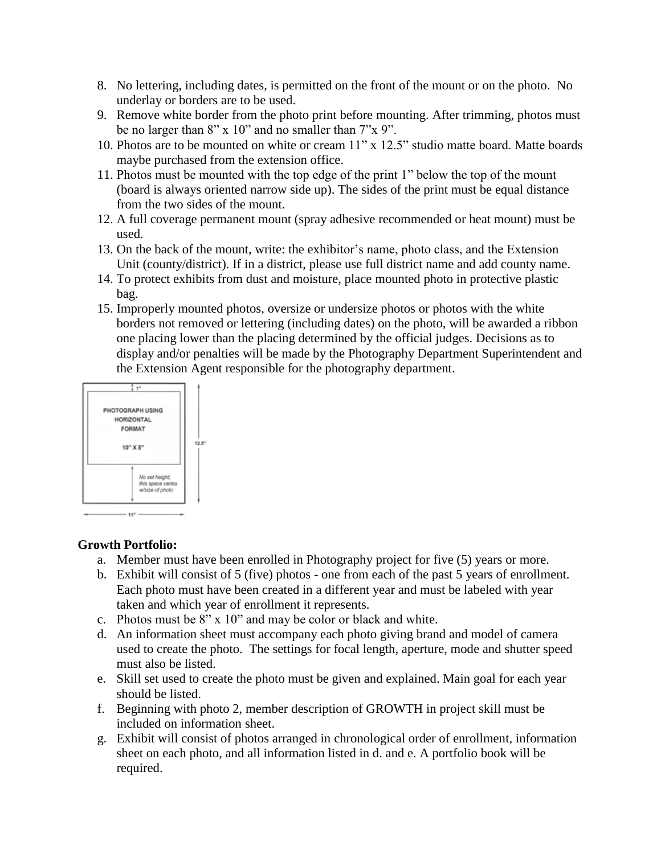- 8. No lettering, including dates, is permitted on the front of the mount or on the photo. No underlay or borders are to be used.
- 9. Remove white border from the photo print before mounting. After trimming, photos must be no larger than 8" x 10" and no smaller than 7"x 9".
- 10. Photos are to be mounted on white or cream 11" x 12.5" studio matte board. Matte boards maybe purchased from the extension office.
- 11. Photos must be mounted with the top edge of the print 1" below the top of the mount (board is always oriented narrow side up). The sides of the print must be equal distance from the two sides of the mount.
- 12. A full coverage permanent mount (spray adhesive recommended or heat mount) must be used.
- 13. On the back of the mount, write: the exhibitor's name, photo class, and the Extension Unit (county/district). If in a district, please use full district name and add county name.
- 14. To protect exhibits from dust and moisture, place mounted photo in protective plastic bag.
- 15. Improperly mounted photos, oversize or undersize photos or photos with the white borders not removed or lettering (including dates) on the photo, will be awarded a ribbon one placing lower than the placing determined by the official judges. Decisions as to display and/or penalties will be made by the Photography Department Superintendent and the Extension Agent responsible for the photography department.



**Growth Portfolio:**

- a. Member must have been enrolled in Photography project for five (5) years or more.
- b. Exhibit will consist of 5 (five) photos one from each of the past 5 years of enrollment. Each photo must have been created in a different year and must be labeled with year taken and which year of enrollment it represents.
- c. Photos must be 8" x 10" and may be color or black and white.
- d. An information sheet must accompany each photo giving brand and model of camera used to create the photo. The settings for focal length, aperture, mode and shutter speed must also be listed.
- e. Skill set used to create the photo must be given and explained. Main goal for each year should be listed.
- f. Beginning with photo 2, member description of GROWTH in project skill must be included on information sheet.
- g. Exhibit will consist of photos arranged in chronological order of enrollment, information sheet on each photo, and all information listed in d. and e. A portfolio book will be required.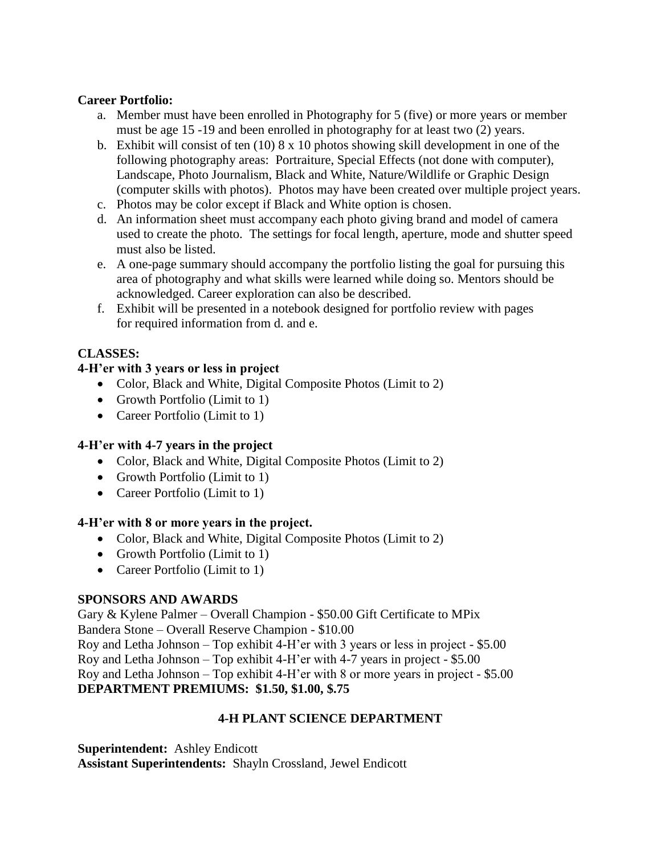#### **Career Portfolio:**

- a. Member must have been enrolled in Photography for 5 (five) or more years or member must be age 15 -19 and been enrolled in photography for at least two (2) years.
- b. Exhibit will consist of ten  $(10) 8 \times 10$  photos showing skill development in one of the following photography areas: Portraiture, Special Effects (not done with computer), Landscape, Photo Journalism, Black and White, Nature/Wildlife or Graphic Design (computer skills with photos). Photos may have been created over multiple project years.
- c. Photos may be color except if Black and White option is chosen.
- d. An information sheet must accompany each photo giving brand and model of camera used to create the photo. The settings for focal length, aperture, mode and shutter speed must also be listed.
- e. A one-page summary should accompany the portfolio listing the goal for pursuing this area of photography and what skills were learned while doing so. Mentors should be acknowledged. Career exploration can also be described.
- f. Exhibit will be presented in a notebook designed for portfolio review with pages for required information from d. and e.

### **CLASSES:**

### **4-H'er with 3 years or less in project**

- Color, Black and White, Digital Composite Photos (Limit to 2)
- Growth Portfolio (Limit to 1)
- Career Portfolio (Limit to 1)

#### **4-H'er with 4-7 years in the project**

- Color, Black and White, Digital Composite Photos (Limit to 2)
- Growth Portfolio (Limit to 1)
- Career Portfolio (Limit to 1)

#### **4-H'er with 8 or more years in the project.**

- Color, Black and White, Digital Composite Photos (Limit to 2)
- Growth Portfolio (Limit to 1)
- Career Portfolio (Limit to 1)

### **SPONSORS AND AWARDS**

Gary & Kylene Palmer – Overall Champion - \$50.00 Gift Certificate to MPix Bandera Stone – Overall Reserve Champion - \$10.00 Roy and Letha Johnson – Top exhibit 4-H'er with 3 years or less in project - \$5.00 Roy and Letha Johnson – Top exhibit 4-H'er with 4-7 years in project - \$5.00 Roy and Letha Johnson – Top exhibit 4-H'er with 8 or more years in project - \$5.00 **DEPARTMENT PREMIUMS: \$1.50, \$1.00, \$.75**

### **4-H PLANT SCIENCE DEPARTMENT**

#### **Superintendent:** Ashley Endicott

**Assistant Superintendents:** Shayln Crossland, Jewel Endicott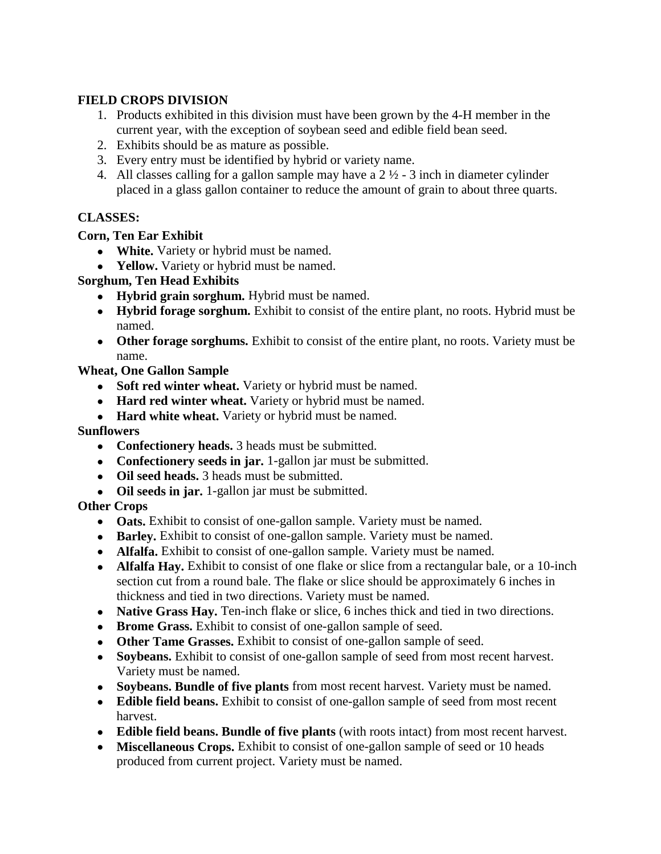### **FIELD CROPS DIVISION**

- 1. Products exhibited in this division must have been grown by the 4-H member in the current year, with the exception of soybean seed and edible field bean seed.
- 2. Exhibits should be as mature as possible.
- 3. Every entry must be identified by hybrid or variety name.
- 4. All classes calling for a gallon sample may have a  $2\frac{1}{2}$  3 inch in diameter cylinder placed in a glass gallon container to reduce the amount of grain to about three quarts.

# **CLASSES:**

### **Corn, Ten Ear Exhibit**

- **White.** Variety or hybrid must be named.
- **Yellow.** Variety or hybrid must be named.

### **Sorghum, Ten Head Exhibits**

- **Hybrid grain sorghum.** Hybrid must be named.
- **Hybrid forage sorghum.** Exhibit to consist of the entire plant, no roots. Hybrid must be named.
- **Other forage sorghums.** Exhibit to consist of the entire plant, no roots. Variety must be name.

**Wheat, One Gallon Sample**

- **Soft red winter wheat.** Variety or hybrid must be named.
- **Hard red winter wheat.** Variety or hybrid must be named.
- **Hard white wheat.** Variety or hybrid must be named.

**Sunflowers**

- **Confectionery heads.** 3 heads must be submitted.
- **Confectionery seeds in jar.** 1-gallon jar must be submitted.
- **Oil seed heads.** 3 heads must be submitted.
- **Oil seeds in jar.** 1-gallon jar must be submitted.

# **Other Crops**

- **Oats.** Exhibit to consist of one-gallon sample. Variety must be named.
- **Barley.** Exhibit to consist of one-gallon sample. Variety must be named.
- **Alfalfa.** Exhibit to consist of one-gallon sample. Variety must be named.
- **Alfalfa Hay.** Exhibit to consist of one flake or slice from a rectangular bale, or a 10-inch section cut from a round bale. The flake or slice should be approximately 6 inches in thickness and tied in two directions. Variety must be named.
- **Native Grass Hay.** Ten-inch flake or slice, 6 inches thick and tied in two directions.
- **Brome Grass.** Exhibit to consist of one-gallon sample of seed.
- **Other Tame Grasses.** Exhibit to consist of one-gallon sample of seed.
- **Soybeans.** Exhibit to consist of one-gallon sample of seed from most recent harvest. Variety must be named.
- **Soybeans. Bundle of five plants** from most recent harvest. Variety must be named.
- **Edible field beans.** Exhibit to consist of one-gallon sample of seed from most recent harvest.
- **Edible field beans. Bundle of five plants** (with roots intact) from most recent harvest.
- **Miscellaneous Crops.** Exhibit to consist of one-gallon sample of seed or 10 heads produced from current project. Variety must be named.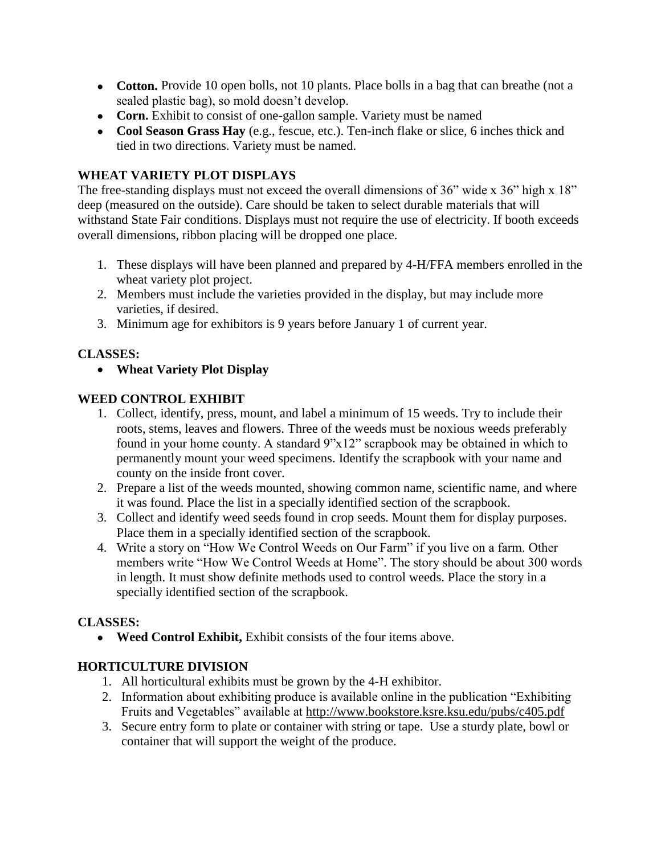- **Cotton.** Provide 10 open bolls, not 10 plants. Place bolls in a bag that can breathe (not a sealed plastic bag), so mold doesn't develop.
- **Corn.** Exhibit to consist of one-gallon sample. Variety must be named
- **Cool Season Grass Hay** (e.g., fescue, etc.). Ten-inch flake or slice, 6 inches thick and tied in two directions. Variety must be named.

### **WHEAT VARIETY PLOT DISPLAYS**

The free-standing displays must not exceed the overall dimensions of 36" wide x 36" high x 18" deep (measured on the outside). Care should be taken to select durable materials that will withstand State Fair conditions. Displays must not require the use of electricity. If booth exceeds overall dimensions, ribbon placing will be dropped one place.

- 1. These displays will have been planned and prepared by 4-H/FFA members enrolled in the wheat variety plot project.
- 2. Members must include the varieties provided in the display, but may include more varieties, if desired.
- 3. Minimum age for exhibitors is 9 years before January 1 of current year.

# **CLASSES:**

• **Wheat Variety Plot Display**

### **WEED CONTROL EXHIBIT**

- 1. Collect, identify, press, mount, and label a minimum of 15 weeds. Try to include their roots, stems, leaves and flowers. Three of the weeds must be noxious weeds preferably found in your home county. A standard 9"x12" scrapbook may be obtained in which to permanently mount your weed specimens. Identify the scrapbook with your name and county on the inside front cover.
- 2. Prepare a list of the weeds mounted, showing common name, scientific name, and where it was found. Place the list in a specially identified section of the scrapbook.
- 3. Collect and identify weed seeds found in crop seeds. Mount them for display purposes. Place them in a specially identified section of the scrapbook.
- 4. Write a story on "How We Control Weeds on Our Farm" if you live on a farm. Other members write "How We Control Weeds at Home". The story should be about 300 words in length. It must show definite methods used to control weeds. Place the story in a specially identified section of the scrapbook.

### **CLASSES:**

• **Weed Control Exhibit, Exhibit consists of the four items above.** 

# **HORTICULTURE DIVISION**

- 1. All horticultural exhibits must be grown by the 4-H exhibitor.
- 2. Information about exhibiting produce is available online in the publication "Exhibiting Fruits and Vegetables" available at<http://www.bookstore.ksre.ksu.edu/pubs/c405.pdf>
- 3. Secure entry form to plate or container with string or tape. Use a sturdy plate, bowl or container that will support the weight of the produce.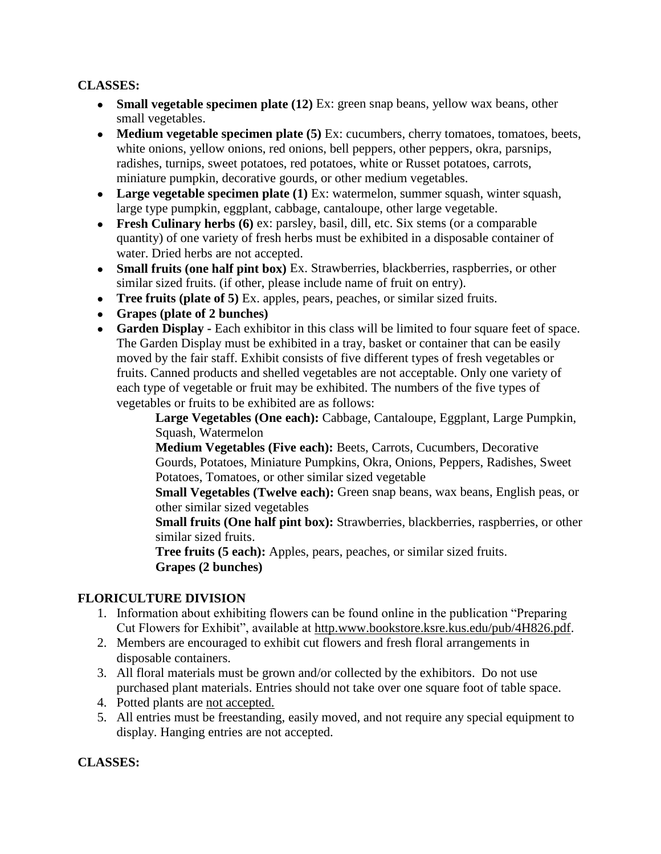### **CLASSES:**

- **Small vegetable specimen plate (12)** Ex: green snap beans, yellow wax beans, other small vegetables.
- **Medium vegetable specimen plate (5)** Ex: cucumbers, cherry tomatoes, tomatoes, beets, white onions, yellow onions, red onions, bell peppers, other peppers, okra, parsnips, radishes, turnips, sweet potatoes, red potatoes, white or Russet potatoes, carrots, miniature pumpkin, decorative gourds, or other medium vegetables.
- **Large vegetable specimen plate (1)** Ex: watermelon, summer squash, winter squash, large type pumpkin, eggplant, cabbage, cantaloupe, other large vegetable.
- **Fresh Culinary herbs (6)** ex: parsley, basil, dill, etc. Six stems (or a comparable quantity) of one variety of fresh herbs must be exhibited in a disposable container of water. Dried herbs are not accepted.
- **Small fruits (one half pint box)** Ex. Strawberries, blackberries, raspberries, or other similar sized fruits. (if other, please include name of fruit on entry).
- **Tree fruits (plate of 5)** Ex. apples, pears, peaches, or similar sized fruits.
- **Grapes (plate of 2 bunches)**
- **Garden Display -** Each exhibitor in this class will be limited to four square feet of space. The Garden Display must be exhibited in a tray, basket or container that can be easily moved by the fair staff. Exhibit consists of five different types of fresh vegetables or fruits. Canned products and shelled vegetables are not acceptable. Only one variety of each type of vegetable or fruit may be exhibited. The numbers of the five types of vegetables or fruits to be exhibited are as follows:

**Large Vegetables (One each):** Cabbage, Cantaloupe, Eggplant, Large Pumpkin, Squash, Watermelon

**Medium Vegetables (Five each):** Beets, Carrots, Cucumbers, Decorative Gourds, Potatoes, Miniature Pumpkins, Okra, Onions, Peppers, Radishes, Sweet Potatoes, Tomatoes, or other similar sized vegetable

**Small Vegetables (Twelve each):** Green snap beans, wax beans, English peas, or other similar sized vegetables

**Small fruits (One half pint box):** Strawberries, blackberries, raspberries, or other similar sized fruits.

**Tree fruits (5 each):** Apples, pears, peaches, or similar sized fruits. **Grapes (2 bunches)**

### **FLORICULTURE DIVISION**

- 1. Information about exhibiting flowers can be found online in the publication "Preparing Cut Flowers for Exhibit", available at http.www.bookstore.ksre.kus.edu/pub/4H826.pdf.
- 2. Members are encouraged to exhibit cut flowers and fresh floral arrangements in disposable containers.
- 3. All floral materials must be grown and/or collected by the exhibitors. Do not use purchased plant materials. Entries should not take over one square foot of table space.
- 4. Potted plants are not accepted.
- 5. All entries must be freestanding, easily moved, and not require any special equipment to display. Hanging entries are not accepted.

### **CLASSES:**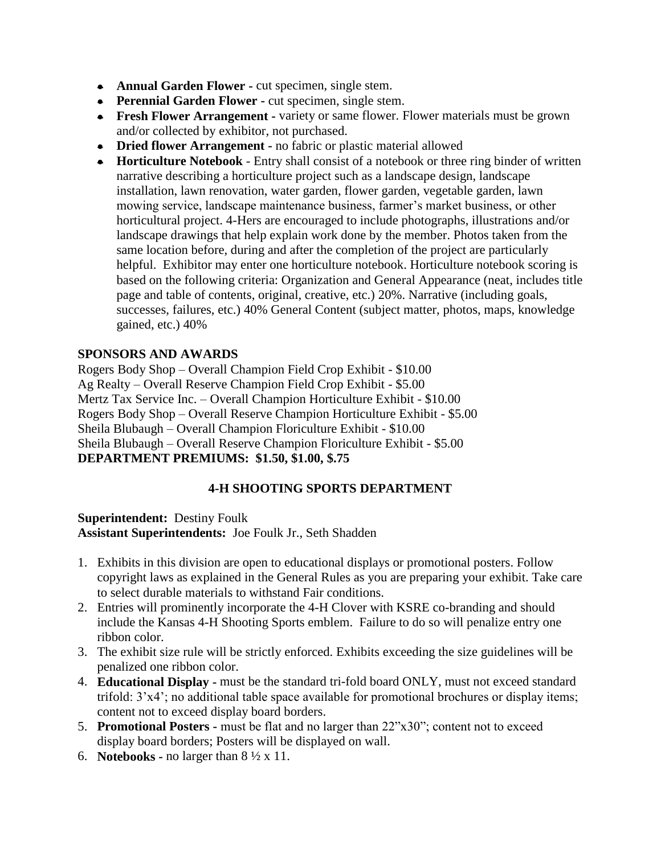- **Annual Garden Flower -** cut specimen, single stem.
- **Perennial Garden Flower -** cut specimen, single stem.
- **Fresh Flower Arrangement -** variety or same flower. Flower materials must be grown and/or collected by exhibitor, not purchased.
- **Dried flower Arrangement -** no fabric or plastic material allowed
- **Horticulture Notebook** Entry shall consist of a notebook or three ring binder of written narrative describing a horticulture project such as a landscape design, landscape installation, lawn renovation, water garden, flower garden, vegetable garden, lawn mowing service, landscape maintenance business, farmer's market business, or other horticultural project. 4-Hers are encouraged to include photographs, illustrations and/or landscape drawings that help explain work done by the member. Photos taken from the same location before, during and after the completion of the project are particularly helpful. Exhibitor may enter one horticulture notebook. Horticulture notebook scoring is based on the following criteria: Organization and General Appearance (neat, includes title page and table of contents, original, creative, etc.) 20%. Narrative (including goals, successes, failures, etc.) 40% General Content (subject matter, photos, maps, knowledge gained, etc.) 40%

### **SPONSORS AND AWARDS**

Rogers Body Shop – Overall Champion Field Crop Exhibit - \$10.00 Ag Realty – Overall Reserve Champion Field Crop Exhibit - \$5.00 Mertz Tax Service Inc. – Overall Champion Horticulture Exhibit - \$10.00 Rogers Body Shop – Overall Reserve Champion Horticulture Exhibit - \$5.00 Sheila Blubaugh – Overall Champion Floriculture Exhibit - \$10.00 Sheila Blubaugh – Overall Reserve Champion Floriculture Exhibit - \$5.00 **DEPARTMENT PREMIUMS: \$1.50, \$1.00, \$.75**

# **4-H SHOOTING SPORTS DEPARTMENT**

**Superintendent:** Destiny Foulk **Assistant Superintendents:** Joe Foulk Jr., Seth Shadden

- 1. Exhibits in this division are open to educational displays or promotional posters. Follow copyright laws as explained in the General Rules as you are preparing your exhibit. Take care to select durable materials to withstand Fair conditions.
- 2. Entries will prominently incorporate the 4-H Clover with KSRE co-branding and should include the Kansas 4-H Shooting Sports emblem. Failure to do so will penalize entry one ribbon color.
- 3. The exhibit size rule will be strictly enforced. Exhibits exceeding the size guidelines will be penalized one ribbon color.
- 4. **Educational Display -** must be the standard tri-fold board ONLY, must not exceed standard trifold: 3'x4'; no additional table space available for promotional brochures or display items; content not to exceed display board borders.
- 5. **Promotional Posters -** must be flat and no larger than 22"x30"; content not to exceed display board borders; Posters will be displayed on wall.
- 6. **Notebooks -** no larger than  $8 \frac{1}{2} \times 11$ .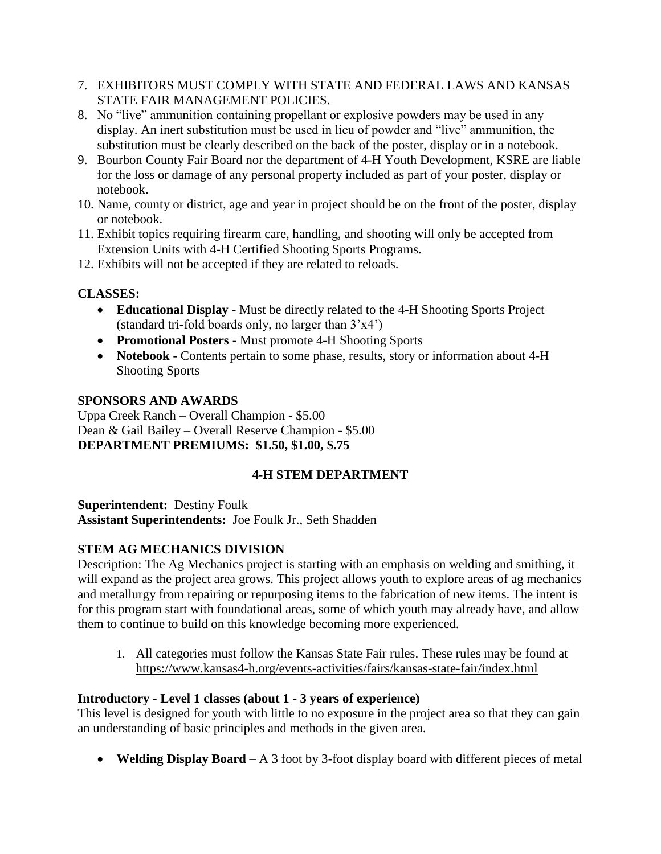- 7. EXHIBITORS MUST COMPLY WITH STATE AND FEDERAL LAWS AND KANSAS STATE FAIR MANAGEMENT POLICIES.
- 8. No "live" ammunition containing propellant or explosive powders may be used in any display. An inert substitution must be used in lieu of powder and "live" ammunition, the substitution must be clearly described on the back of the poster, display or in a notebook.
- 9. Bourbon County Fair Board nor the department of 4-H Youth Development, KSRE are liable for the loss or damage of any personal property included as part of your poster, display or notebook.
- 10. Name, county or district, age and year in project should be on the front of the poster, display or notebook.
- 11. Exhibit topics requiring firearm care, handling, and shooting will only be accepted from Extension Units with 4-H Certified Shooting Sports Programs.
- 12. Exhibits will not be accepted if they are related to reloads.

# **CLASSES:**

- **Educational Display -** Must be directly related to the 4-H Shooting Sports Project (standard tri-fold boards only, no larger than 3'x4')
- **Promotional Posters -** Must promote 4-H Shooting Sports
- **Notebook -** Contents pertain to some phase, results, story or information about 4-H Shooting Sports

# **SPONSORS AND AWARDS**

Uppa Creek Ranch – Overall Champion - \$5.00 Dean & Gail Bailey – Overall Reserve Champion - \$5.00 **DEPARTMENT PREMIUMS: \$1.50, \$1.00, \$.75**

# **4-H STEM DEPARTMENT**

**Superintendent:** Destiny Foulk **Assistant Superintendents:** Joe Foulk Jr., Seth Shadden

# **STEM AG MECHANICS DIVISION**

Description: The Ag Mechanics project is starting with an emphasis on welding and smithing, it will expand as the project area grows. This project allows youth to explore areas of ag mechanics and metallurgy from repairing or repurposing items to the fabrication of new items. The intent is for this program start with foundational areas, some of which youth may already have, and allow them to continue to build on this knowledge becoming more experienced.

1. All categories must follow the Kansas State Fair rules. These rules may be found at <https://www.kansas4-h.org/events-activities/fairs/kansas-state-fair/index.html>

# **Introductory - Level 1 classes (about 1 - 3 years of experience)**

This level is designed for youth with little to no exposure in the project area so that they can gain an understanding of basic principles and methods in the given area.

• **Welding Display Board** – A 3 foot by 3-foot display board with different pieces of metal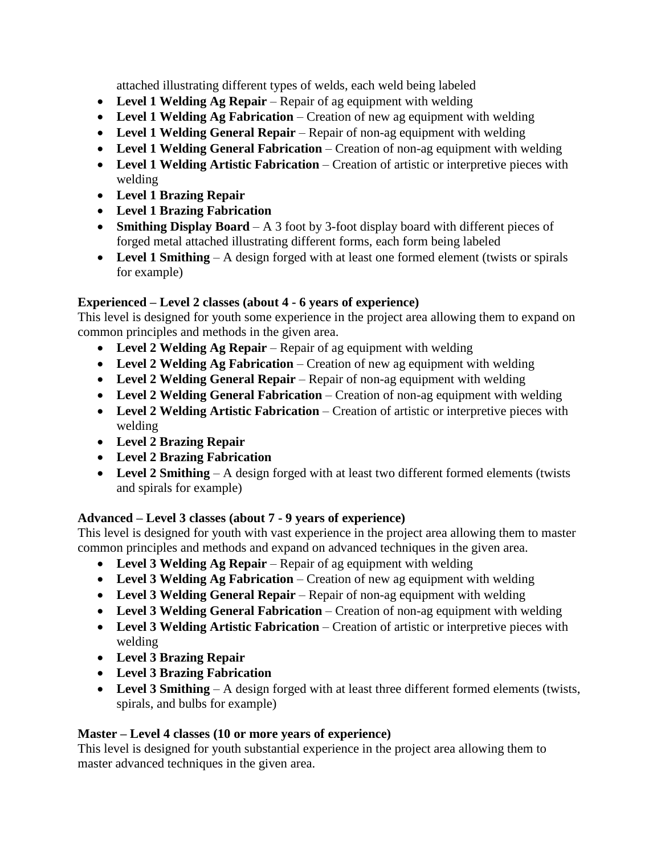attached illustrating different types of welds, each weld being labeled

- **Level 1 Welding Ag Repair** Repair of ag equipment with welding
- **Level 1 Welding Ag Fabrication** Creation of new ag equipment with welding
- **Level 1 Welding General Repair** Repair of non-ag equipment with welding
- **Level 1 Welding General Fabrication** Creation of non-ag equipment with welding
- **Level 1 Welding Artistic Fabrication** Creation of artistic or interpretive pieces with welding
- **Level 1 Brazing Repair**
- **Level 1 Brazing Fabrication**
- **Smithing Display Board** A 3 foot by 3-foot display board with different pieces of forged metal attached illustrating different forms, each form being labeled
- Level 1 Smithing A design forged with at least one formed element (twists or spirals for example)

## **Experienced – Level 2 classes (about 4 - 6 years of experience)**

This level is designed for youth some experience in the project area allowing them to expand on common principles and methods in the given area.

- **Level 2 Welding Ag Repair** Repair of ag equipment with welding
- **Level 2 Welding Ag Fabrication** Creation of new ag equipment with welding
- **Level 2 Welding General Repair** Repair of non-ag equipment with welding
- **Level 2 Welding General Fabrication** Creation of non-ag equipment with welding
- **Level 2 Welding Artistic Fabrication** Creation of artistic or interpretive pieces with welding
- **Level 2 Brazing Repair**
- **Level 2 Brazing Fabrication**
- Level 2 Smithing A design forged with at least two different formed elements (twists and spirals for example)

## **Advanced – Level 3 classes (about 7 - 9 years of experience)**

This level is designed for youth with vast experience in the project area allowing them to master common principles and methods and expand on advanced techniques in the given area.

- **Level 3 Welding Ag Repair** Repair of ag equipment with welding
- **Level 3 Welding Ag Fabrication** Creation of new ag equipment with welding
- **Level 3 Welding General Repair** Repair of non-ag equipment with welding
- **Level 3 Welding General Fabrication** Creation of non-ag equipment with welding
- **Level 3 Welding Artistic Fabrication** Creation of artistic or interpretive pieces with welding
- **Level 3 Brazing Repair**
- **Level 3 Brazing Fabrication**
- Level 3 Smithing A design forged with at least three different formed elements (twists, spirals, and bulbs for example)

## **Master – Level 4 classes (10 or more years of experience)**

This level is designed for youth substantial experience in the project area allowing them to master advanced techniques in the given area.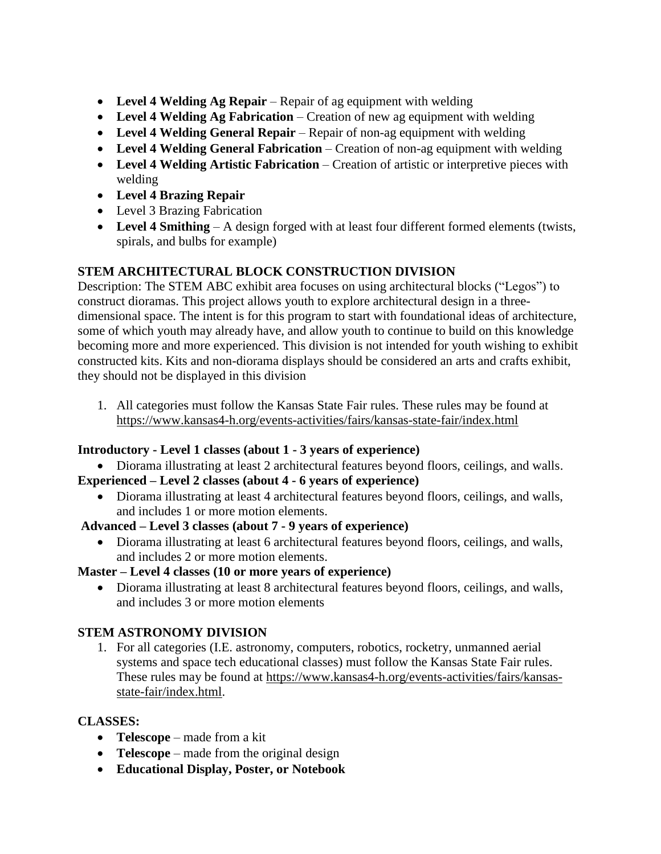- **Level 4 Welding Ag Repair** Repair of ag equipment with welding
- **Level 4 Welding Ag Fabrication** Creation of new ag equipment with welding
- **Level 4 Welding General Repair** Repair of non-ag equipment with welding
- **Level 4 Welding General Fabrication** Creation of non-ag equipment with welding
- **Level 4 Welding Artistic Fabrication** Creation of artistic or interpretive pieces with welding
- **Level 4 Brazing Repair**
- Level 3 Brazing Fabrication
- **Level 4 Smithing** A design forged with at least four different formed elements (twists, spirals, and bulbs for example)

## **STEM ARCHITECTURAL BLOCK CONSTRUCTION DIVISION**

Description: The STEM ABC exhibit area focuses on using architectural blocks ("Legos") to construct dioramas. This project allows youth to explore architectural design in a threedimensional space. The intent is for this program to start with foundational ideas of architecture, some of which youth may already have, and allow youth to continue to build on this knowledge becoming more and more experienced. This division is not intended for youth wishing to exhibit constructed kits. Kits and non-diorama displays should be considered an arts and crafts exhibit, they should not be displayed in this division

1. All categories must follow the Kansas State Fair rules. These rules may be found at https://www.kansas4-h.org/events-activities/fairs/kansas-state-fair/index.html

## **Introductory - Level 1 classes (about 1 - 3 years of experience)**

• Diorama illustrating at least 2 architectural features beyond floors, ceilings, and walls. **Experienced – Level 2 classes (about 4 - 6 years of experience)** 

• Diorama illustrating at least 4 architectural features beyond floors, ceilings, and walls, and includes 1 or more motion elements.

## **Advanced – Level 3 classes (about 7 - 9 years of experience)**

• Diorama illustrating at least 6 architectural features beyond floors, ceilings, and walls, and includes 2 or more motion elements.

## **Master – Level 4 classes (10 or more years of experience)**

• Diorama illustrating at least 8 architectural features beyond floors, ceilings, and walls, and includes 3 or more motion elements

# **STEM ASTRONOMY DIVISION**

1. For all categories (I.E. astronomy, computers, robotics, rocketry, unmanned aerial systems and space tech educational classes) must follow the Kansas State Fair rules. These rules may be found at [https://www.kansas4-h.org/events-activities/fairs/kansas](https://www.kansas4-h.org/events-activities/fairs/kansas-state-fair/index.html)[state-fair/index.html.](https://www.kansas4-h.org/events-activities/fairs/kansas-state-fair/index.html)

# **CLASSES:**

- **Telescope** made from a kit
- **Telescope** made from the original design
- **Educational Display, Poster, or Notebook**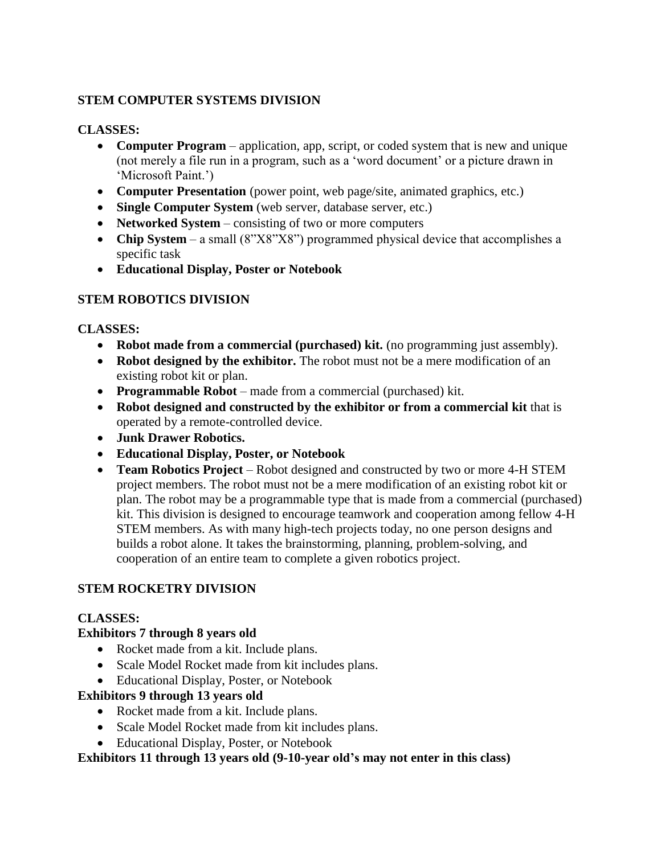## **STEM COMPUTER SYSTEMS DIVISION**

#### **CLASSES:**

- **Computer Program** application, app, script, or coded system that is new and unique (not merely a file run in a program, such as a 'word document' or a picture drawn in 'Microsoft Paint.')
- **Computer Presentation** (power point, web page/site, animated graphics, etc.)
- **Single Computer System** (web server, database server, etc.)
- **Networked System** consisting of two or more computers
- **Chip System** a small (8"X8"X8") programmed physical device that accomplishes a specific task
- **Educational Display, Poster or Notebook**

### **STEM ROBOTICS DIVISION**

### **CLASSES:**

- **Robot made from a commercial (purchased) kit.** (no programming just assembly).
- **Robot designed by the exhibitor.** The robot must not be a mere modification of an existing robot kit or plan.
- **Programmable Robot** made from a commercial (purchased) kit.
- **Robot designed and constructed by the exhibitor or from a commercial kit** that is operated by a remote-controlled device.
- **Junk Drawer Robotics.**
- **Educational Display, Poster, or Notebook**
- **Team Robotics Project** Robot designed and constructed by two or more 4-H STEM project members. The robot must not be a mere modification of an existing robot kit or plan. The robot may be a programmable type that is made from a commercial (purchased) kit. This division is designed to encourage teamwork and cooperation among fellow 4-H STEM members. As with many high-tech projects today, no one person designs and builds a robot alone. It takes the brainstorming, planning, problem-solving, and cooperation of an entire team to complete a given robotics project.

### **STEM ROCKETRY DIVISION**

### **CLASSES:**

### **Exhibitors 7 through 8 years old**

- Rocket made from a kit. Include plans.
- Scale Model Rocket made from kit includes plans.
- Educational Display, Poster, or Notebook

### **Exhibitors 9 through 13 years old**

- Rocket made from a kit. Include plans.
- Scale Model Rocket made from kit includes plans.
- Educational Display, Poster, or Notebook

# **Exhibitors 11 through 13 years old (9-10-year old's may not enter in this class)**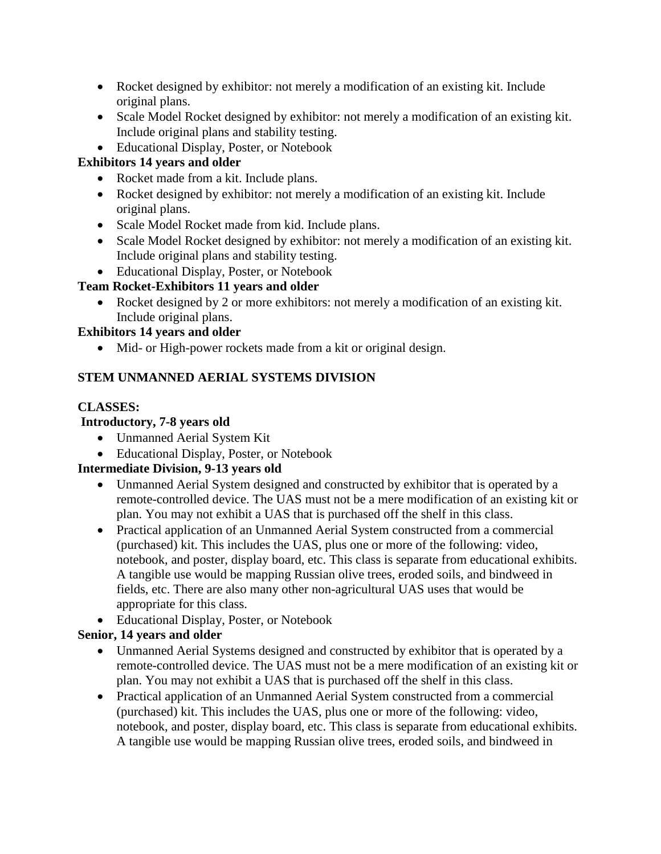- Rocket designed by exhibitor: not merely a modification of an existing kit. Include original plans.
- Scale Model Rocket designed by exhibitor: not merely a modification of an existing kit. Include original plans and stability testing.
- Educational Display, Poster, or Notebook

## **Exhibitors 14 years and older**

- Rocket made from a kit. Include plans.
- Rocket designed by exhibitor: not merely a modification of an existing kit. Include original plans.
- Scale Model Rocket made from kid. Include plans.
- Scale Model Rocket designed by exhibitor: not merely a modification of an existing kit. Include original plans and stability testing.
- Educational Display, Poster, or Notebook

# **Team Rocket-Exhibitors 11 years and older**

• Rocket designed by 2 or more exhibitors: not merely a modification of an existing kit. Include original plans.

## **Exhibitors 14 years and older**

• Mid- or High-power rockets made from a kit or original design.

# **STEM UNMANNED AERIAL SYSTEMS DIVISION**

## **CLASSES:**

## **Introductory, 7-8 years old**

- Unmanned Aerial System Kit
- Educational Display, Poster, or Notebook

# **Intermediate Division, 9-13 years old**

- Unmanned Aerial System designed and constructed by exhibitor that is operated by a remote-controlled device. The UAS must not be a mere modification of an existing kit or plan. You may not exhibit a UAS that is purchased off the shelf in this class.
- Practical application of an Unmanned Aerial System constructed from a commercial (purchased) kit. This includes the UAS, plus one or more of the following: video, notebook, and poster, display board, etc. This class is separate from educational exhibits. A tangible use would be mapping Russian olive trees, eroded soils, and bindweed in fields, etc. There are also many other non-agricultural UAS uses that would be appropriate for this class.
- Educational Display, Poster, or Notebook

# **Senior, 14 years and older**

- Unmanned Aerial Systems designed and constructed by exhibitor that is operated by a remote-controlled device. The UAS must not be a mere modification of an existing kit or plan. You may not exhibit a UAS that is purchased off the shelf in this class.
- Practical application of an Unmanned Aerial System constructed from a commercial (purchased) kit. This includes the UAS, plus one or more of the following: video, notebook, and poster, display board, etc. This class is separate from educational exhibits. A tangible use would be mapping Russian olive trees, eroded soils, and bindweed in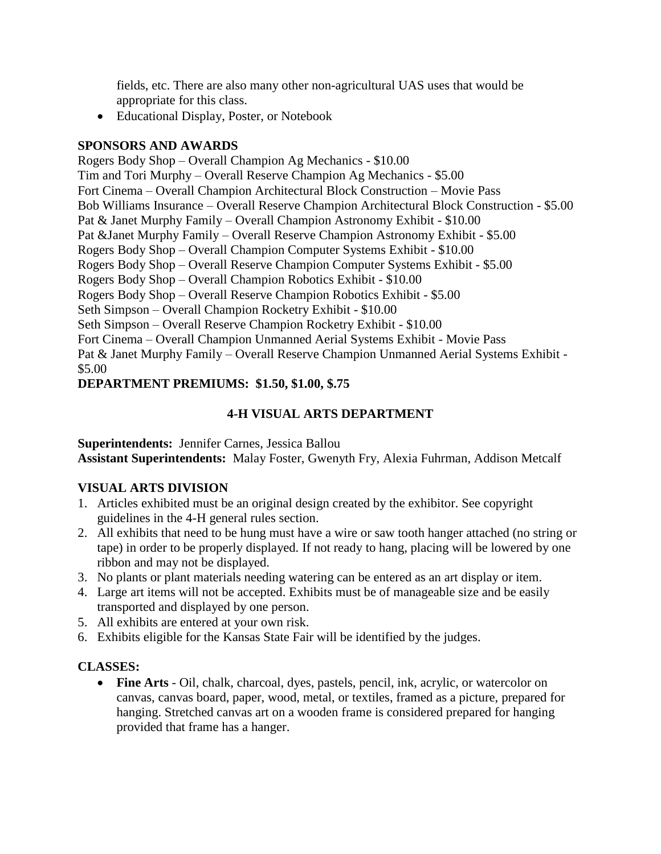fields, etc. There are also many other non-agricultural UAS uses that would be appropriate for this class.

• Educational Display, Poster, or Notebook

#### **SPONSORS AND AWARDS**

Rogers Body Shop – Overall Champion Ag Mechanics - \$10.00 Tim and Tori Murphy – Overall Reserve Champion Ag Mechanics - \$5.00 Fort Cinema – Overall Champion Architectural Block Construction – Movie Pass Bob Williams Insurance – Overall Reserve Champion Architectural Block Construction - \$5.00 Pat & Janet Murphy Family – Overall Champion Astronomy Exhibit - \$10.00 Pat &Janet Murphy Family – Overall Reserve Champion Astronomy Exhibit - \$5.00 Rogers Body Shop – Overall Champion Computer Systems Exhibit - \$10.00 Rogers Body Shop – Overall Reserve Champion Computer Systems Exhibit - \$5.00 Rogers Body Shop – Overall Champion Robotics Exhibit - \$10.00 Rogers Body Shop – Overall Reserve Champion Robotics Exhibit - \$5.00 Seth Simpson – Overall Champion Rocketry Exhibit - \$10.00 Seth Simpson – Overall Reserve Champion Rocketry Exhibit - \$10.00 Fort Cinema – Overall Champion Unmanned Aerial Systems Exhibit - Movie Pass Pat & Janet Murphy Family – Overall Reserve Champion Unmanned Aerial Systems Exhibit - \$5.00

### **DEPARTMENT PREMIUMS: \$1.50, \$1.00, \$.75**

### **4-H VISUAL ARTS DEPARTMENT**

**Superintendents:** Jennifer Carnes, Jessica Ballou **Assistant Superintendents:** Malay Foster, Gwenyth Fry, Alexia Fuhrman, Addison Metcalf

### **VISUAL ARTS DIVISION**

- 1. Articles exhibited must be an original design created by the exhibitor. See copyright guidelines in the 4-H general rules section.
- 2. All exhibits that need to be hung must have a wire or saw tooth hanger attached (no string or tape) in order to be properly displayed. If not ready to hang, placing will be lowered by one ribbon and may not be displayed.
- 3. No plants or plant materials needing watering can be entered as an art display or item.
- 4. Large art items will not be accepted. Exhibits must be of manageable size and be easily transported and displayed by one person.
- 5. All exhibits are entered at your own risk.
- 6. Exhibits eligible for the Kansas State Fair will be identified by the judges.

## **CLASSES:**

• **Fine Arts** - Oil, chalk, charcoal, dyes, pastels, pencil, ink, acrylic, or watercolor on canvas, canvas board, paper, wood, metal, or textiles, framed as a picture, prepared for hanging. Stretched canvas art on a wooden frame is considered prepared for hanging provided that frame has a hanger.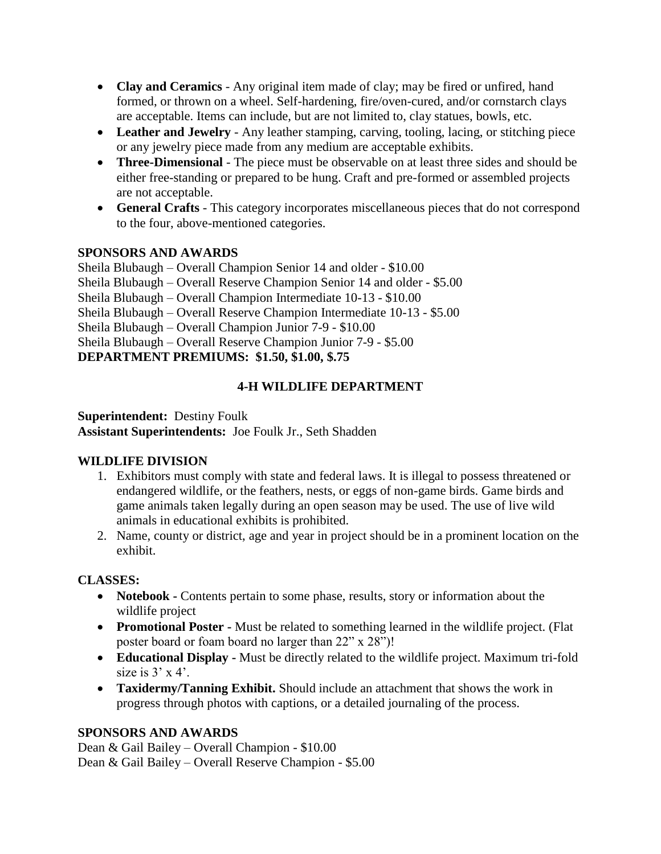- **Clay and Ceramics** Any original item made of clay; may be fired or unfired, hand formed, or thrown on a wheel. Self-hardening, fire/oven-cured, and/or cornstarch clays are acceptable. Items can include, but are not limited to, clay statues, bowls, etc.
- Leather and Jewelry Any leather stamping, carving, tooling, lacing, or stitching piece or any jewelry piece made from any medium are acceptable exhibits.
- **Three-Dimensional** The piece must be observable on at least three sides and should be either free-standing or prepared to be hung. Craft and pre-formed or assembled projects are not acceptable.
- **General Crafts** This category incorporates miscellaneous pieces that do not correspond to the four, above-mentioned categories.

### **SPONSORS AND AWARDS**

Sheila Blubaugh – Overall Champion Senior 14 and older - \$10.00 Sheila Blubaugh – Overall Reserve Champion Senior 14 and older - \$5.00 Sheila Blubaugh – Overall Champion Intermediate 10-13 - \$10.00 Sheila Blubaugh – Overall Reserve Champion Intermediate 10-13 - \$5.00 Sheila Blubaugh – Overall Champion Junior 7-9 - \$10.00 Sheila Blubaugh – Overall Reserve Champion Junior 7-9 - \$5.00 **DEPARTMENT PREMIUMS: \$1.50, \$1.00, \$.75**

## **4-H WILDLIFE DEPARTMENT**

#### **Superintendent:** Destiny Foulk **Assistant Superintendents:** Joe Foulk Jr., Seth Shadden

### **WILDLIFE DIVISION**

- 1. Exhibitors must comply with state and federal laws. It is illegal to possess threatened or endangered wildlife, or the feathers, nests, or eggs of non-game birds. Game birds and game animals taken legally during an open season may be used. The use of live wild animals in educational exhibits is prohibited.
- 2. Name, county or district, age and year in project should be in a prominent location on the exhibit.

## **CLASSES:**

- **Notebook -** Contents pertain to some phase, results, story or information about the wildlife project
- **Promotional Poster -** Must be related to something learned in the wildlife project. (Flat poster board or foam board no larger than 22" x 28")!
- **Educational Display -** Must be directly related to the wildlife project. Maximum tri-fold size is  $3'$  x 4'.
- **Taxidermy/Tanning Exhibit.** Should include an attachment that shows the work in progress through photos with captions, or a detailed journaling of the process.

## **SPONSORS AND AWARDS**

Dean & Gail Bailey – Overall Champion - \$10.00 Dean & Gail Bailey – Overall Reserve Champion - \$5.00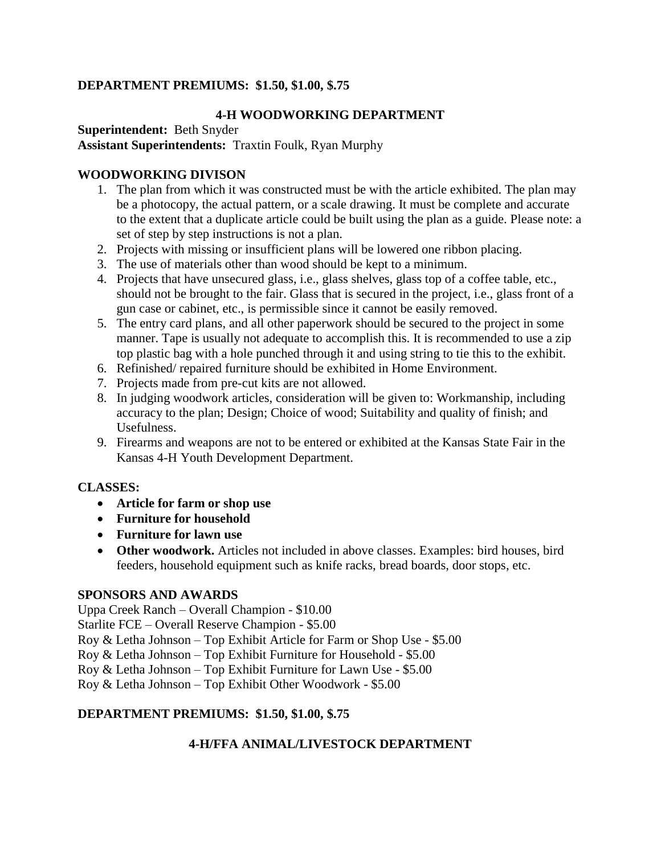## **DEPARTMENT PREMIUMS: \$1.50, \$1.00, \$.75**

## **4-H WOODWORKING DEPARTMENT**

**Superintendent:** Beth Snyder **Assistant Superintendents:** Traxtin Foulk, Ryan Murphy

### **WOODWORKING DIVISON**

- 1. The plan from which it was constructed must be with the article exhibited. The plan may be a photocopy, the actual pattern, or a scale drawing. It must be complete and accurate to the extent that a duplicate article could be built using the plan as a guide. Please note: a set of step by step instructions is not a plan.
- 2. Projects with missing or insufficient plans will be lowered one ribbon placing.
- 3. The use of materials other than wood should be kept to a minimum.
- 4. Projects that have unsecured glass, i.e., glass shelves, glass top of a coffee table, etc., should not be brought to the fair. Glass that is secured in the project, i.e., glass front of a gun case or cabinet, etc., is permissible since it cannot be easily removed.
- 5. The entry card plans, and all other paperwork should be secured to the project in some manner. Tape is usually not adequate to accomplish this. It is recommended to use a zip top plastic bag with a hole punched through it and using string to tie this to the exhibit.
- 6. Refinished/ repaired furniture should be exhibited in Home Environment.
- 7. Projects made from pre-cut kits are not allowed.
- 8. In judging woodwork articles, consideration will be given to: Workmanship, including accuracy to the plan; Design; Choice of wood; Suitability and quality of finish; and Usefulness.
- 9. Firearms and weapons are not to be entered or exhibited at the Kansas State Fair in the Kansas 4-H Youth Development Department.

### **CLASSES:**

- **Article for farm or shop use**
- **Furniture for household**
- **Furniture for lawn use**
- **Other woodwork.** Articles not included in above classes. Examples: bird houses, bird feeders, household equipment such as knife racks, bread boards, door stops, etc.

### **SPONSORS AND AWARDS**

Uppa Creek Ranch – Overall Champion - \$10.00 Starlite FCE – Overall Reserve Champion - \$5.00 Roy & Letha Johnson – Top Exhibit Article for Farm or Shop Use - \$5.00 Roy & Letha Johnson – Top Exhibit Furniture for Household - \$5.00 Roy & Letha Johnson – Top Exhibit Furniture for Lawn Use - \$5.00 Roy & Letha Johnson – Top Exhibit Other Woodwork - \$5.00

## **DEPARTMENT PREMIUMS: \$1.50, \$1.00, \$.75**

## **4-H/FFA ANIMAL/LIVESTOCK DEPARTMENT**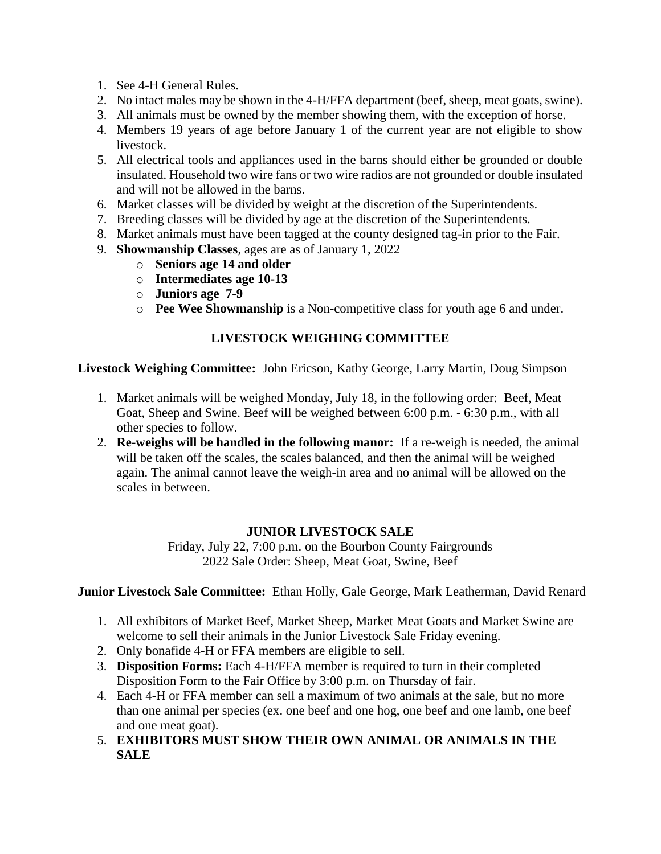- 1. See 4-H General Rules.
- 2. No intact males may be shown in the 4-H/FFA department (beef, sheep, meat goats, swine).
- 3. All animals must be owned by the member showing them, with the exception of horse.
- 4. Members 19 years of age before January 1 of the current year are not eligible to show livestock.
- 5. All electrical tools and appliances used in the barns should either be grounded or double insulated. Household two wire fans or two wire radios are not grounded or double insulated and will not be allowed in the barns.
- 6. Market classes will be divided by weight at the discretion of the Superintendents.
- 7. Breeding classes will be divided by age at the discretion of the Superintendents.
- 8. Market animals must have been tagged at the county designed tag-in prior to the Fair.
- 9. **Showmanship Classes**, ages are as of January 1, 2022
	- o **Seniors age 14 and older**
	- o **Intermediates age 10-13**
	- o **Juniors age 7-9**
	- o **Pee Wee Showmanship** is a Non-competitive class for youth age 6 and under.

### **LIVESTOCK WEIGHING COMMITTEE**

#### **Livestock Weighing Committee:** John Ericson, Kathy George, Larry Martin, Doug Simpson

- 1. Market animals will be weighed Monday, July 18, in the following order: Beef, Meat Goat, Sheep and Swine. Beef will be weighed between 6:00 p.m. - 6:30 p.m., with all other species to follow.
- 2. **Re-weighs will be handled in the following manor:** If a re-weigh is needed, the animal will be taken off the scales, the scales balanced, and then the animal will be weighed again. The animal cannot leave the weigh-in area and no animal will be allowed on the scales in between.

### **JUNIOR LIVESTOCK SALE**

Friday, July 22, 7:00 p.m. on the Bourbon County Fairgrounds 2022 Sale Order: Sheep, Meat Goat, Swine, Beef

**Junior Livestock Sale Committee:** Ethan Holly, Gale George, Mark Leatherman, David Renard

- 1. All exhibitors of Market Beef, Market Sheep, Market Meat Goats and Market Swine are welcome to sell their animals in the Junior Livestock Sale Friday evening.
- 2. Only bonafide 4-H or FFA members are eligible to sell.
- 3. **Disposition Forms:** Each 4-H/FFA member is required to turn in their completed Disposition Form to the Fair Office by 3:00 p.m. on Thursday of fair.
- 4. Each 4-H or FFA member can sell a maximum of two animals at the sale, but no more than one animal per species (ex. one beef and one hog, one beef and one lamb, one beef and one meat goat).
- 5. **EXHIBITORS MUST SHOW THEIR OWN ANIMAL OR ANIMALS IN THE SALE**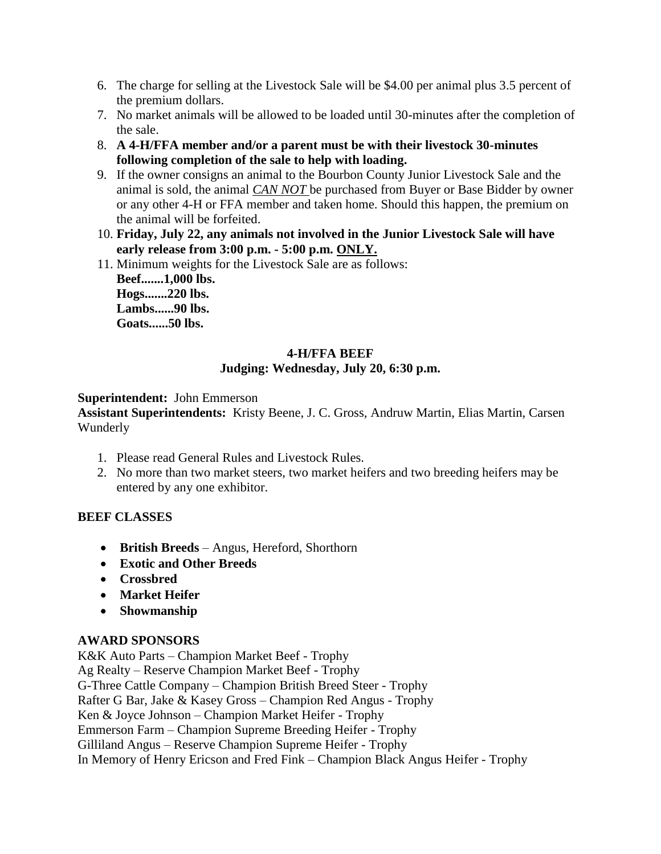- 6. The charge for selling at the Livestock Sale will be \$4.00 per animal plus 3.5 percent of the premium dollars.
- 7. No market animals will be allowed to be loaded until 30-minutes after the completion of the sale.
- 8. **A 4-H/FFA member and/or a parent must be with their livestock 30-minutes following completion of the sale to help with loading.**
- 9. If the owner consigns an animal to the Bourbon County Junior Livestock Sale and the animal is sold, the animal *CAN NOT* be purchased from Buyer or Base Bidder by owner or any other 4-H or FFA member and taken home. Should this happen, the premium on the animal will be forfeited.
- 10. **Friday, July 22, any animals not involved in the Junior Livestock Sale will have early release from 3:00 p.m. - 5:00 p.m. ONLY.**
- 11. Minimum weights for the Livestock Sale are as follows: **Beef.......1,000 lbs. Hogs.......220 lbs. Lambs......90 lbs. Goats......50 lbs.**

## **4-H/FFA BEEF Judging: Wednesday, July 20, 6:30 p.m.**

#### **Superintendent:** John Emmerson

**Assistant Superintendents:** Kristy Beene, J. C. Gross, Andruw Martin, Elias Martin, Carsen Wunderly

- 1. Please read General Rules and Livestock Rules.
- 2. No more than two market steers, two market heifers and two breeding heifers may be entered by any one exhibitor.

### **BEEF CLASSES**

- **British Breeds** Angus, Hereford, Shorthorn
- **Exotic and Other Breeds**
- **Crossbred**
- **Market Heifer**
- **Showmanship**

#### **AWARD SPONSORS**

K&K Auto Parts – Champion Market Beef - Trophy Ag Realty – Reserve Champion Market Beef - Trophy G-Three Cattle Company – Champion British Breed Steer - Trophy Rafter G Bar, Jake & Kasey Gross – Champion Red Angus - Trophy Ken & Joyce Johnson – Champion Market Heifer - Trophy Emmerson Farm – Champion Supreme Breeding Heifer - Trophy Gilliland Angus – Reserve Champion Supreme Heifer - Trophy In Memory of Henry Ericson and Fred Fink – Champion Black Angus Heifer - Trophy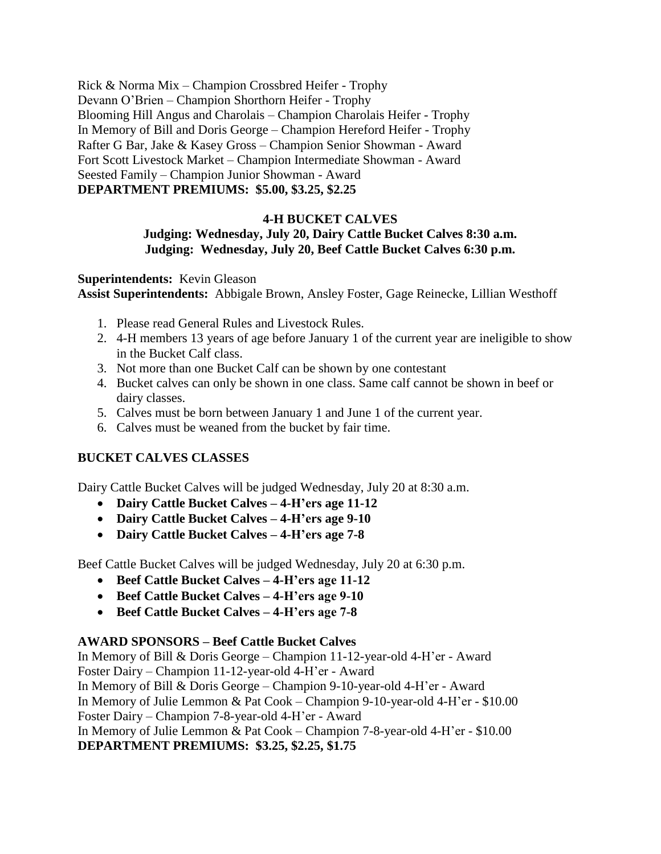Rick & Norma Mix – Champion Crossbred Heifer - Trophy Devann O'Brien – Champion Shorthorn Heifer - Trophy Blooming Hill Angus and Charolais – Champion Charolais Heifer - Trophy In Memory of Bill and Doris George – Champion Hereford Heifer - Trophy Rafter G Bar, Jake & Kasey Gross – Champion Senior Showman - Award Fort Scott Livestock Market – Champion Intermediate Showman - Award Seested Family – Champion Junior Showman - Award **DEPARTMENT PREMIUMS: \$5.00, \$3.25, \$2.25**

#### **4-H BUCKET CALVES**

#### **Judging: Wednesday, July 20, Dairy Cattle Bucket Calves 8:30 a.m. Judging: Wednesday, July 20, Beef Cattle Bucket Calves 6:30 p.m.**

**Superintendents:** Kevin Gleason **Assist Superintendents:** Abbigale Brown, Ansley Foster, Gage Reinecke, Lillian Westhoff

- 1. Please read General Rules and Livestock Rules.
- 2. 4-H members 13 years of age before January 1 of the current year are ineligible to show in the Bucket Calf class.
- 3. Not more than one Bucket Calf can be shown by one contestant
- 4. Bucket calves can only be shown in one class. Same calf cannot be shown in beef or dairy classes.
- 5. Calves must be born between January 1 and June 1 of the current year.
- 6. Calves must be weaned from the bucket by fair time.

### **BUCKET CALVES CLASSES**

Dairy Cattle Bucket Calves will be judged Wednesday, July 20 at 8:30 a.m.

- **Dairy Cattle Bucket Calves – 4-H'ers age 11-12**
- **Dairy Cattle Bucket Calves – 4-H'ers age 9-10**
- **Dairy Cattle Bucket Calves – 4-H'ers age 7-8**

Beef Cattle Bucket Calves will be judged Wednesday, July 20 at 6:30 p.m.

- **Beef Cattle Bucket Calves – 4-H'ers age 11-12**
- **Beef Cattle Bucket Calves – 4-H'ers age 9-10**
- **Beef Cattle Bucket Calves – 4-H'ers age 7-8**

### **AWARD SPONSORS – Beef Cattle Bucket Calves**

In Memory of Bill & Doris George – Champion 11-12-year-old 4-H'er - Award Foster Dairy – Champion 11-12-year-old 4-H'er - Award In Memory of Bill & Doris George – Champion 9-10-year-old 4-H'er - Award In Memory of Julie Lemmon & Pat Cook – Champion 9-10-year-old 4-H'er - \$10.00 Foster Dairy – Champion 7-8-year-old 4-H'er - Award In Memory of Julie Lemmon & Pat Cook – Champion 7-8-year-old 4-H'er - \$10.00 **DEPARTMENT PREMIUMS: \$3.25, \$2.25, \$1.75**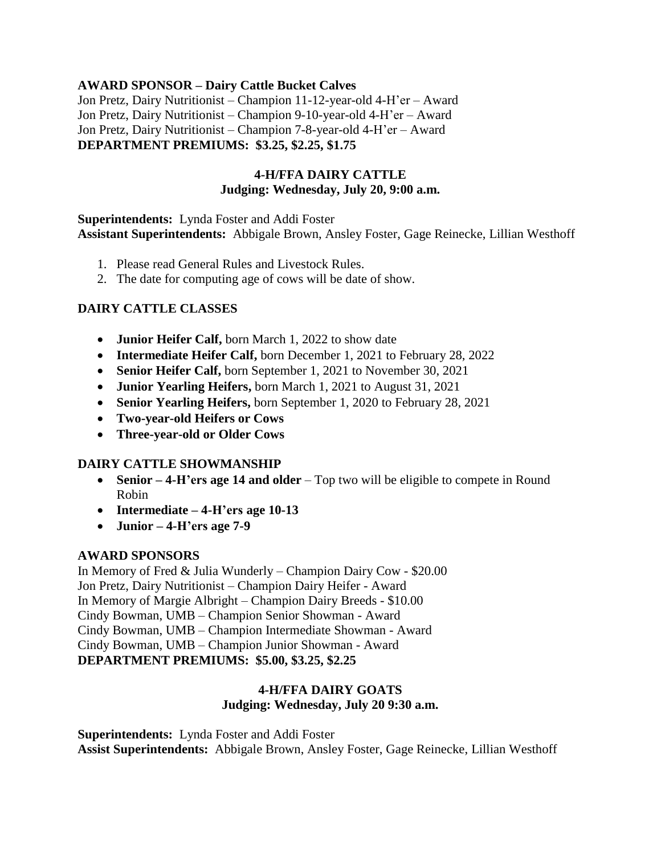#### **AWARD SPONSOR – Dairy Cattle Bucket Calves**

Jon Pretz, Dairy Nutritionist – Champion 11-12-year-old 4-H'er – Award Jon Pretz, Dairy Nutritionist – Champion 9-10-year-old 4-H'er – Award Jon Pretz, Dairy Nutritionist – Champion 7-8-year-old 4-H'er – Award **DEPARTMENT PREMIUMS: \$3.25, \$2.25, \$1.75**

#### **4-H/FFA DAIRY CATTLE Judging: Wednesday, July 20, 9:00 a.m.**

**Superintendents:** Lynda Foster and Addi Foster **Assistant Superintendents:** Abbigale Brown, Ansley Foster, Gage Reinecke, Lillian Westhoff

- 1. Please read General Rules and Livestock Rules.
- 2. The date for computing age of cows will be date of show.

### **DAIRY CATTLE CLASSES**

- **Junior Heifer Calf,** born March 1, 2022 to show date
- **Intermediate Heifer Calf,** born December 1, 2021 to February 28, 2022
- **Senior Heifer Calf,** born September 1, 2021 to November 30, 2021
- **Junior Yearling Heifers,** born March 1, 2021 to August 31, 2021
- **Senior Yearling Heifers,** born September 1, 2020 to February 28, 2021
- **Two-year-old Heifers or Cows**
- **Three-year-old or Older Cows**

### **DAIRY CATTLE SHOWMANSHIP**

- **Senior 4-H'ers age 14 and older** Top two will be eligible to compete in Round Robin
- **Intermediate – 4-H'ers age 10-13**
- **Junior – 4-H'ers age 7-9**

### **AWARD SPONSORS**

In Memory of Fred & Julia Wunderly – Champion Dairy Cow - \$20.00 Jon Pretz, Dairy Nutritionist – Champion Dairy Heifer - Award In Memory of Margie Albright – Champion Dairy Breeds - \$10.00 Cindy Bowman, UMB – Champion Senior Showman - Award Cindy Bowman, UMB – Champion Intermediate Showman - Award Cindy Bowman, UMB – Champion Junior Showman - Award **DEPARTMENT PREMIUMS: \$5.00, \$3.25, \$2.25**

# **4-H/FFA DAIRY GOATS**

**Judging: Wednesday, July 20 9:30 a.m.**

**Superintendents:** Lynda Foster and Addi Foster **Assist Superintendents:** Abbigale Brown, Ansley Foster, Gage Reinecke, Lillian Westhoff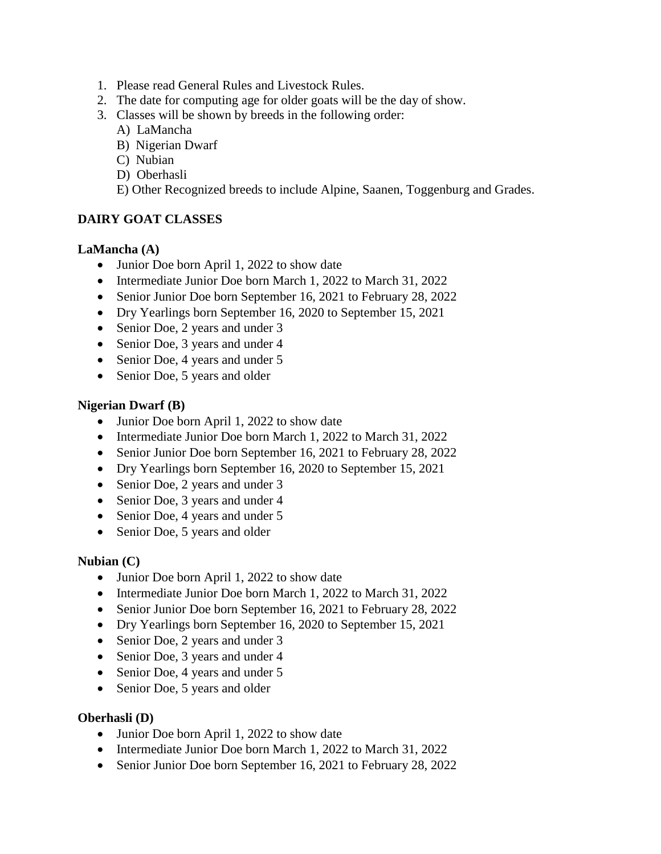- 1. Please read General Rules and Livestock Rules.
- 2. The date for computing age for older goats will be the day of show.
- 3. Classes will be shown by breeds in the following order:
	- A) LaMancha
	- B) Nigerian Dwarf
	- C) Nubian
	- D) Oberhasli
	- E) Other Recognized breeds to include Alpine, Saanen, Toggenburg and Grades.

### **DAIRY GOAT CLASSES**

#### **LaMancha (A)**

- Junior Doe born April 1, 2022 to show date
- Intermediate Junior Doe born March 1, 2022 to March 31, 2022
- Senior Junior Doe born September 16, 2021 to February 28, 2022
- Dry Yearlings born September 16, 2020 to September 15, 2021
- Senior Doe, 2 years and under 3
- Senior Doe, 3 years and under 4
- Senior Doe, 4 years and under 5
- Senior Doe, 5 years and older

#### **Nigerian Dwarf (B)**

- Junior Doe born April 1, 2022 to show date
- Intermediate Junior Doe born March 1, 2022 to March 31, 2022
- Senior Junior Doe born September 16, 2021 to February 28, 2022
- Dry Yearlings born September 16, 2020 to September 15, 2021
- Senior Doe, 2 years and under 3
- Senior Doe, 3 years and under 4
- Senior Doe, 4 years and under 5
- Senior Doe, 5 years and older

#### **Nubian (C)**

- Junior Doe born April 1, 2022 to show date
- Intermediate Junior Doe born March 1, 2022 to March 31, 2022
- Senior Junior Doe born September 16, 2021 to February 28, 2022
- Dry Yearlings born September 16, 2020 to September 15, 2021
- Senior Doe, 2 years and under 3
- Senior Doe, 3 years and under 4
- Senior Doe, 4 years and under 5
- Senior Doe, 5 years and older

#### **Oberhasli (D)**

- Junior Doe born April 1, 2022 to show date
- Intermediate Junior Doe born March 1, 2022 to March 31, 2022
- Senior Junior Doe born September 16, 2021 to February 28, 2022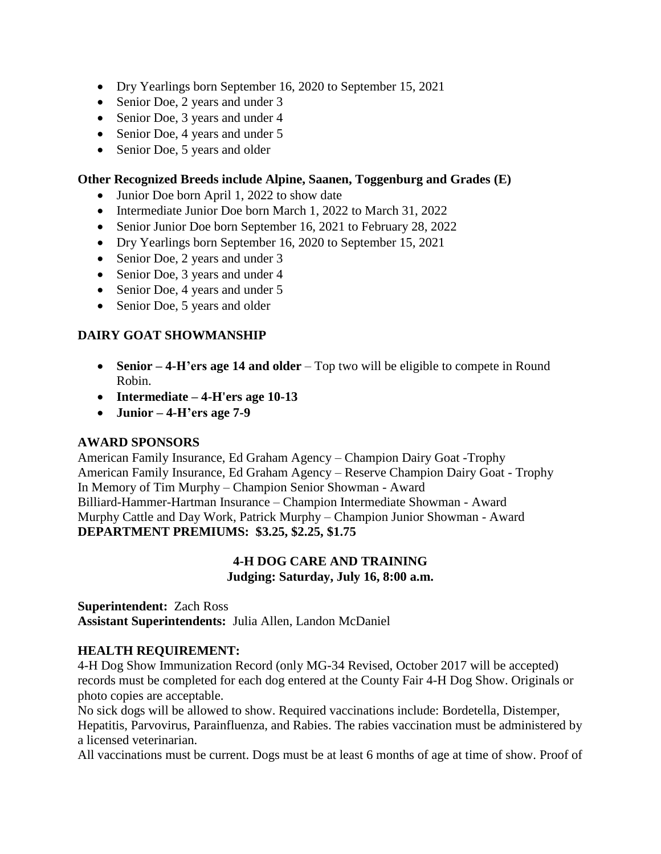- Dry Yearlings born September 16, 2020 to September 15, 2021
- Senior Doe, 2 years and under 3
- Senior Doe, 3 years and under 4
- Senior Doe, 4 years and under 5
- Senior Doe, 5 years and older

#### **Other Recognized Breeds include Alpine, Saanen, Toggenburg and Grades (E)**

- Junior Doe born April 1, 2022 to show date
- Intermediate Junior Doe born March 1, 2022 to March 31, 2022
- Senior Junior Doe born September 16, 2021 to February 28, 2022
- Dry Yearlings born September 16, 2020 to September 15, 2021
- Senior Doe, 2 years and under 3
- Senior Doe, 3 years and under 4
- Senior Doe, 4 years and under 5
- Senior Doe, 5 years and older

### **DAIRY GOAT SHOWMANSHIP**

- **Senior – 4-H'ers age 14 and older** Top two will be eligible to compete in Round Robin.
- **Intermediate – 4-H'ers age 10-13**
- **Junior – 4-H'ers age 7-9**

#### **AWARD SPONSORS**

American Family Insurance, Ed Graham Agency – Champion Dairy Goat -Trophy American Family Insurance, Ed Graham Agency – Reserve Champion Dairy Goat - Trophy In Memory of Tim Murphy – Champion Senior Showman - Award Billiard-Hammer-Hartman Insurance – Champion Intermediate Showman - Award Murphy Cattle and Day Work, Patrick Murphy – Champion Junior Showman - Award **DEPARTMENT PREMIUMS: \$3.25, \$2.25, \$1.75**

#### **4-H DOG CARE AND TRAINING Judging: Saturday, July 16, 8:00 a.m.**

**Superintendent:** Zach Ross **Assistant Superintendents:** Julia Allen, Landon McDaniel

#### **HEALTH REQUIREMENT:**

4-H Dog Show Immunization Record (only MG-34 Revised, October 2017 will be accepted) records must be completed for each dog entered at the County Fair 4-H Dog Show. Originals or photo copies are acceptable.

No sick dogs will be allowed to show. Required vaccinations include: Bordetella, Distemper, Hepatitis, Parvovirus, Parainfluenza, and Rabies. The rabies vaccination must be administered by a licensed veterinarian.

All vaccinations must be current. Dogs must be at least 6 months of age at time of show. Proof of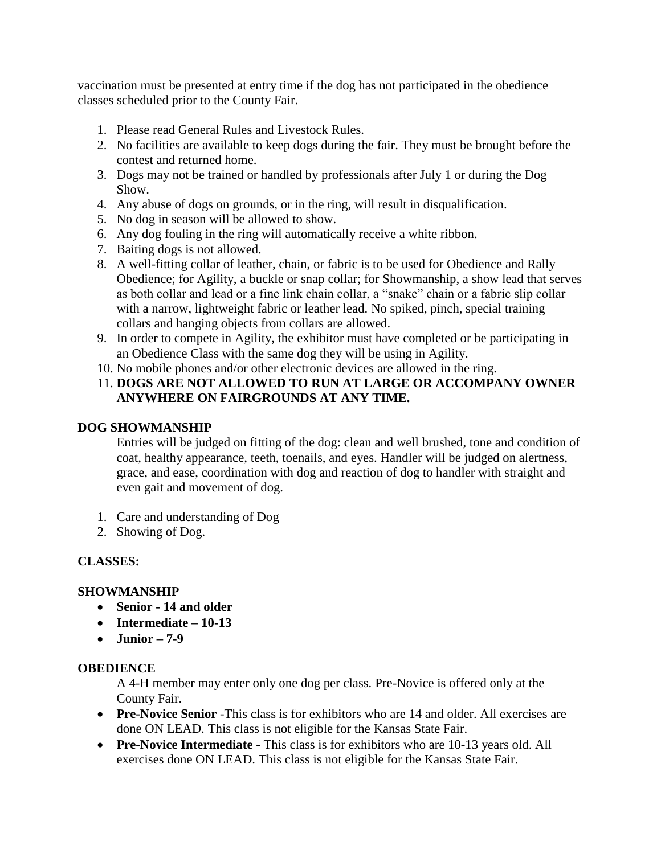vaccination must be presented at entry time if the dog has not participated in the obedience classes scheduled prior to the County Fair.

- 1. Please read General Rules and Livestock Rules.
- 2. No facilities are available to keep dogs during the fair. They must be brought before the contest and returned home.
- 3. Dogs may not be trained or handled by professionals after July 1 or during the Dog Show.
- 4. Any abuse of dogs on grounds, or in the ring, will result in disqualification.
- 5. No dog in season will be allowed to show.
- 6. Any dog fouling in the ring will automatically receive a white ribbon.
- 7. Baiting dogs is not allowed.
- 8. A well-fitting collar of leather, chain, or fabric is to be used for Obedience and Rally Obedience; for Agility, a buckle or snap collar; for Showmanship, a show lead that serves as both collar and lead or a fine link chain collar, a "snake" chain or a fabric slip collar with a narrow, lightweight fabric or leather lead. No spiked, pinch, special training collars and hanging objects from collars are allowed.
- 9. In order to compete in Agility, the exhibitor must have completed or be participating in an Obedience Class with the same dog they will be using in Agility.
- 10. No mobile phones and/or other electronic devices are allowed in the ring.

## 11. **DOGS ARE NOT ALLOWED TO RUN AT LARGE OR ACCOMPANY OWNER ANYWHERE ON FAIRGROUNDS AT ANY TIME.**

#### **DOG SHOWMANSHIP**

Entries will be judged on fitting of the dog: clean and well brushed, tone and condition of coat, healthy appearance, teeth, toenails, and eyes. Handler will be judged on alertness, grace, and ease, coordination with dog and reaction of dog to handler with straight and even gait and movement of dog.

- 1. Care and understanding of Dog
- 2. Showing of Dog.

### **CLASSES:**

#### **SHOWMANSHIP**

- **Senior - 14 and older**
- **Intermediate – 10-13**
- **Junior – 7-9**

#### **OBEDIENCE**

A 4-H member may enter only one dog per class. Pre-Novice is offered only at the County Fair.

- **Pre-Novice Senior** -This class is for exhibitors who are 14 and older. All exercises are done ON LEAD. This class is not eligible for the Kansas State Fair.
- **Pre-Novice Intermediate** This class is for exhibitors who are 10-13 years old. All exercises done ON LEAD. This class is not eligible for the Kansas State Fair.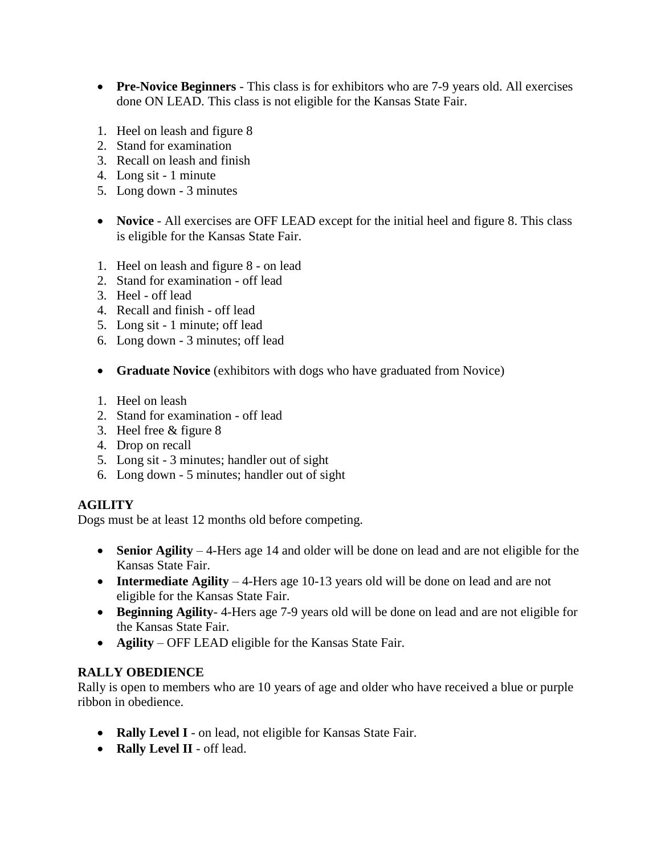- **Pre-Novice Beginners** This class is for exhibitors who are 7-9 years old. All exercises done ON LEAD. This class is not eligible for the Kansas State Fair.
- 1. Heel on leash and figure 8
- 2. Stand for examination
- 3. Recall on leash and finish
- 4. Long sit 1 minute
- 5. Long down 3 minutes
- **Novice** All exercises are OFF LEAD except for the initial heel and figure 8. This class is eligible for the Kansas State Fair.
- 1. Heel on leash and figure 8 on lead
- 2. Stand for examination off lead
- 3. Heel off lead
- 4. Recall and finish off lead
- 5. Long sit 1 minute; off lead
- 6. Long down 3 minutes; off lead
- **Graduate Novice** (exhibitors with dogs who have graduated from Novice)
- 1. Heel on leash
- 2. Stand for examination off lead
- 3. Heel free & figure 8
- 4. Drop on recall
- 5. Long sit 3 minutes; handler out of sight
- 6. Long down 5 minutes; handler out of sight

### **AGILITY**

Dogs must be at least 12 months old before competing.

- **Senior Agility** 4-Hers age 14 and older will be done on lead and are not eligible for the Kansas State Fair.
- **Intermediate Agility** 4-Hers age 10-13 years old will be done on lead and are not eligible for the Kansas State Fair.
- **Beginning Agility** 4-Hers age 7-9 years old will be done on lead and are not eligible for the Kansas State Fair.
- **Agility** OFF LEAD eligible for the Kansas State Fair.

#### **RALLY OBEDIENCE**

Rally is open to members who are 10 years of age and older who have received a blue or purple ribbon in obedience.

- **Rally Level I** on lead, not eligible for Kansas State Fair.
- **Rally Level II** off lead.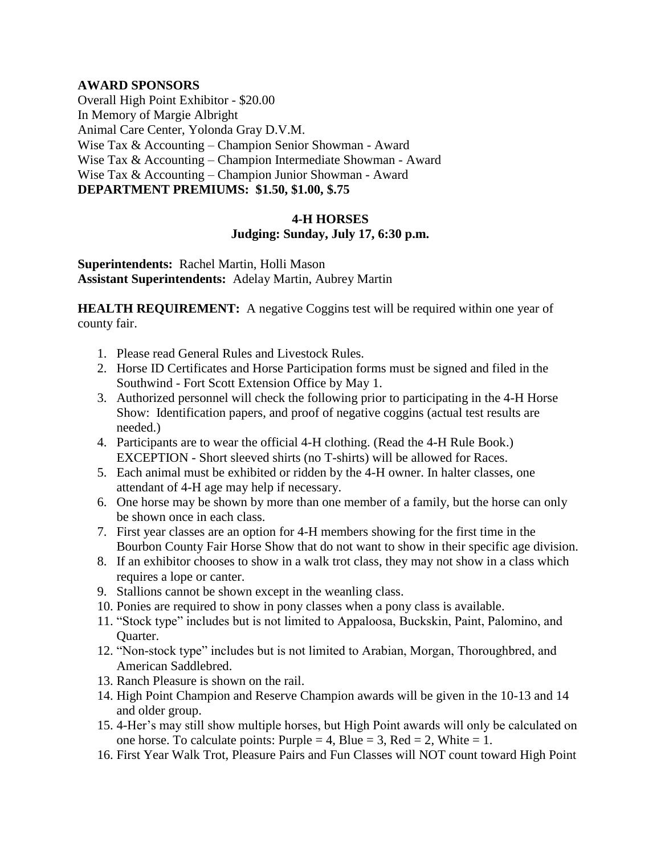#### **AWARD SPONSORS**

Overall High Point Exhibitor - \$20.00 In Memory of Margie Albright Animal Care Center, Yolonda Gray D.V.M. Wise Tax & Accounting – Champion Senior Showman - Award Wise Tax & Accounting – Champion Intermediate Showman - Award Wise Tax & Accounting – Champion Junior Showman - Award **DEPARTMENT PREMIUMS: \$1.50, \$1.00, \$.75**

#### **4-H HORSES Judging: Sunday, July 17, 6:30 p.m.**

**Superintendents:** Rachel Martin, Holli Mason **Assistant Superintendents:** Adelay Martin, Aubrey Martin

**HEALTH REQUIREMENT:** A negative Coggins test will be required within one year of county fair.

- 1. Please read General Rules and Livestock Rules.
- 2. Horse ID Certificates and Horse Participation forms must be signed and filed in the Southwind - Fort Scott Extension Office by May 1.
- 3. Authorized personnel will check the following prior to participating in the 4-H Horse Show: Identification papers, and proof of negative coggins (actual test results are needed.)
- 4. Participants are to wear the official 4-H clothing. (Read the 4-H Rule Book.) EXCEPTION - Short sleeved shirts (no T-shirts) will be allowed for Races.
- 5. Each animal must be exhibited or ridden by the 4-H owner. In halter classes, one attendant of 4-H age may help if necessary.
- 6. One horse may be shown by more than one member of a family, but the horse can only be shown once in each class.
- 7. First year classes are an option for 4-H members showing for the first time in the Bourbon County Fair Horse Show that do not want to show in their specific age division.
- 8. If an exhibitor chooses to show in a walk trot class, they may not show in a class which requires a lope or canter.
- 9. Stallions cannot be shown except in the weanling class.
- 10. Ponies are required to show in pony classes when a pony class is available.
- 11. "Stock type" includes but is not limited to Appaloosa, Buckskin, Paint, Palomino, and Quarter.
- 12. "Non-stock type" includes but is not limited to Arabian, Morgan, Thoroughbred, and American Saddlebred.
- 13. Ranch Pleasure is shown on the rail.
- 14. High Point Champion and Reserve Champion awards will be given in the 10-13 and 14 and older group.
- 15. 4-Her's may still show multiple horses, but High Point awards will only be calculated on one horse. To calculate points: Purple = 4, Blue = 3, Red = 2, White = 1.
- 16. First Year Walk Trot, Pleasure Pairs and Fun Classes will NOT count toward High Point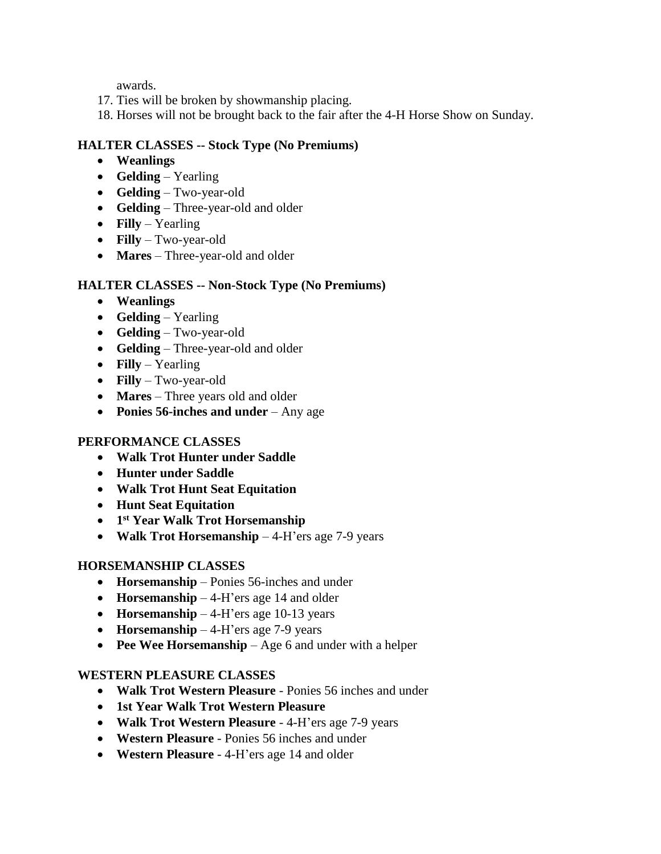awards.

- 17. Ties will be broken by showmanship placing.
- 18. Horses will not be brought back to the fair after the 4-H Horse Show on Sunday.

## **HALTER CLASSES -- Stock Type (No Premiums)**

- **Weanlings**
- **Gelding**  Yearling
- **Gelding** Two-year-old
- **Gelding** Three-year-old and older
- **Filly** Yearling
- **Filly** Two-year-old
- **Mares** Three-year-old and older

## **HALTER CLASSES -- Non-Stock Type (No Premiums)**

- **Weanlings**
- **Gelding** Yearling
- **Gelding** Two-year-old
- **Gelding** Three-year-old and older
- **Filly**  Yearling
- **Filly** Two-year-old
- **Mares** Three years old and older
- **Ponies 56-inches and under** Any age

### **PERFORMANCE CLASSES**

- **Walk Trot Hunter under Saddle**
- **Hunter under Saddle**
- **Walk Trot Hunt Seat Equitation**
- **Hunt Seat Equitation**
- **1 st Year Walk Trot Horsemanship**
- **Walk Trot Horsemanship** 4-H'ers age 7-9 years

### **HORSEMANSHIP CLASSES**

- **Horsemanship** Ponies 56-inches and under
- **Horsemanship** 4-H'ers age 14 and older
- **Horsemanship**  4-H'ers age 10-13 years
- **Horsemanship** 4-H'ers age 7-9 years
- **Pee Wee Horsemanship** Age 6 and under with a helper

### **WESTERN PLEASURE CLASSES**

- **Walk Trot Western Pleasure** Ponies 56 inches and under
- **1st Year Walk Trot Western Pleasure**
- **Walk Trot Western Pleasure** 4-H'ers age 7-9 years
- **Western Pleasure** Ponies 56 inches and under
- **Western Pleasure** 4-H'ers age 14 and older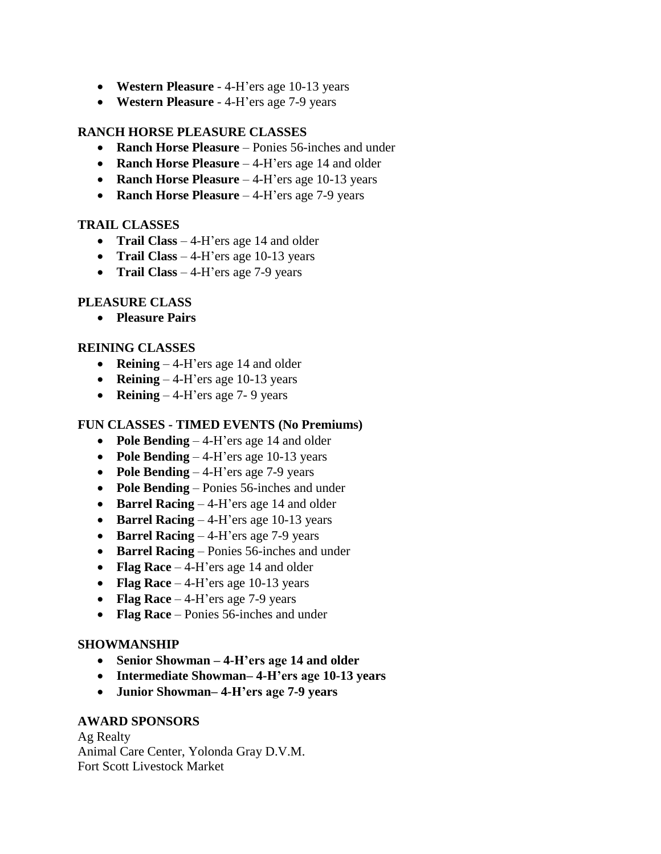- **Western Pleasure** 4-H'ers age 10-13 years
- **Western Pleasure** 4-H'ers age 7-9 years

#### **RANCH HORSE PLEASURE CLASSES**

- **Ranch Horse Pleasure** Ponies 56-inches and under
- **Ranch Horse Pleasure** 4-H'ers age 14 and older
- **Ranch Horse Pleasure** 4-H'ers age 10-13 years
- **Ranch Horse Pleasure** 4-H'ers age 7-9 years

#### **TRAIL CLASSES**

- **Trail Class** 4-H'ers age 14 and older
- **Trail Class** 4-H'ers age 10-13 years
- **Trail Class** 4-H'ers age 7-9 years

### **PLEASURE CLASS**

• **Pleasure Pairs**

#### **REINING CLASSES**

- **Reining**  4-H'ers age 14 and older
- **Reining** 4-H'ers age 10-13 years
- **Reining** 4-H'ers age 7-9 years

#### **FUN CLASSES - TIMED EVENTS (No Premiums)**

- **Pole Bending** 4-H'ers age 14 and older
- **Pole Bending** 4-H'ers age 10-13 years
- **Pole Bending** 4-H'ers age 7-9 years
- **Pole Bending** Ponies 56-inches and under
- **Barrel Racing** 4-H'ers age 14 and older
- **Barrel Racing**  4-H'ers age 10-13 years
- **Barrel Racing** 4-H'ers age 7-9 years
- **Barrel Racing** Ponies 56-inches and under
- **Flag Race** 4-H'ers age 14 and older
- **Flag Race** 4-H'ers age 10-13 years
- **Flag Race** 4-H'ers age 7-9 years
- **Flag Race** Ponies 56-inches and under

#### **SHOWMANSHIP**

- **Senior Showman – 4-H'ers age 14 and older**
- **Intermediate Showman– 4-H'ers age 10-13 years**
- **Junior Showman– 4-H'ers age 7-9 years**

### **AWARD SPONSORS**

Ag Realty Animal Care Center, Yolonda Gray D.V.M. Fort Scott Livestock Market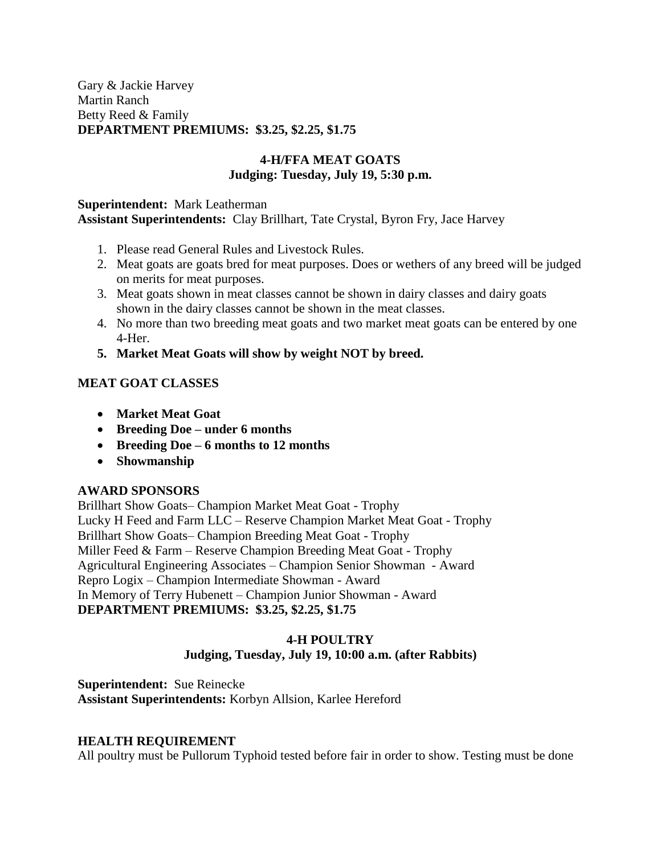Gary & Jackie Harvey Martin Ranch Betty Reed & Family **DEPARTMENT PREMIUMS: \$3.25, \$2.25, \$1.75**

#### **4-H/FFA MEAT GOATS Judging: Tuesday, July 19, 5:30 p.m.**

#### **Superintendent:** Mark Leatherman **Assistant Superintendents:** Clay Brillhart, Tate Crystal, Byron Fry, Jace Harvey

- 1. Please read General Rules and Livestock Rules.
- 2. Meat goats are goats bred for meat purposes. Does or wethers of any breed will be judged on merits for meat purposes.
- 3. Meat goats shown in meat classes cannot be shown in dairy classes and dairy goats shown in the dairy classes cannot be shown in the meat classes.
- 4. No more than two breeding meat goats and two market meat goats can be entered by one 4-Her.
- **5. Market Meat Goats will show by weight NOT by breed.**

## **MEAT GOAT CLASSES**

- **Market Meat Goat**
- **Breeding Doe – under 6 months**
- **Breeding Doe – 6 months to 12 months**
- **Showmanship**

### **AWARD SPONSORS**

Brillhart Show Goats– Champion Market Meat Goat - Trophy Lucky H Feed and Farm LLC – Reserve Champion Market Meat Goat - Trophy Brillhart Show Goats– Champion Breeding Meat Goat - Trophy Miller Feed & Farm – Reserve Champion Breeding Meat Goat - Trophy Agricultural Engineering Associates – Champion Senior Showman - Award Repro Logix – Champion Intermediate Showman - Award In Memory of Terry Hubenett – Champion Junior Showman - Award **DEPARTMENT PREMIUMS: \$3.25, \$2.25, \$1.75**

#### **4-H POULTRY Judging, Tuesday, July 19, 10:00 a.m. (after Rabbits)**

**Superintendent:** Sue Reinecke **Assistant Superintendents:** Korbyn Allsion, Karlee Hereford

### **HEALTH REQUIREMENT**

All poultry must be Pullorum Typhoid tested before fair in order to show. Testing must be done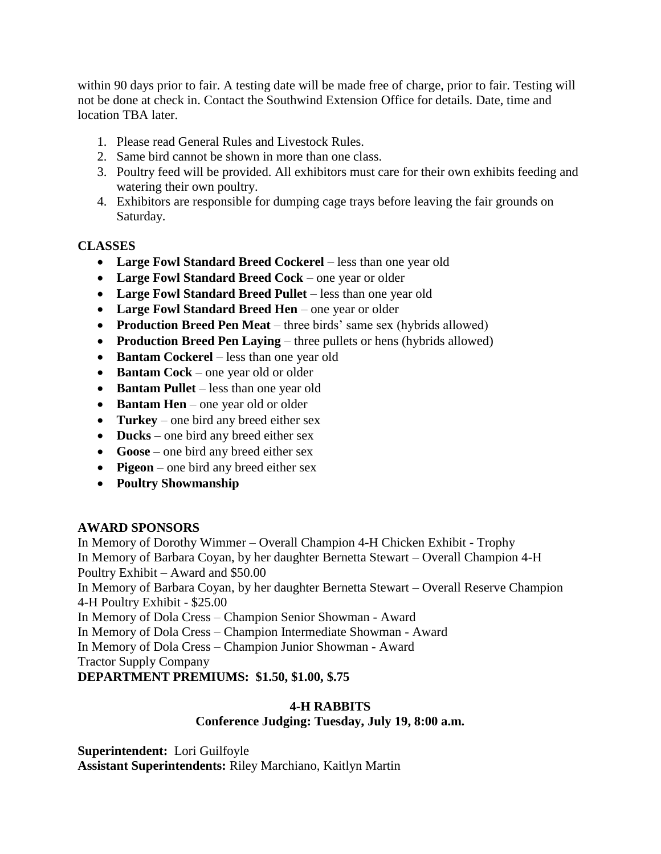within 90 days prior to fair. A testing date will be made free of charge, prior to fair. Testing will not be done at check in. Contact the Southwind Extension Office for details. Date, time and location TBA later.

- 1. Please read General Rules and Livestock Rules.
- 2. Same bird cannot be shown in more than one class.
- 3. Poultry feed will be provided. All exhibitors must care for their own exhibits feeding and watering their own poultry.
- 4. Exhibitors are responsible for dumping cage trays before leaving the fair grounds on Saturday.

## **CLASSES**

- **Large Fowl Standard Breed Cockerel** less than one year old
- **Large Fowl Standard Breed Cock** one year or older
- **Large Fowl Standard Breed Pullet** less than one year old
- **Large Fowl Standard Breed Hen** one year or older
- **Production Breed Pen Meat** three birds' same sex (hybrids allowed)
- **Production Breed Pen Laying** three pullets or hens (hybrids allowed)
- **Bantam Cockerel** less than one year old
- **Bantam Cock** one year old or older
- **Bantam Pullet** less than one year old
- **Bantam Hen** one year old or older
- **Turkey** one bird any breed either sex
- **Ducks** one bird any breed either sex
- **Goose** one bird any breed either sex
- **Pigeon** one bird any breed either sex
- **Poultry Showmanship**

### **AWARD SPONSORS**

In Memory of Dorothy Wimmer – Overall Champion 4-H Chicken Exhibit - Trophy In Memory of Barbara Coyan, by her daughter Bernetta Stewart – Overall Champion 4-H Poultry Exhibit – Award and \$50.00 In Memory of Barbara Coyan, by her daughter Bernetta Stewart – Overall Reserve Champion 4-H Poultry Exhibit - \$25.00 In Memory of Dola Cress – Champion Senior Showman - Award In Memory of Dola Cress – Champion Intermediate Showman - Award In Memory of Dola Cress – Champion Junior Showman - Award

Tractor Supply Company

**DEPARTMENT PREMIUMS: \$1.50, \$1.00, \$.75**

### **4-H RABBITS**

### **Conference Judging: Tuesday, July 19, 8:00 a.m.**

**Superintendent:** Lori Guilfoyle **Assistant Superintendents:** Riley Marchiano, Kaitlyn Martin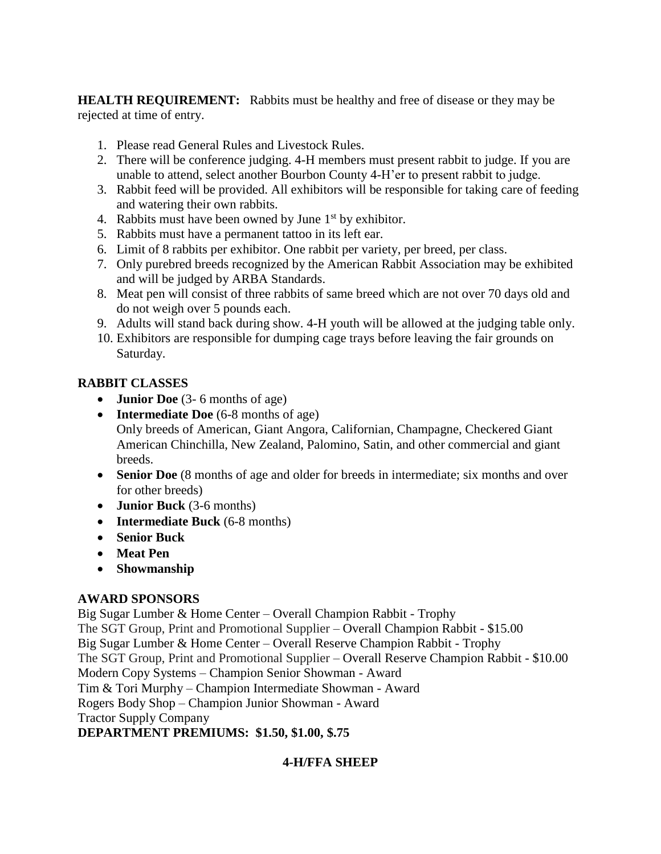**HEALTH REQUIREMENT:** Rabbits must be healthy and free of disease or they may be rejected at time of entry.

- 1. Please read General Rules and Livestock Rules.
- 2. There will be conference judging. 4-H members must present rabbit to judge. If you are unable to attend, select another Bourbon County 4-H'er to present rabbit to judge.
- 3. Rabbit feed will be provided. All exhibitors will be responsible for taking care of feeding and watering their own rabbits.
- 4. Rabbits must have been owned by June  $1<sup>st</sup>$  by exhibitor.
- 5. Rabbits must have a permanent tattoo in its left ear.
- 6. Limit of 8 rabbits per exhibitor. One rabbit per variety, per breed, per class.
- 7. Only purebred breeds recognized by the American Rabbit Association may be exhibited and will be judged by ARBA Standards.
- 8. Meat pen will consist of three rabbits of same breed which are not over 70 days old and do not weigh over 5 pounds each.
- 9. Adults will stand back during show. 4-H youth will be allowed at the judging table only.
- 10. Exhibitors are responsible for dumping cage trays before leaving the fair grounds on Saturday.

## **RABBIT CLASSES**

- **Junior Doe** (3- 6 months of age)
- **Intermediate Doe** (6-8 months of age) Only breeds of American, Giant Angora, Californian, Champagne, Checkered Giant American Chinchilla, New Zealand, Palomino, Satin, and other commercial and giant breeds.
- **Senior Doe** (8 months of age and older for breeds in intermediate; six months and over for other breeds)
- **Junior Buck** (3-6 months)
- **Intermediate Buck** (6-8 months)
- **Senior Buck**
- **Meat Pen**
- **Showmanship**

## **AWARD SPONSORS**

Big Sugar Lumber & Home Center – Overall Champion Rabbit - Trophy The SGT Group, Print and Promotional Supplier – Overall Champion Rabbit - \$15.00 Big Sugar Lumber & Home Center – Overall Reserve Champion Rabbit - Trophy The SGT Group, Print and Promotional Supplier – Overall Reserve Champion Rabbit - \$10.00 Modern Copy Systems – Champion Senior Showman - Award Tim & Tori Murphy – Champion Intermediate Showman - Award Rogers Body Shop – Champion Junior Showman - Award Tractor Supply Company **DEPARTMENT PREMIUMS: \$1.50, \$1.00, \$.75**

## **4-H/FFA SHEEP**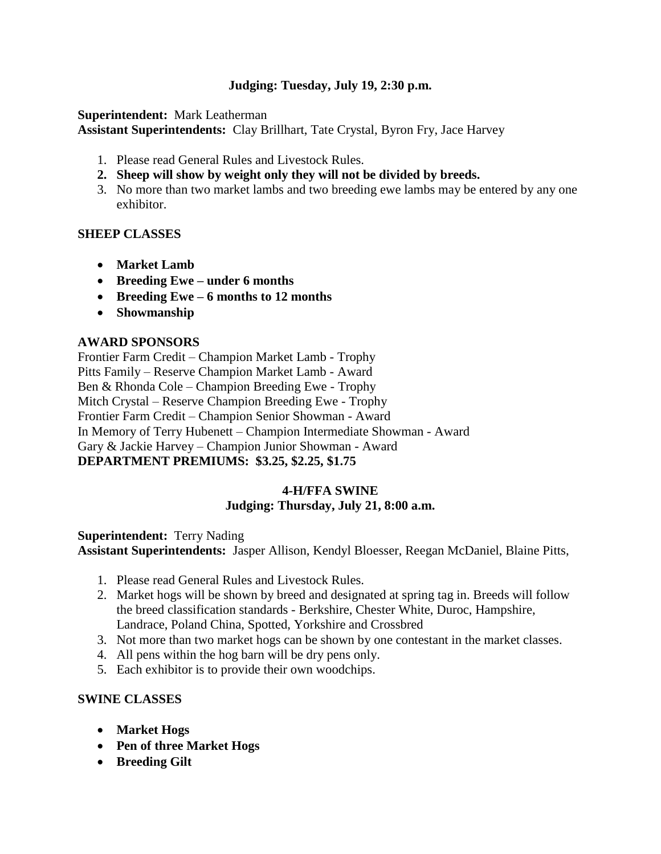### **Judging: Tuesday, July 19, 2:30 p.m.**

**Superintendent:** Mark Leatherman **Assistant Superintendents:** Clay Brillhart, Tate Crystal, Byron Fry, Jace Harvey

- 1. Please read General Rules and Livestock Rules.
- **2. Sheep will show by weight only they will not be divided by breeds.**
- 3. No more than two market lambs and two breeding ewe lambs may be entered by any one exhibitor.

#### **SHEEP CLASSES**

- **Market Lamb**
- **Breeding Ewe – under 6 months**
- **Breeding Ewe – 6 months to 12 months**
- **Showmanship**

#### **AWARD SPONSORS**

Frontier Farm Credit – Champion Market Lamb - Trophy Pitts Family – Reserve Champion Market Lamb - Award Ben & Rhonda Cole – Champion Breeding Ewe - Trophy Mitch Crystal – Reserve Champion Breeding Ewe - Trophy Frontier Farm Credit – Champion Senior Showman - Award In Memory of Terry Hubenett – Champion Intermediate Showman - Award Gary & Jackie Harvey – Champion Junior Showman - Award **DEPARTMENT PREMIUMS: \$3.25, \$2.25, \$1.75**

#### **4-H/FFA SWINE Judging: Thursday, July 21, 8:00 a.m.**

**Superintendent:** Terry Nading **Assistant Superintendents:** Jasper Allison, Kendyl Bloesser, Reegan McDaniel, Blaine Pitts,

- 1. Please read General Rules and Livestock Rules.
- 2. Market hogs will be shown by breed and designated at spring tag in. Breeds will follow the breed classification standards - Berkshire, Chester White, Duroc, Hampshire, Landrace, Poland China, Spotted, Yorkshire and Crossbred
- 3. Not more than two market hogs can be shown by one contestant in the market classes.
- 4. All pens within the hog barn will be dry pens only.
- 5. Each exhibitor is to provide their own woodchips.

#### **SWINE CLASSES**

- **Market Hogs**
- **Pen of three Market Hogs**
- **Breeding Gilt**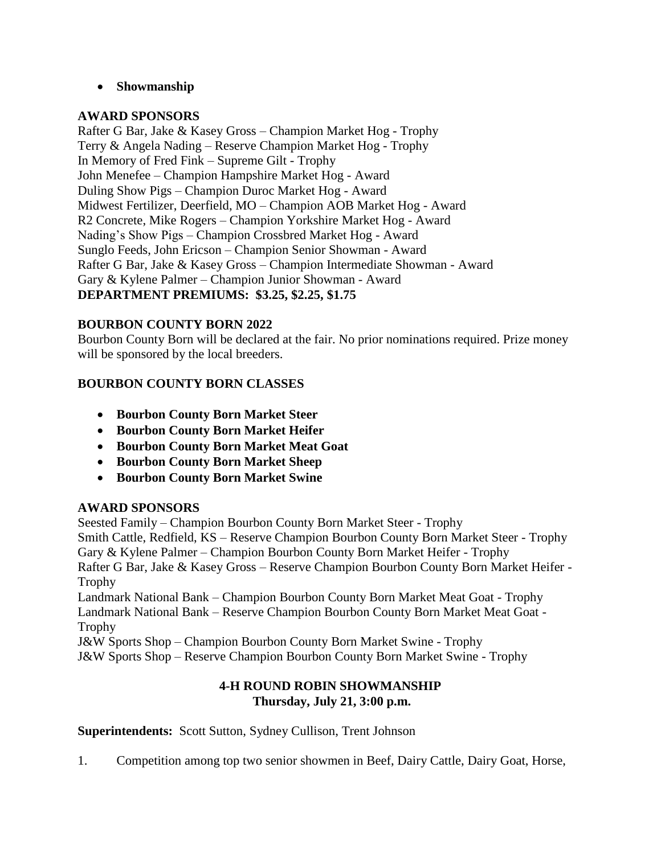#### • **Showmanship**

#### **AWARD SPONSORS**

Rafter G Bar, Jake & Kasey Gross – Champion Market Hog - Trophy Terry & Angela Nading – Reserve Champion Market Hog - Trophy In Memory of Fred Fink – Supreme Gilt - Trophy John Menefee – Champion Hampshire Market Hog - Award Duling Show Pigs – Champion Duroc Market Hog - Award Midwest Fertilizer, Deerfield, MO – Champion AOB Market Hog - Award R2 Concrete, Mike Rogers – Champion Yorkshire Market Hog - Award Nading's Show Pigs – Champion Crossbred Market Hog - Award Sunglo Feeds, John Ericson – Champion Senior Showman - Award Rafter G Bar, Jake & Kasey Gross – Champion Intermediate Showman - Award Gary & Kylene Palmer – Champion Junior Showman - Award **DEPARTMENT PREMIUMS: \$3.25, \$2.25, \$1.75**

#### **BOURBON COUNTY BORN 2022**

Bourbon County Born will be declared at the fair. No prior nominations required. Prize money will be sponsored by the local breeders.

#### **BOURBON COUNTY BORN CLASSES**

- **Bourbon County Born Market Steer**
- **Bourbon County Born Market Heifer**
- **Bourbon County Born Market Meat Goat**
- **Bourbon County Born Market Sheep**
- **Bourbon County Born Market Swine**

#### **AWARD SPONSORS**

Seested Family – Champion Bourbon County Born Market Steer - Trophy Smith Cattle, Redfield, KS – Reserve Champion Bourbon County Born Market Steer - Trophy Gary & Kylene Palmer – Champion Bourbon County Born Market Heifer - Trophy Rafter G Bar, Jake & Kasey Gross – Reserve Champion Bourbon County Born Market Heifer - Trophy Landmark National Bank – Champion Bourbon County Born Market Meat Goat - Trophy Landmark National Bank – Reserve Champion Bourbon County Born Market Meat Goat - **Trophy** J&W Sports Shop – Champion Bourbon County Born Market Swine - Trophy J&W Sports Shop – Reserve Champion Bourbon County Born Market Swine - Trophy

#### **4-H ROUND ROBIN SHOWMANSHIP Thursday, July 21, 3:00 p.m.**

**Superintendents:** Scott Sutton, Sydney Cullison, Trent Johnson

1. Competition among top two senior showmen in Beef, Dairy Cattle, Dairy Goat, Horse,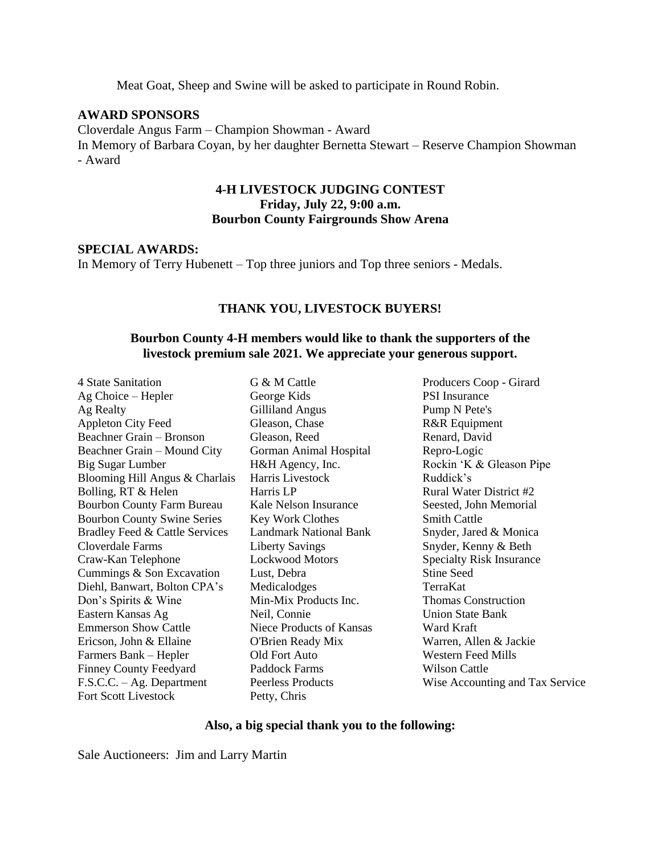Meat Goat, Sheep and Swine will be asked to participate in Round Robin.

#### **AWARD SPONSORS**

Cloverdale Angus Farm – Champion Showman - Award In Memory of Barbara Coyan, by her daughter Bernetta Stewart – Reserve Champion Showman - Award

#### **4-H LIVESTOCK JUDGING CONTEST Friday, July 22, 9:00 a.m. Bourbon County Fairgrounds Show Arena**

#### **SPECIAL AWARDS:**

In Memory of Terry Hubenett – Top three juniors and Top three seniors - Medals.

#### **THANK YOU, LIVESTOCK BUYERS!**

#### **Bourbon County 4-H members would like to thank the supporters of the livestock premium sale 2021. We appreciate your generous support.**

4 State Sanitation Ag Choice – Hepler Ag Realty Appleton City Feed Beachner Grain – Bronson Beachner Grain – Mound City Big Sugar Lumber Blooming Hill Angus & Charlais Bolling, RT & Helen Bourbon County Farm Bureau Bourbon County Swine Series Bradley Feed & Cattle Services Cloverdale Farms Craw-Kan Telephone Cummings & Son Excavation Diehl, Banwart, Bolton CPA's Don's Spirits & Wine Eastern Kansas Ag Emmerson Show Cattle Ericson, John & Ellaine Farmers Bank – Hepler Finney County Feedyard F.S.C.C. – Ag. Department Fort Scott Livestock

G & M Cattle George Kids Gilliland Angus Gleason, Chase Gleason, Reed Gorman Animal Hospital H&H Agency, Inc. Harris Livestock Harris LP Kale Nelson Insurance Key Work Clothes Landmark National Bank Liberty Savings Lockwood Motors Lust, Debra Medicalodges Min-Mix Products Inc. Neil, Connie Niece Products of Kansas O'Brien Ready Mix Old Fort Auto Paddock Farms Peerless Products Petty, Chris

Producers Coop - Girard PSI Insurance Pump N Pete's R&R Equipment Renard, David Repro-Logic Rockin 'K & Gleason Pipe Ruddick's Rural Water District #2 Seested, John Memorial Smith Cattle Snyder, Jared & Monica Snyder, Kenny & Beth Specialty Risk Insurance Stine Seed TerraKat Thomas Construction Union State Bank Ward Kraft Warren, Allen & Jackie Western Feed Mills Wilson Cattle Wise Accounting and Tax Service

#### **Also, a big special thank you to the following:**

Sale Auctioneers: Jim and Larry Martin